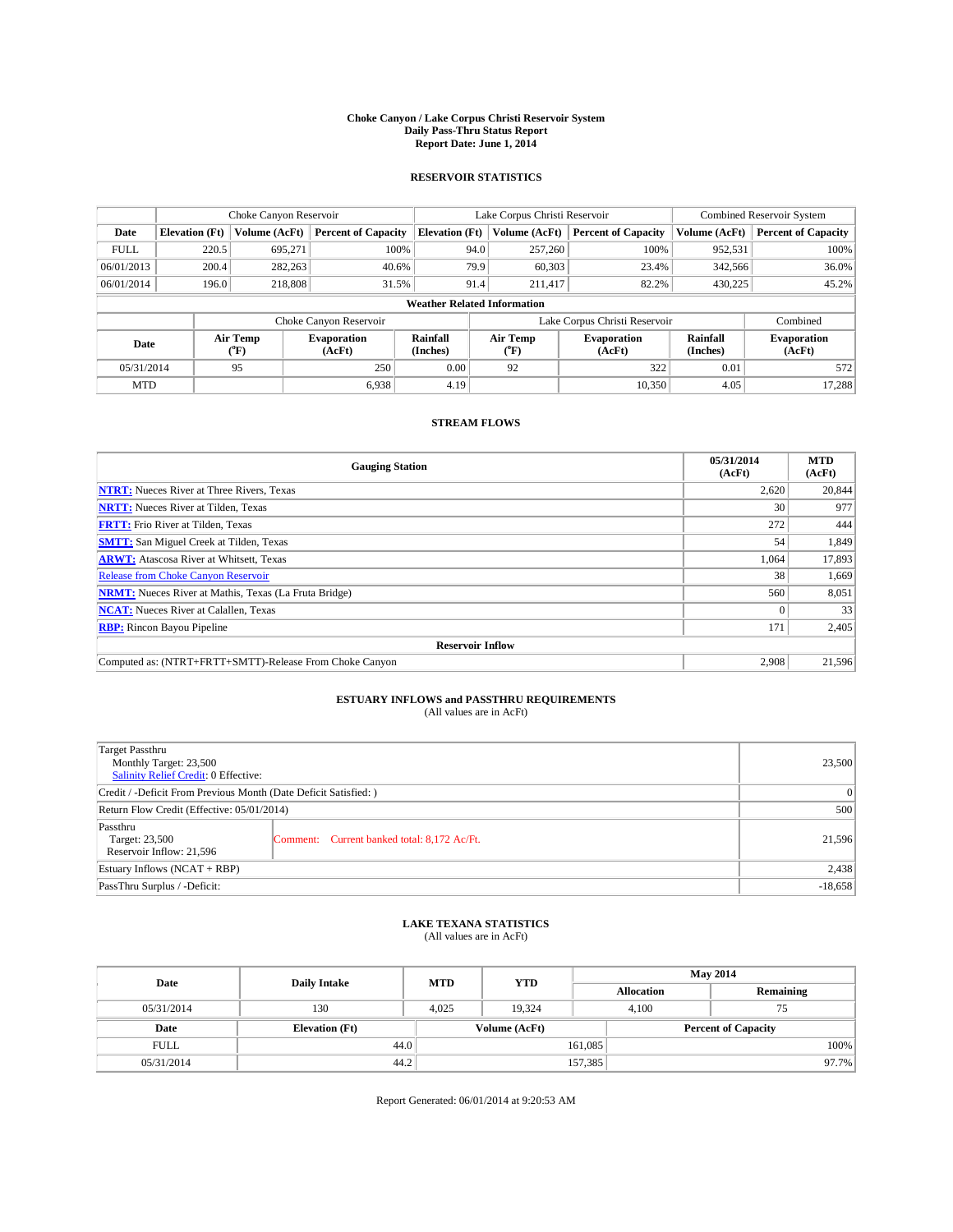#### **Choke Canyon / Lake Corpus Christi Reservoir System Daily Pass-Thru Status Report Report Date: June 1, 2014**

### **RESERVOIR STATISTICS**

|             | Choke Canyon Reservoir             |                  |                              |                       | Lake Corpus Christi Reservoir |         |                               |                      | <b>Combined Reservoir System</b> |  |  |
|-------------|------------------------------------|------------------|------------------------------|-----------------------|-------------------------------|---------|-------------------------------|----------------------|----------------------------------|--|--|
| Date        | <b>Elevation</b> (Ft)              | Volume (AcFt)    | <b>Percent of Capacity</b>   | <b>Elevation (Ft)</b> | Volume (AcFt)                 |         | <b>Percent of Capacity</b>    | Volume (AcFt)        | <b>Percent of Capacity</b>       |  |  |
| <b>FULL</b> | 220.5                              | 695,271          | 100%                         |                       | 94.0                          | 257,260 | 100%                          | 952,531              | 100%                             |  |  |
| 06/01/2013  | 200.4                              | 282,263          | 40.6%                        |                       | 79.9                          | 60,303  | 23.4%                         | 342,566              | 36.0%                            |  |  |
| 06/01/2014  | 196.0                              | 218,808          | 31.5%                        |                       | 91.4                          | 211.417 | 82.2%                         | 430,225              | 45.2%                            |  |  |
|             | <b>Weather Related Information</b> |                  |                              |                       |                               |         |                               |                      |                                  |  |  |
|             |                                    |                  | Choke Canyon Reservoir       |                       |                               |         | Lake Corpus Christi Reservoir |                      | Combined                         |  |  |
| Date        |                                    | Air Temp<br>(°F) | <b>Evaporation</b><br>(AcFt) | Rainfall<br>(Inches)  | Air Temp<br>(°F)              |         | <b>Evaporation</b><br>(AcFt)  | Rainfall<br>(Inches) | <b>Evaporation</b><br>(AcFt)     |  |  |
| 05/31/2014  |                                    | 95               | 250                          | 0.00                  | 92                            |         | 322                           | 0.01                 | 572                              |  |  |
| <b>MTD</b>  |                                    |                  | 6.938                        | 4.19                  |                               |         | 10,350                        | 4.05                 | 17,288                           |  |  |

### **STREAM FLOWS**

| <b>Gauging Station</b>                                       | 05/31/2014<br>(AcFt) | <b>MTD</b><br>(AcFt) |  |  |  |  |
|--------------------------------------------------------------|----------------------|----------------------|--|--|--|--|
| <b>NTRT:</b> Nueces River at Three Rivers, Texas             | 2,620                | 20,844               |  |  |  |  |
| <b>NRTT:</b> Nueces River at Tilden, Texas                   | 30                   | 977                  |  |  |  |  |
| <b>FRTT:</b> Frio River at Tilden, Texas                     | 272                  | 444                  |  |  |  |  |
| <b>SMTT:</b> San Miguel Creek at Tilden, Texas               | 54                   | 1,849                |  |  |  |  |
| <b>ARWT:</b> Atascosa River at Whitsett, Texas               | 1,064                | 17,893               |  |  |  |  |
| <b>Release from Choke Canyon Reservoir</b>                   | 38                   | 1,669                |  |  |  |  |
| <b>NRMT:</b> Nueces River at Mathis, Texas (La Fruta Bridge) | 560                  | 8,051                |  |  |  |  |
| <b>NCAT:</b> Nueces River at Calallen, Texas                 |                      | 33                   |  |  |  |  |
| <b>RBP:</b> Rincon Bayou Pipeline                            | 171                  | 2,405                |  |  |  |  |
| <b>Reservoir Inflow</b>                                      |                      |                      |  |  |  |  |
| Computed as: (NTRT+FRTT+SMTT)-Release From Choke Canyon      | 2,908                | 21,596               |  |  |  |  |

# **ESTUARY INFLOWS and PASSTHRU REQUIREMENTS**<br>(All values are in AcFt)

| Target Passthru<br>Monthly Target: 23,500<br>Salinity Relief Credit: 0 Effective: |                                             |        |
|-----------------------------------------------------------------------------------|---------------------------------------------|--------|
| Credit / -Deficit From Previous Month (Date Deficit Satisfied: )                  |                                             |        |
| Return Flow Credit (Effective: 05/01/2014)                                        |                                             |        |
| Passthru<br>Target: 23,500<br>Reservoir Inflow: 21,596                            | Comment: Current banked total: 8,172 Ac/Ft. | 21,596 |
| Estuary Inflows (NCAT + RBP)                                                      |                                             | 2,438  |
| PassThru Surplus / -Deficit:                                                      |                                             |        |

# **LAKE TEXANA STATISTICS** (All values are in AcFt)

| Date        | <b>Daily Intake</b>   | <b>MTD</b> | <b>YTD</b>    | <b>May 2014</b>   |                            |           |  |
|-------------|-----------------------|------------|---------------|-------------------|----------------------------|-----------|--|
|             |                       |            |               | <b>Allocation</b> |                            | Remaining |  |
| 05/31/2014  | 130                   | 4,025      | 19.324        |                   | 4,100<br>75                |           |  |
| Date        | <b>Elevation</b> (Ft) |            | Volume (AcFt) |                   | <b>Percent of Capacity</b> |           |  |
| <b>FULL</b> | 44.0                  |            |               | 161,085           |                            | 100%      |  |
| 05/31/2014  | 44.2                  |            |               | 157,385           |                            | 97.7%     |  |

Report Generated: 06/01/2014 at 9:20:53 AM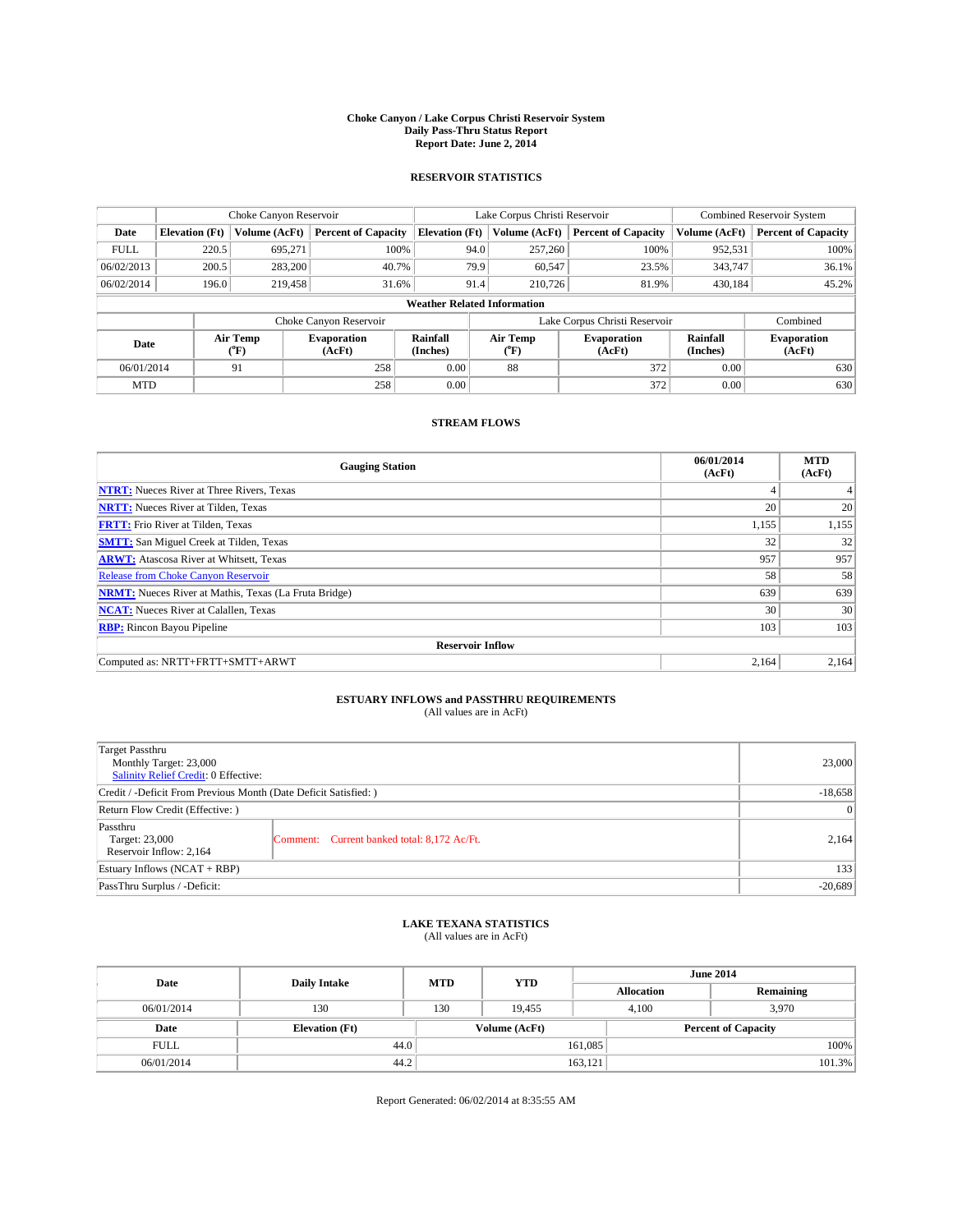#### **Choke Canyon / Lake Corpus Christi Reservoir System Daily Pass-Thru Status Report Report Date: June 2, 2014**

### **RESERVOIR STATISTICS**

|             | Choke Canyon Reservoir             |                  |                              |                       | Lake Corpus Christi Reservoir | <b>Combined Reservoir System</b> |                      |                              |  |
|-------------|------------------------------------|------------------|------------------------------|-----------------------|-------------------------------|----------------------------------|----------------------|------------------------------|--|
| Date        | <b>Elevation</b> (Ft)              | Volume (AcFt)    | <b>Percent of Capacity</b>   | <b>Elevation (Ft)</b> | Volume (AcFt)                 | <b>Percent of Capacity</b>       | Volume (AcFt)        | Percent of Capacity          |  |
| <b>FULL</b> | 220.5                              | 695,271          | 100%                         | 94.0                  | 257,260                       | 100%                             | 952,531              | 100%                         |  |
| 06/02/2013  | 200.5                              | 283,200          | 40.7%                        | 79.9                  | 60,547                        | 23.5%                            | 343,747              | $36.1\%$                     |  |
| 06/02/2014  | 196.0                              | 219,458          | 31.6%                        | 91.4                  | 210,726                       | 81.9%                            | 430.184              | $45.2\%$                     |  |
|             | <b>Weather Related Information</b> |                  |                              |                       |                               |                                  |                      |                              |  |
|             |                                    |                  | Choke Canyon Reservoir       |                       |                               | Lake Corpus Christi Reservoir    |                      | Combined                     |  |
| Date        |                                    | Air Temp<br>(°F) | <b>Evaporation</b><br>(AcFt) | Rainfall<br>(Inches)  | Air Temp<br>(°F)              | <b>Evaporation</b><br>(AcFt)     | Rainfall<br>(Inches) | <b>Evaporation</b><br>(AcFt) |  |
| 06/01/2014  |                                    | 91               | 258                          | 0.00                  | 88                            | 372                              | 0.00                 | 630                          |  |
| <b>MTD</b>  |                                    |                  | 258                          | 0.00                  |                               | 372                              | 0.00                 | 630                          |  |

### **STREAM FLOWS**

| <b>Gauging Station</b>                                       | 06/01/2014<br>(AcFt) | <b>MTD</b><br>(AcFt) |  |  |  |  |
|--------------------------------------------------------------|----------------------|----------------------|--|--|--|--|
| <b>NTRT:</b> Nueces River at Three Rivers, Texas             | 4                    |                      |  |  |  |  |
| <b>NRTT:</b> Nueces River at Tilden, Texas                   | 20                   | 20                   |  |  |  |  |
| <b>FRTT:</b> Frio River at Tilden, Texas                     | 1,155                | 1,155                |  |  |  |  |
| <b>SMTT:</b> San Miguel Creek at Tilden, Texas               | 32                   | 32                   |  |  |  |  |
| <b>ARWT:</b> Atascosa River at Whitsett, Texas               | 957                  | 957                  |  |  |  |  |
| Release from Choke Canyon Reservoir                          | 58                   | 58                   |  |  |  |  |
| <b>NRMT:</b> Nueces River at Mathis, Texas (La Fruta Bridge) | 639                  | 639                  |  |  |  |  |
| <b>NCAT:</b> Nueces River at Calallen, Texas                 | 30                   | 30                   |  |  |  |  |
| <b>RBP:</b> Rincon Bayou Pipeline                            | 103                  | 103                  |  |  |  |  |
| <b>Reservoir Inflow</b>                                      |                      |                      |  |  |  |  |
| Computed as: NRTT+FRTT+SMTT+ARWT                             | 2,164                | 2,164                |  |  |  |  |

# **ESTUARY INFLOWS and PASSTHRU REQUIREMENTS**<br>(All values are in AcFt)

| Target Passthru<br>Monthly Target: 23,000<br>Salinity Relief Credit: 0 Effective: |                                             | 23,000    |
|-----------------------------------------------------------------------------------|---------------------------------------------|-----------|
| Credit / -Deficit From Previous Month (Date Deficit Satisfied: )                  | $-18,658$                                   |           |
| Return Flow Credit (Effective: )                                                  |                                             |           |
| Passthru<br>Target: 23,000<br>Reservoir Inflow: 2,164                             | Comment: Current banked total: 8,172 Ac/Ft. | 2.164     |
| Estuary Inflows (NCAT + RBP)                                                      |                                             | 133       |
| PassThru Surplus / -Deficit:                                                      |                                             | $-20,689$ |

# **LAKE TEXANA STATISTICS** (All values are in AcFt)

| Date        | <b>Daily Intake</b>   | <b>MTD</b> | <b>YTD</b>    | <b>June 2014</b>  |                            |           |  |
|-------------|-----------------------|------------|---------------|-------------------|----------------------------|-----------|--|
|             |                       |            |               | <b>Allocation</b> |                            | Remaining |  |
| 06/01/2014  | 130                   | 130        | 19.455        | 4,100             |                            | 3,970     |  |
| Date        | <b>Elevation</b> (Ft) |            | Volume (AcFt) |                   | <b>Percent of Capacity</b> |           |  |
| <b>FULL</b> | 44.0                  |            |               | 161,085           |                            | 100%      |  |
| 06/01/2014  | 44.2                  |            |               | 163,121           |                            | 101.3%    |  |

Report Generated: 06/02/2014 at 8:35:55 AM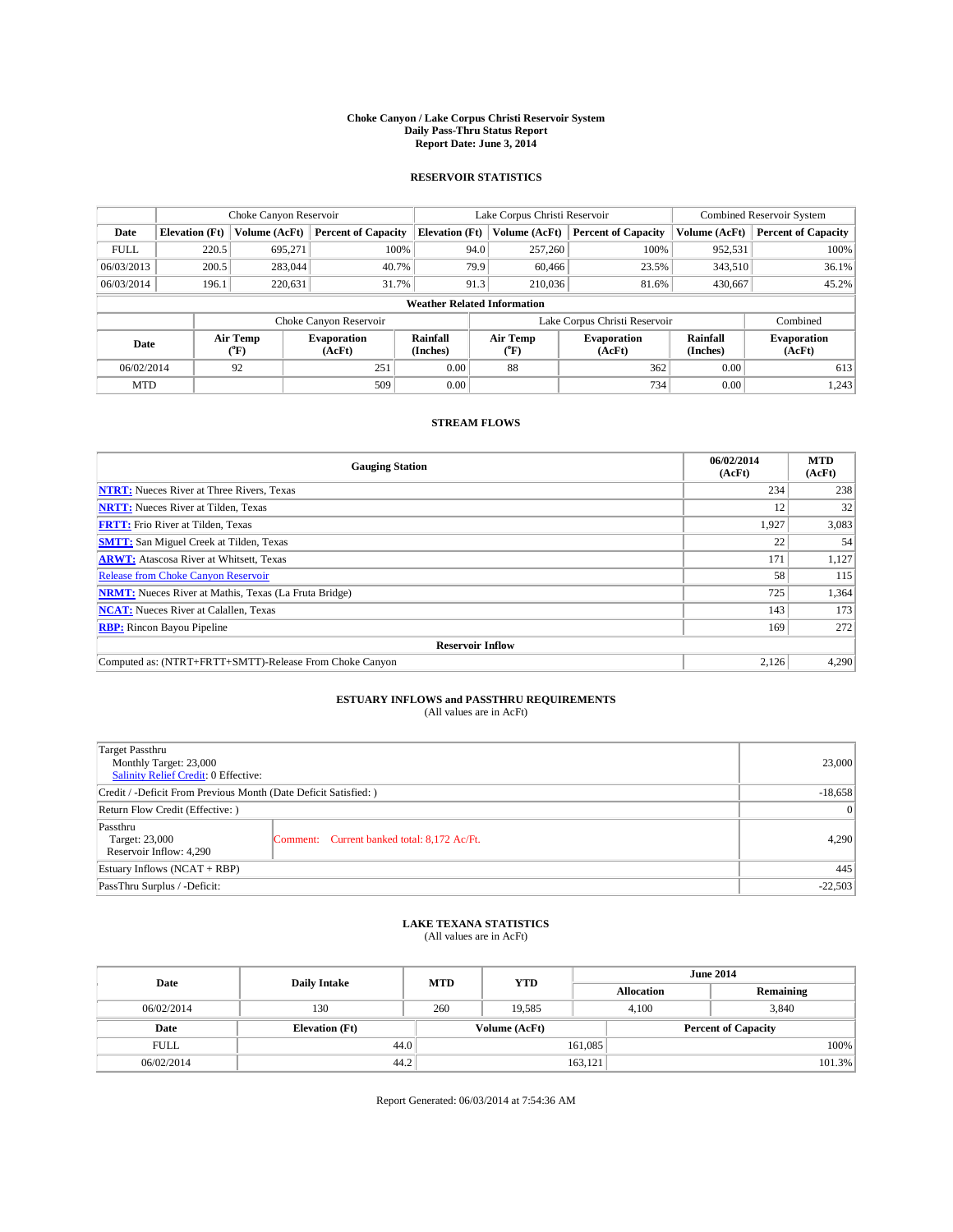#### **Choke Canyon / Lake Corpus Christi Reservoir System Daily Pass-Thru Status Report Report Date: June 3, 2014**

### **RESERVOIR STATISTICS**

|             | Choke Canyon Reservoir             |                  |                              |                       | Lake Corpus Christi Reservoir | <b>Combined Reservoir System</b> |                      |                              |  |
|-------------|------------------------------------|------------------|------------------------------|-----------------------|-------------------------------|----------------------------------|----------------------|------------------------------|--|
| Date        | <b>Elevation</b> (Ft)              | Volume (AcFt)    | <b>Percent of Capacity</b>   | <b>Elevation (Ft)</b> | Volume (AcFt)                 | <b>Percent of Capacity</b>       | Volume (AcFt)        | <b>Percent of Capacity</b>   |  |
| <b>FULL</b> | 220.5                              | 695.271          | 100%                         | 94.0                  | 257,260                       | 100%                             | 952,531              | 100%                         |  |
| 06/03/2013  | 200.5                              | 283,044          | 40.7%                        |                       | 79.9<br>60,466                | 23.5%                            | 343,510              | 36.1%                        |  |
| 06/03/2014  | 196.1                              | 220.631          | 31.7%                        | 91.3                  | 210,036                       | 81.6%                            | 430,667              | 45.2%                        |  |
|             | <b>Weather Related Information</b> |                  |                              |                       |                               |                                  |                      |                              |  |
|             |                                    |                  | Choke Canyon Reservoir       |                       |                               | Lake Corpus Christi Reservoir    |                      | Combined                     |  |
| Date        |                                    | Air Temp<br>(°F) | <b>Evaporation</b><br>(AcFt) | Rainfall<br>(Inches)  | Air Temp<br>(°F)              | <b>Evaporation</b><br>(AcFt)     | Rainfall<br>(Inches) | <b>Evaporation</b><br>(AcFt) |  |
| 06/02/2014  |                                    | 92               | 251                          | 0.00                  | 88                            | 362                              | 0.00                 | 613                          |  |
| <b>MTD</b>  |                                    |                  | 509                          | 0.00                  |                               | 734                              | 0.00                 | 1,243                        |  |

### **STREAM FLOWS**

| <b>Gauging Station</b>                                       | 06/02/2014<br>(AcFt) | <b>MTD</b><br>(AcFt) |  |  |  |  |
|--------------------------------------------------------------|----------------------|----------------------|--|--|--|--|
| <b>NTRT:</b> Nueces River at Three Rivers, Texas             | 234                  | 238                  |  |  |  |  |
| <b>NRTT:</b> Nueces River at Tilden, Texas                   | 12                   | 32                   |  |  |  |  |
| <b>FRTT:</b> Frio River at Tilden, Texas                     | 1,927                | 3,083                |  |  |  |  |
| <b>SMTT:</b> San Miguel Creek at Tilden, Texas               | 22                   | 54                   |  |  |  |  |
| <b>ARWT:</b> Atascosa River at Whitsett, Texas               | 171                  | 1,127                |  |  |  |  |
| <b>Release from Choke Canyon Reservoir</b>                   | 58                   | 115                  |  |  |  |  |
| <b>NRMT:</b> Nueces River at Mathis, Texas (La Fruta Bridge) | 725                  | 1,364                |  |  |  |  |
| <b>NCAT:</b> Nueces River at Calallen, Texas                 | 143                  | 173                  |  |  |  |  |
| <b>RBP:</b> Rincon Bayou Pipeline                            | 169                  | 272                  |  |  |  |  |
| <b>Reservoir Inflow</b>                                      |                      |                      |  |  |  |  |
| Computed as: (NTRT+FRTT+SMTT)-Release From Choke Canyon      | 2,126                | 4,290                |  |  |  |  |

# **ESTUARY INFLOWS and PASSTHRU REQUIREMENTS**<br>(All values are in AcFt)

| Target Passthru<br>Monthly Target: 23,000<br>Salinity Relief Credit: 0 Effective: |                                             | 23,000 |
|-----------------------------------------------------------------------------------|---------------------------------------------|--------|
| Credit / -Deficit From Previous Month (Date Deficit Satisfied: )                  | $-18,658$                                   |        |
| Return Flow Credit (Effective: )                                                  | $\vert 0 \vert$                             |        |
| Passthru<br>Target: 23,000<br>Reservoir Inflow: 4,290                             | Comment: Current banked total: 8,172 Ac/Ft. | 4.290  |
| Estuary Inflows (NCAT + RBP)                                                      |                                             | 445    |
| PassThru Surplus / -Deficit:                                                      | $-22,503$                                   |        |

# **LAKE TEXANA STATISTICS** (All values are in AcFt)

| Date        | <b>Daily Intake</b>   | <b>MTD</b> | <b>YTD</b>    | <b>June 2014</b>  |                            |  |  |
|-------------|-----------------------|------------|---------------|-------------------|----------------------------|--|--|
|             |                       |            |               | <b>Allocation</b> | Remaining                  |  |  |
| 06/02/2014  | 130                   | 260        | 19.585        | 4,100             | 3,840                      |  |  |
| Date        | <b>Elevation</b> (Ft) |            | Volume (AcFt) |                   | <b>Percent of Capacity</b> |  |  |
| <b>FULL</b> | 44.0                  |            |               | 161,085           | 100%                       |  |  |
| 06/02/2014  | 44.2                  |            |               | 163,121           | 101.3%                     |  |  |

Report Generated: 06/03/2014 at 7:54:36 AM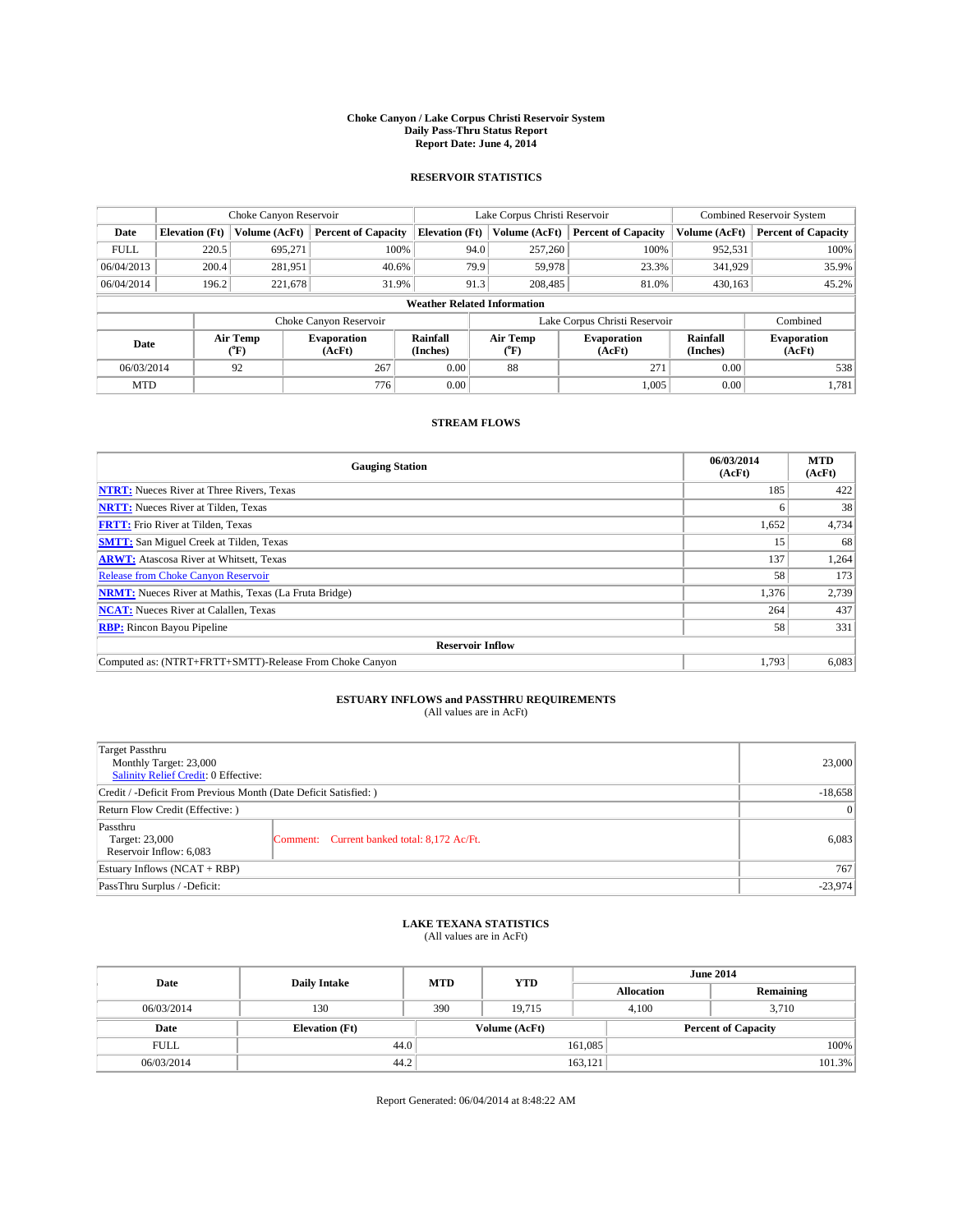#### **Choke Canyon / Lake Corpus Christi Reservoir System Daily Pass-Thru Status Report Report Date: June 4, 2014**

### **RESERVOIR STATISTICS**

|                   |                                    | Choke Canyon Reservoir |                              |                       | Lake Corpus Christi Reservoir | Combined Reservoir System     |               |                              |  |
|-------------------|------------------------------------|------------------------|------------------------------|-----------------------|-------------------------------|-------------------------------|---------------|------------------------------|--|
| Date              | <b>Elevation</b> (Ft)              | Volume (AcFt)          | <b>Percent of Capacity</b>   | <b>Elevation (Ft)</b> | Volume (AcFt)                 | <b>Percent of Capacity</b>    | Volume (AcFt) | <b>Percent of Capacity</b>   |  |
| <b>FULL</b>       | 220.5                              | 695,271                | 100%                         | 94.0                  | 257,260                       | 100%                          | 952,531       | 100%                         |  |
| 06/04/2013        | 200.4                              | 281,951                | 40.6%                        | 79.9                  | 59,978                        | 23.3%                         | 341,929       | 35.9%                        |  |
| 06/04/2014        | 196.2                              | 221,678                | 31.9%                        | 91.3                  | 208,485                       | 81.0%                         | 430.163       | 45.2%                        |  |
|                   | <b>Weather Related Information</b> |                        |                              |                       |                               |                               |               |                              |  |
|                   |                                    |                        | Choke Canyon Reservoir       |                       |                               | Lake Corpus Christi Reservoir |               | Combined                     |  |
| Date              |                                    | Air Temp<br>(°F)       | <b>Evaporation</b><br>(AcFt) | Rainfall<br>(Inches)  | Air Temp<br>(°F)              | <b>Evaporation</b><br>(AcFt)  |               | <b>Evaporation</b><br>(AcFt) |  |
|                   | 92<br>267<br>06/03/2014            |                        |                              | 0.00                  | 88                            | 271                           | 0.00          | 538                          |  |
| 776<br><b>MTD</b> |                                    | 0.00                   |                              | 1,005                 | 0.00                          | 1,781                         |               |                              |  |

### **STREAM FLOWS**

| <b>Gauging Station</b>                                       | 06/03/2014<br>(AcFt) | <b>MTD</b><br>(AcFt) |  |  |  |  |
|--------------------------------------------------------------|----------------------|----------------------|--|--|--|--|
| <b>NTRT:</b> Nueces River at Three Rivers, Texas             | 185                  | 422                  |  |  |  |  |
| <b>NRTT:</b> Nueces River at Tilden, Texas                   |                      | 38                   |  |  |  |  |
| <b>FRTT:</b> Frio River at Tilden, Texas                     | 1,652                | 4,734                |  |  |  |  |
| <b>SMTT:</b> San Miguel Creek at Tilden, Texas               | 15                   | 68                   |  |  |  |  |
| <b>ARWT:</b> Atascosa River at Whitsett, Texas               | 137                  | 1,264                |  |  |  |  |
| <b>Release from Choke Canyon Reservoir</b>                   | 58                   | 173                  |  |  |  |  |
| <b>NRMT:</b> Nueces River at Mathis, Texas (La Fruta Bridge) | 1,376                | 2,739                |  |  |  |  |
| <b>NCAT:</b> Nueces River at Calallen, Texas                 | 264                  | 437                  |  |  |  |  |
| <b>RBP:</b> Rincon Bayou Pipeline                            | 58                   | 331                  |  |  |  |  |
| <b>Reservoir Inflow</b>                                      |                      |                      |  |  |  |  |
| Computed as: (NTRT+FRTT+SMTT)-Release From Choke Canyon      | 1,793                | 6,083                |  |  |  |  |

# **ESTUARY INFLOWS and PASSTHRU REQUIREMENTS**<br>(All values are in AcFt)

| Target Passthru<br>Monthly Target: 23,000<br>Salinity Relief Credit: 0 Effective: |                                             | 23,000 |
|-----------------------------------------------------------------------------------|---------------------------------------------|--------|
| Credit / -Deficit From Previous Month (Date Deficit Satisfied: )                  | $-18,658$                                   |        |
| Return Flow Credit (Effective: )                                                  | $\vert$ 0                                   |        |
| Passthru<br>Target: 23,000<br>Reservoir Inflow: 6,083                             | Comment: Current banked total: 8,172 Ac/Ft. | 6,083  |
| Estuary Inflows (NCAT + RBP)                                                      |                                             | 767    |
| PassThru Surplus / -Deficit:                                                      | $-23,974$                                   |        |

# **LAKE TEXANA STATISTICS** (All values are in AcFt)

| Date        | <b>Daily Intake</b>   | <b>MTD</b> | <b>YTD</b>    | <b>June 2014</b>  |                            |           |  |
|-------------|-----------------------|------------|---------------|-------------------|----------------------------|-----------|--|
|             |                       |            |               | <b>Allocation</b> |                            | Remaining |  |
| 06/03/2014  | 130                   | 390        | 19.715        | 4,100             | 3,710                      |           |  |
| Date        | <b>Elevation</b> (Ft) |            | Volume (AcFt) |                   | <b>Percent of Capacity</b> |           |  |
| <b>FULL</b> | 44.0                  |            |               | 161,085           |                            | 100%      |  |
| 06/03/2014  | 44.2                  |            |               | 163,121           |                            | 101.3%    |  |

Report Generated: 06/04/2014 at 8:48:22 AM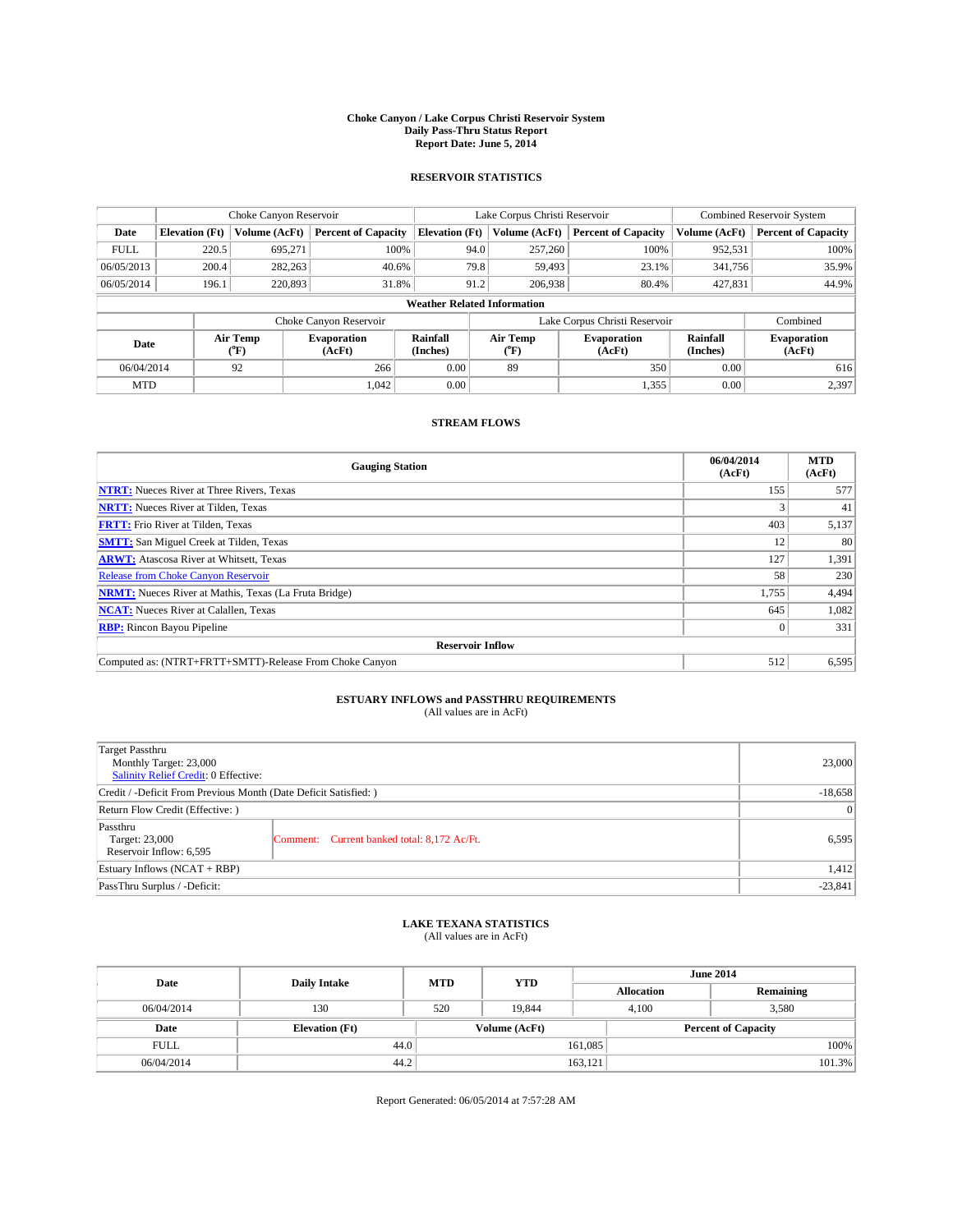#### **Choke Canyon / Lake Corpus Christi Reservoir System Daily Pass-Thru Status Report Report Date: June 5, 2014**

### **RESERVOIR STATISTICS**

|                     |                                    | Choke Canyon Reservoir |                              |                       | Lake Corpus Christi Reservoir | <b>Combined Reservoir System</b> |               |                              |  |
|---------------------|------------------------------------|------------------------|------------------------------|-----------------------|-------------------------------|----------------------------------|---------------|------------------------------|--|
| Date                | <b>Elevation</b> (Ft)              | Volume (AcFt)          | <b>Percent of Capacity</b>   | <b>Elevation (Ft)</b> | Volume (AcFt)                 | <b>Percent of Capacity</b>       | Volume (AcFt) | <b>Percent of Capacity</b>   |  |
| <b>FULL</b>         | 220.5                              | 695,271                | 100%                         | 94.0                  | 257,260                       | 100%                             | 952,531       | 100%                         |  |
| 06/05/2013          | 200.4                              | 282,263                | 40.6%                        | 79.8                  | 59,493                        | 23.1%                            | 341,756       | 35.9%                        |  |
| 06/05/2014          | 196.1                              | 220,893                | 31.8%                        | 91.2                  | 206,938                       | 80.4%                            | 427,831       | 44.9%                        |  |
|                     | <b>Weather Related Information</b> |                        |                              |                       |                               |                                  |               |                              |  |
|                     |                                    |                        | Choke Canyon Reservoir       |                       |                               | Lake Corpus Christi Reservoir    |               | Combined                     |  |
| Date                |                                    | Air Temp<br>(°F)       | <b>Evaporation</b><br>(AcFt) | Rainfall<br>(Inches)  | Air Temp<br>(°F)              | <b>Evaporation</b><br>(AcFt)     |               | <b>Evaporation</b><br>(AcFt) |  |
|                     | 92<br>06/04/2014                   |                        | 266                          | 0.00                  | 89                            | 350                              | 0.00          | 616                          |  |
| 1.042<br><b>MTD</b> |                                    | 0.00                   |                              | 1,355                 | 0.00                          | 2,397                            |               |                              |  |

### **STREAM FLOWS**

| <b>Gauging Station</b>                                       | 06/04/2014<br>(AcFt) | <b>MTD</b><br>(AcFt) |  |  |  |  |
|--------------------------------------------------------------|----------------------|----------------------|--|--|--|--|
| <b>NTRT:</b> Nueces River at Three Rivers, Texas             | 155                  | 577                  |  |  |  |  |
| <b>NRTT:</b> Nueces River at Tilden, Texas                   |                      | 41                   |  |  |  |  |
| <b>FRTT:</b> Frio River at Tilden, Texas                     | 403                  | 5,137                |  |  |  |  |
| <b>SMTT:</b> San Miguel Creek at Tilden, Texas               | 12                   | 80                   |  |  |  |  |
| <b>ARWT:</b> Atascosa River at Whitsett, Texas               | 127                  | 1,391                |  |  |  |  |
| <b>Release from Choke Canyon Reservoir</b>                   | 58                   | 230                  |  |  |  |  |
| <b>NRMT:</b> Nueces River at Mathis, Texas (La Fruta Bridge) | 1,755                | 4,494                |  |  |  |  |
| <b>NCAT:</b> Nueces River at Calallen, Texas                 | 645                  | 1,082                |  |  |  |  |
| <b>RBP:</b> Rincon Bayou Pipeline                            | $\Omega$             | 331                  |  |  |  |  |
| <b>Reservoir Inflow</b>                                      |                      |                      |  |  |  |  |
| Computed as: (NTRT+FRTT+SMTT)-Release From Choke Canyon      | 512                  | 6,595                |  |  |  |  |

# **ESTUARY INFLOWS and PASSTHRU REQUIREMENTS**<br>(All values are in AcFt)

| Target Passthru<br>Monthly Target: 23,000<br>Salinity Relief Credit: 0 Effective: |                                             | 23,000 |
|-----------------------------------------------------------------------------------|---------------------------------------------|--------|
| Credit / -Deficit From Previous Month (Date Deficit Satisfied: )                  | $-18,658$                                   |        |
| Return Flow Credit (Effective: )                                                  |                                             |        |
| Passthru<br>Target: 23,000<br>Reservoir Inflow: 6,595                             | Comment: Current banked total: 8,172 Ac/Ft. | 6,595  |
| Estuary Inflows (NCAT + RBP)                                                      |                                             |        |
| PassThru Surplus / -Deficit:                                                      | $-23,841$                                   |        |

## **LAKE TEXANA STATISTICS** (All values are in AcFt)

| Date        | <b>Daily Intake</b>   | <b>MTD</b> | <b>YTD</b>    | <b>June 2014</b>  |                            |  |  |
|-------------|-----------------------|------------|---------------|-------------------|----------------------------|--|--|
|             |                       |            |               | <b>Allocation</b> | Remaining                  |  |  |
| 06/04/2014  | 130                   | 520        | 19.844        | 4,100             | 3,580                      |  |  |
| Date        | <b>Elevation</b> (Ft) |            | Volume (AcFt) |                   | <b>Percent of Capacity</b> |  |  |
| <b>FULL</b> | 44.0                  |            |               | 161,085           | 100%                       |  |  |
| 06/04/2014  | 44.2                  |            |               | 163,121           | 101.3%                     |  |  |

Report Generated: 06/05/2014 at 7:57:28 AM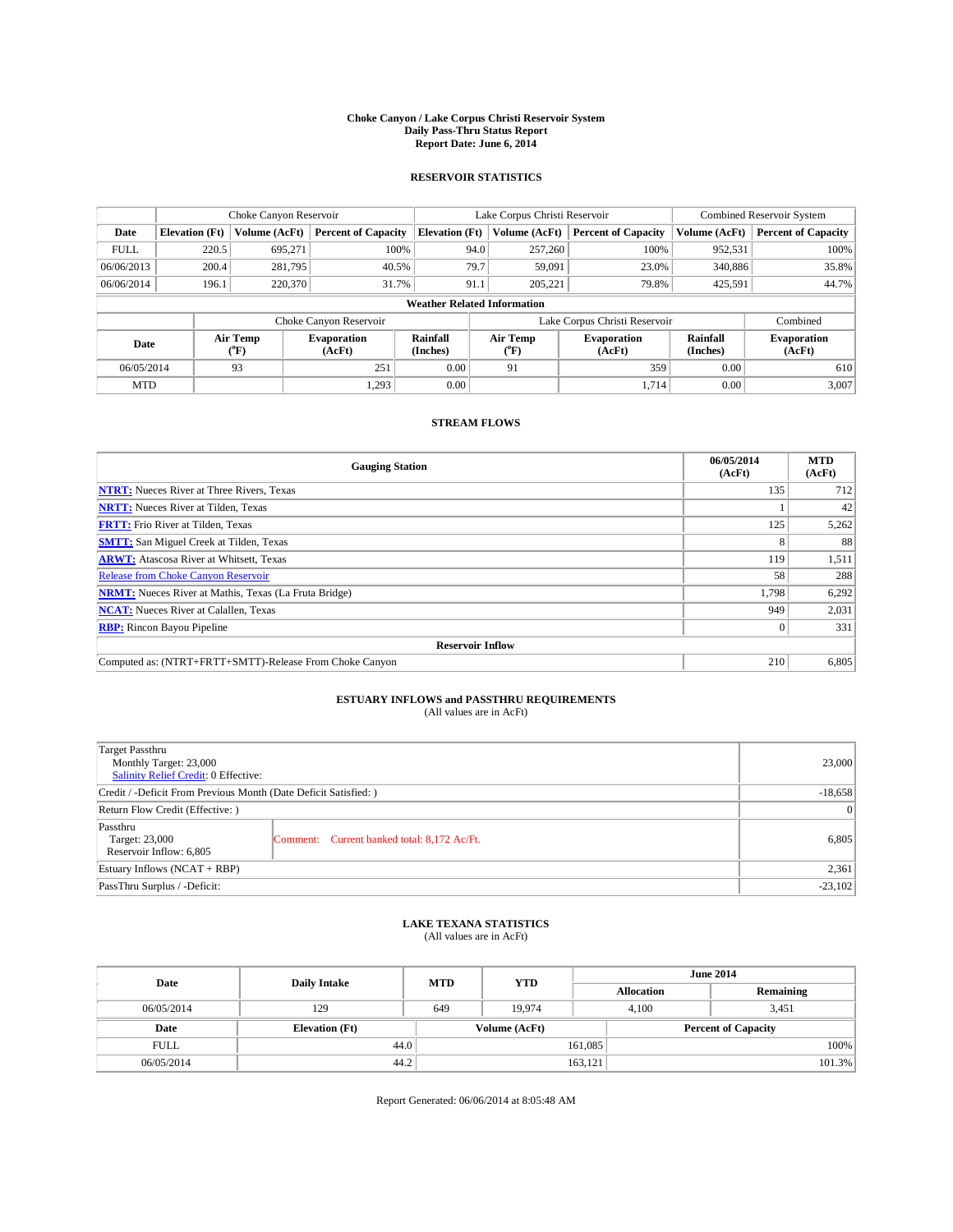#### **Choke Canyon / Lake Corpus Christi Reservoir System Daily Pass-Thru Status Report Report Date: June 6, 2014**

### **RESERVOIR STATISTICS**

|             |                                    | Choke Canyon Reservoir |                              |                       | Lake Corpus Christi Reservoir | <b>Combined Reservoir System</b> |                      |                              |  |
|-------------|------------------------------------|------------------------|------------------------------|-----------------------|-------------------------------|----------------------------------|----------------------|------------------------------|--|
| Date        | <b>Elevation</b> (Ft)              | Volume (AcFt)          | <b>Percent of Capacity</b>   | <b>Elevation (Ft)</b> | Volume (AcFt)                 | <b>Percent of Capacity</b>       | Volume (AcFt)        | Percent of Capacity          |  |
| <b>FULL</b> | 220.5                              | 695,271                | 100%                         | 94.0                  | 257,260                       | 100%                             | 952,531              | 100%                         |  |
| 06/06/2013  | 200.4                              | 281,795                | 40.5%                        | 79.7                  | 59,091                        | 23.0%                            | 340,886              | 35.8%                        |  |
| 06/06/2014  | 196.1                              | 220,370                | 31.7%                        | 91.1                  | 205.221                       | 79.8%                            | 425,591              | 44.7%                        |  |
|             | <b>Weather Related Information</b> |                        |                              |                       |                               |                                  |                      |                              |  |
|             |                                    |                        | Choke Canyon Reservoir       |                       |                               | Lake Corpus Christi Reservoir    |                      | Combined                     |  |
| Date        |                                    | Air Temp<br>(°F)       | <b>Evaporation</b><br>(AcFt) | Rainfall<br>(Inches)  | Air Temp<br>("F)              | <b>Evaporation</b><br>(AcFt)     | Rainfall<br>(Inches) | <b>Evaporation</b><br>(AcFt) |  |
| 06/05/2014  |                                    | 93                     | 251                          | 0.00                  | 91                            | 359                              | 0.00                 | 610                          |  |
| <b>MTD</b>  |                                    |                        | 1,293                        | 0.00                  |                               | 1.714                            | 0.00                 | 3.007                        |  |

### **STREAM FLOWS**

| <b>Gauging Station</b>                                       | 06/05/2014<br>(AcFt) | <b>MTD</b><br>(AcFt) |  |  |  |  |
|--------------------------------------------------------------|----------------------|----------------------|--|--|--|--|
| <b>NTRT:</b> Nueces River at Three Rivers, Texas             | 135                  | 712                  |  |  |  |  |
| <b>NRTT:</b> Nueces River at Tilden, Texas                   |                      | 42                   |  |  |  |  |
| <b>FRTT:</b> Frio River at Tilden, Texas                     | 125                  | 5,262                |  |  |  |  |
| <b>SMTT:</b> San Miguel Creek at Tilden, Texas               |                      | 88                   |  |  |  |  |
| <b>ARWT:</b> Atascosa River at Whitsett, Texas               | 119                  | 1,511                |  |  |  |  |
| <b>Release from Choke Canyon Reservoir</b>                   | 58                   | 288                  |  |  |  |  |
| <b>NRMT:</b> Nueces River at Mathis, Texas (La Fruta Bridge) | 1,798                | 6,292                |  |  |  |  |
| <b>NCAT:</b> Nueces River at Calallen, Texas                 | 949                  | 2,031                |  |  |  |  |
| <b>RBP:</b> Rincon Bayou Pipeline                            | $\Omega$             | 331                  |  |  |  |  |
| <b>Reservoir Inflow</b>                                      |                      |                      |  |  |  |  |
| Computed as: (NTRT+FRTT+SMTT)-Release From Choke Canyon      | 210                  | 6,805                |  |  |  |  |

# **ESTUARY INFLOWS and PASSTHRU REQUIREMENTS**<br>(All values are in AcFt)

| Target Passthru<br>Monthly Target: 23,000<br>Salinity Relief Credit: 0 Effective: |                                             | 23,000 |  |
|-----------------------------------------------------------------------------------|---------------------------------------------|--------|--|
| Credit / -Deficit From Previous Month (Date Deficit Satisfied: )                  |                                             |        |  |
| Return Flow Credit (Effective: )                                                  |                                             |        |  |
| Passthru<br>Target: 23,000<br>Reservoir Inflow: 6,805                             | Comment: Current banked total: 8,172 Ac/Ft. | 6,805  |  |
| Estuary Inflows (NCAT + RBP)                                                      |                                             | 2,361  |  |
| PassThru Surplus / -Deficit:                                                      |                                             |        |  |

# **LAKE TEXANA STATISTICS** (All values are in AcFt)

| Date        | <b>Daily Intake</b>   | <b>MTD</b> | <b>YTD</b>    | <b>June 2014</b>  |                            |           |  |
|-------------|-----------------------|------------|---------------|-------------------|----------------------------|-----------|--|
|             |                       |            |               | <b>Allocation</b> |                            | Remaining |  |
| 06/05/2014  | 129                   | 649        | 19.974        |                   | 4.100<br>3,451             |           |  |
| Date        | <b>Elevation</b> (Ft) |            | Volume (AcFt) |                   | <b>Percent of Capacity</b> |           |  |
| <b>FULL</b> | 44.0                  |            |               | 161,085           |                            | 100%      |  |
| 06/05/2014  | 44.2                  |            |               | 163,121           |                            | 101.3%    |  |

Report Generated: 06/06/2014 at 8:05:48 AM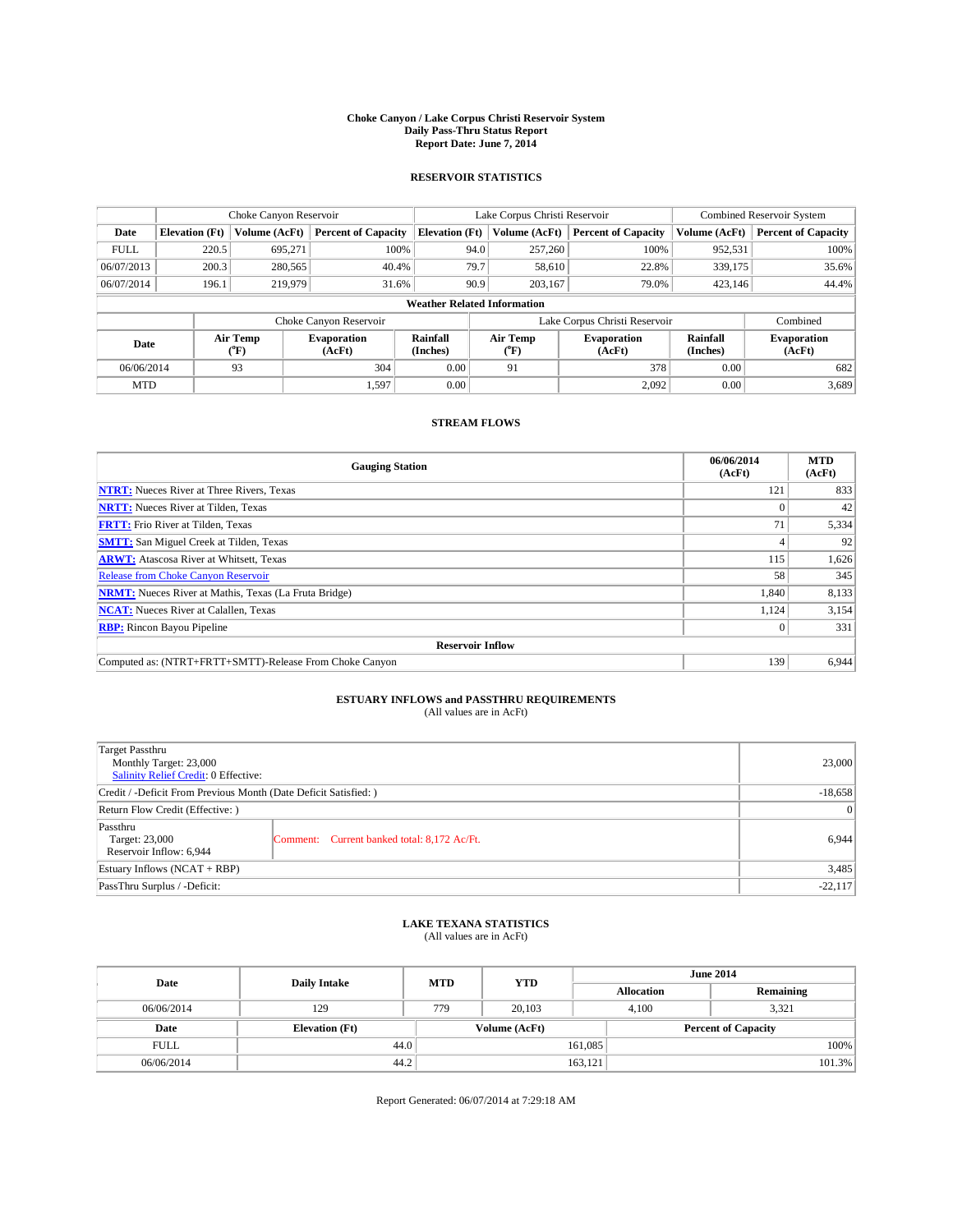#### **Choke Canyon / Lake Corpus Christi Reservoir System Daily Pass-Thru Status Report Report Date: June 7, 2014**

### **RESERVOIR STATISTICS**

|             |                                    | Choke Canyon Reservoir |                              |                       | Lake Corpus Christi Reservoir | <b>Combined Reservoir System</b> |                      |                              |  |
|-------------|------------------------------------|------------------------|------------------------------|-----------------------|-------------------------------|----------------------------------|----------------------|------------------------------|--|
| Date        | <b>Elevation</b> (Ft)              | Volume (AcFt)          | <b>Percent of Capacity</b>   | <b>Elevation (Ft)</b> | Volume (AcFt)                 | <b>Percent of Capacity</b>       | Volume (AcFt)        | <b>Percent of Capacity</b>   |  |
| <b>FULL</b> | 220.5                              | 695,271                | 100%                         | 94.0                  | 257,260                       | 100%                             | 952,531              | 100%                         |  |
| 06/07/2013  | 200.3                              | 280,565                | 40.4%                        | 79.7                  | 58,610                        | 22.8%                            | 339,175              | 35.6%                        |  |
| 06/07/2014  | 196.1                              | 219,979                | 31.6%                        | 90.9                  | 203.167                       | 79.0%                            | 423,146              | 44.4%                        |  |
|             | <b>Weather Related Information</b> |                        |                              |                       |                               |                                  |                      |                              |  |
|             |                                    |                        | Choke Canyon Reservoir       |                       |                               | Lake Corpus Christi Reservoir    |                      | Combined                     |  |
| Date        | Air Temp<br>(°F)                   |                        | <b>Evaporation</b><br>(AcFt) | Rainfall<br>(Inches)  | Air Temp<br>(°F)              | <b>Evaporation</b><br>(AcFt)     | Rainfall<br>(Inches) | <b>Evaporation</b><br>(AcFt) |  |
|             | 304<br>93<br>06/06/2014            |                        | 0.00                         | 91                    | 378                           | 0.00                             | 682                  |                              |  |
| <b>MTD</b>  |                                    |                        | 1,597                        | 0.00                  |                               | 2,092                            | 0.00                 | 3,689                        |  |

### **STREAM FLOWS**

| <b>Gauging Station</b>                                       | 06/06/2014<br>(AcFt) | <b>MTD</b><br>(AcFt) |  |  |  |  |
|--------------------------------------------------------------|----------------------|----------------------|--|--|--|--|
| <b>NTRT:</b> Nueces River at Three Rivers, Texas             | 121                  | 833                  |  |  |  |  |
| <b>NRTT:</b> Nueces River at Tilden, Texas                   |                      | 42                   |  |  |  |  |
| <b>FRTT:</b> Frio River at Tilden, Texas                     | 71                   | 5,334                |  |  |  |  |
| <b>SMTT:</b> San Miguel Creek at Tilden, Texas               |                      | 92                   |  |  |  |  |
| <b>ARWT:</b> Atascosa River at Whitsett, Texas               | 115                  | 1,626                |  |  |  |  |
| Release from Choke Canyon Reservoir                          | 58                   | 345                  |  |  |  |  |
| <b>NRMT:</b> Nueces River at Mathis, Texas (La Fruta Bridge) | 1,840                | 8,133                |  |  |  |  |
| <b>NCAT:</b> Nueces River at Calallen, Texas                 | 1,124                | 3,154                |  |  |  |  |
| <b>RBP:</b> Rincon Bayou Pipeline                            | $_{0}$               | 331                  |  |  |  |  |
| <b>Reservoir Inflow</b>                                      |                      |                      |  |  |  |  |
| Computed as: (NTRT+FRTT+SMTT)-Release From Choke Canyon      | 139                  | 6,944                |  |  |  |  |

# **ESTUARY INFLOWS and PASSTHRU REQUIREMENTS**<br>(All values are in AcFt)

| Target Passthru<br>Monthly Target: 23,000<br>Salinity Relief Credit: 0 Effective: |                                             | 23,000    |
|-----------------------------------------------------------------------------------|---------------------------------------------|-----------|
| Credit / -Deficit From Previous Month (Date Deficit Satisfied: )                  | $-18,658$                                   |           |
| Return Flow Credit (Effective: )                                                  |                                             |           |
| Passthru<br>Target: 23,000<br>Reservoir Inflow: 6,944                             | Comment: Current banked total: 8,172 Ac/Ft. | 6,944     |
| Estuary Inflows (NCAT + RBP)                                                      |                                             | 3,485     |
| PassThru Surplus / -Deficit:                                                      |                                             | $-22,117$ |

## **LAKE TEXANA STATISTICS** (All values are in AcFt)

| Date        | <b>Daily Intake</b>   | <b>MTD</b> | <b>YTD</b>    |                   | <b>June 2014</b>           |  |
|-------------|-----------------------|------------|---------------|-------------------|----------------------------|--|
|             |                       |            |               | <b>Allocation</b> | Remaining                  |  |
| 06/06/2014  | 129                   | 779        | 20,103        | 4,100             | 3,321                      |  |
| Date        | <b>Elevation</b> (Ft) |            | Volume (AcFt) |                   | <b>Percent of Capacity</b> |  |
| <b>FULL</b> | 44.0                  |            |               | 161,085           | 100%                       |  |
| 06/06/2014  | 44.2                  |            |               | 163,121           | 101.3%                     |  |

Report Generated: 06/07/2014 at 7:29:18 AM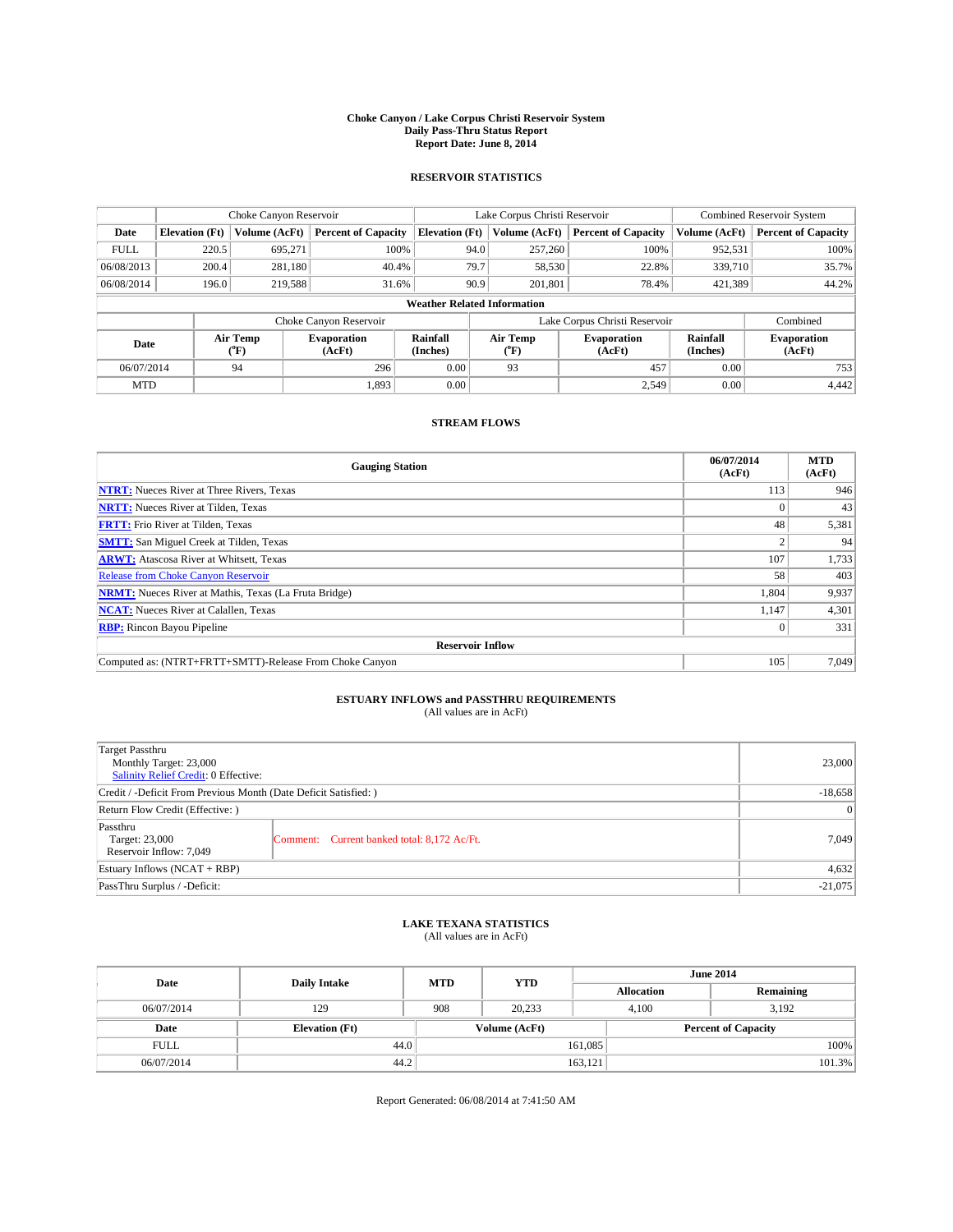#### **Choke Canyon / Lake Corpus Christi Reservoir System Daily Pass-Thru Status Report Report Date: June 8, 2014**

### **RESERVOIR STATISTICS**

|             |                                    | Choke Canyon Reservoir |                              |                       | Lake Corpus Christi Reservoir | <b>Combined Reservoir System</b> |                      |                              |  |
|-------------|------------------------------------|------------------------|------------------------------|-----------------------|-------------------------------|----------------------------------|----------------------|------------------------------|--|
| Date        | <b>Elevation</b> (Ft)              | Volume (AcFt)          | <b>Percent of Capacity</b>   | <b>Elevation (Ft)</b> | Volume (AcFt)                 | <b>Percent of Capacity</b>       | Volume (AcFt)        | Percent of Capacity          |  |
| <b>FULL</b> | 220.5                              | 695,271                | 100%                         | 94.0                  | 257,260                       | 100%                             | 952,531              | 100%                         |  |
| 06/08/2013  | 200.4                              | 281,180                | 40.4%                        | 79.7                  | 58,530                        | 22.8%                            | 339,710              | 35.7%                        |  |
| 06/08/2014  | 196.0                              | 219,588                | 31.6%                        | 90.9                  | 201.801                       | 78.4%                            | 421,389              | 44.2%                        |  |
|             | <b>Weather Related Information</b> |                        |                              |                       |                               |                                  |                      |                              |  |
|             |                                    |                        | Choke Canyon Reservoir       |                       |                               | Lake Corpus Christi Reservoir    |                      | Combined                     |  |
| Date        |                                    | Air Temp<br>(°F)       | <b>Evaporation</b><br>(AcFt) | Rainfall<br>(Inches)  | Air Temp<br>("F)              | <b>Evaporation</b><br>(AcFt)     | Rainfall<br>(Inches) | <b>Evaporation</b><br>(AcFt) |  |
|             | 06/07/2014<br>296<br>94            |                        | 0.00                         | 93                    | 457                           | 0.00                             | 753                  |                              |  |
| <b>MTD</b>  |                                    |                        | 1.893                        | 0.00                  |                               | 2,549                            | 0.00                 | 4.442                        |  |

### **STREAM FLOWS**

| <b>Gauging Station</b>                                       | 06/07/2014<br>(AcFt) | <b>MTD</b><br>(AcFt) |  |  |  |
|--------------------------------------------------------------|----------------------|----------------------|--|--|--|
| <b>NTRT:</b> Nueces River at Three Rivers, Texas             | 113                  | 946                  |  |  |  |
| <b>NRTT:</b> Nueces River at Tilden, Texas                   |                      | 43                   |  |  |  |
| <b>FRTT:</b> Frio River at Tilden, Texas                     | 48                   | 5,381                |  |  |  |
| <b>SMTT:</b> San Miguel Creek at Tilden, Texas               |                      | 94                   |  |  |  |
| <b>ARWT:</b> Atascosa River at Whitsett, Texas               | 107                  | 1,733                |  |  |  |
| <b>Release from Choke Canyon Reservoir</b>                   | 58                   | 403                  |  |  |  |
| <b>NRMT:</b> Nueces River at Mathis, Texas (La Fruta Bridge) | 1,804                | 9,937                |  |  |  |
| <b>NCAT:</b> Nueces River at Calallen, Texas                 | 1.147                | 4,301                |  |  |  |
| <b>RBP:</b> Rincon Bayou Pipeline                            | $\Omega$             | 331                  |  |  |  |
| <b>Reservoir Inflow</b>                                      |                      |                      |  |  |  |
| Computed as: (NTRT+FRTT+SMTT)-Release From Choke Canyon      | 105                  | 7,049                |  |  |  |

# **ESTUARY INFLOWS and PASSTHRU REQUIREMENTS**<br>(All values are in AcFt)

| Target Passthru<br>Monthly Target: 23,000<br>Salinity Relief Credit: 0 Effective: |                                             | 23,000    |
|-----------------------------------------------------------------------------------|---------------------------------------------|-----------|
| Credit / -Deficit From Previous Month (Date Deficit Satisfied: )                  | $-18,658$                                   |           |
| Return Flow Credit (Effective: )                                                  | $\vert 0 \vert$                             |           |
| Passthru<br>Target: 23,000<br>Reservoir Inflow: 7,049                             | Comment: Current banked total: 8,172 Ac/Ft. | 7,049     |
| Estuary Inflows (NCAT + RBP)                                                      |                                             | 4,632     |
| PassThru Surplus / -Deficit:                                                      |                                             | $-21,075$ |

## **LAKE TEXANA STATISTICS** (All values are in AcFt)

| Date        | <b>Daily Intake</b>   | <b>MTD</b>    | <b>YTD</b> |                   | <b>June 2014</b>           |  |  |
|-------------|-----------------------|---------------|------------|-------------------|----------------------------|--|--|
|             |                       |               |            | <b>Allocation</b> | Remaining                  |  |  |
| 06/07/2014  | 129                   | 908           | 20,233     | 4,100             | 3,192                      |  |  |
| Date        | <b>Elevation</b> (Ft) | Volume (AcFt) |            |                   | <b>Percent of Capacity</b> |  |  |
| <b>FULL</b> | 44.0                  |               |            | 161,085           | 100%                       |  |  |
| 06/07/2014  | 44.2                  |               |            | 163,121           | 101.3%                     |  |  |

Report Generated: 06/08/2014 at 7:41:50 AM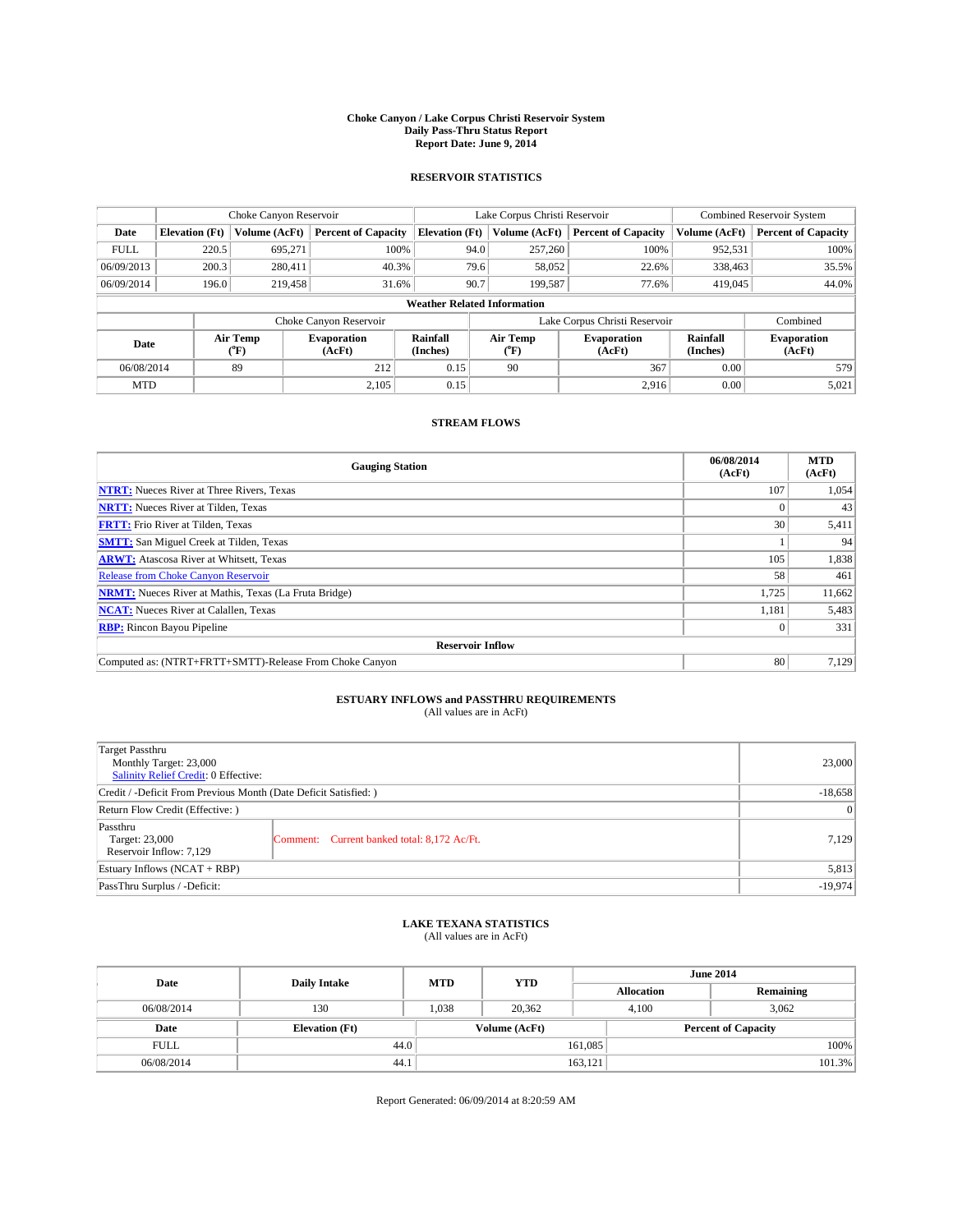#### **Choke Canyon / Lake Corpus Christi Reservoir System Daily Pass-Thru Status Report Report Date: June 9, 2014**

### **RESERVOIR STATISTICS**

|             |                                    | Choke Canyon Reservoir |                            |                       | Lake Corpus Christi Reservoir | <b>Combined Reservoir System</b> |                      |                              |  |
|-------------|------------------------------------|------------------------|----------------------------|-----------------------|-------------------------------|----------------------------------|----------------------|------------------------------|--|
| Date        | <b>Elevation</b> (Ft)              | Volume (AcFt)          | <b>Percent of Capacity</b> | <b>Elevation (Ft)</b> | Volume (AcFt)                 | <b>Percent of Capacity</b>       | Volume (AcFt)        | Percent of Capacity          |  |
| <b>FULL</b> | 220.5                              | 695,271                | 100%                       | 94.0                  | 257,260                       | 100%                             | 952,531              | 100%                         |  |
| 06/09/2013  | 200.3                              | 280,411                | 40.3%                      | 79.6                  | 58,052                        | 22.6%                            | 338,463              | 35.5%                        |  |
| 06/09/2014  | 196.0                              | 219,458                | 31.6%                      | 90.7                  | 199.587                       | 77.6%                            | 419,045              | 44.0%                        |  |
|             | <b>Weather Related Information</b> |                        |                            |                       |                               |                                  |                      |                              |  |
|             |                                    |                        | Choke Canyon Reservoir     |                       |                               | Lake Corpus Christi Reservoir    |                      | Combined                     |  |
| Date        |                                    | Air Temp<br>(°F)       | Evaporation<br>(AcFt)      | Rainfall<br>(Inches)  | Air Temp<br>("F)              | <b>Evaporation</b><br>(AcFt)     | Rainfall<br>(Inches) | <b>Evaporation</b><br>(AcFt) |  |
| 06/08/2014  |                                    | 89                     | 212                        | 0.15                  | 90                            | 367                              | 0.00                 | 579                          |  |
| <b>MTD</b>  |                                    |                        | 2.105                      | 0.15                  |                               | 2,916                            | 0.00                 | 5,021                        |  |

### **STREAM FLOWS**

| <b>Gauging Station</b>                                       | 06/08/2014<br>(AcFt) | <b>MTD</b><br>(AcFt) |  |  |  |  |
|--------------------------------------------------------------|----------------------|----------------------|--|--|--|--|
| <b>NTRT:</b> Nueces River at Three Rivers, Texas             | 107                  | 1,054                |  |  |  |  |
| <b>NRTT:</b> Nueces River at Tilden, Texas                   |                      | 43                   |  |  |  |  |
| <b>FRTT:</b> Frio River at Tilden, Texas                     | 30                   | 5,411                |  |  |  |  |
| <b>SMTT:</b> San Miguel Creek at Tilden, Texas               |                      | 94                   |  |  |  |  |
| <b>ARWT:</b> Atascosa River at Whitsett, Texas               | 105                  | 1,838                |  |  |  |  |
| <b>Release from Choke Canyon Reservoir</b>                   | 58                   | 461                  |  |  |  |  |
| <b>NRMT:</b> Nueces River at Mathis, Texas (La Fruta Bridge) | 1,725                | 11,662               |  |  |  |  |
| <b>NCAT:</b> Nueces River at Calallen, Texas                 | 1,181                | 5,483                |  |  |  |  |
| <b>RBP:</b> Rincon Bayou Pipeline                            | $\Omega$             | 331                  |  |  |  |  |
| <b>Reservoir Inflow</b>                                      |                      |                      |  |  |  |  |
| Computed as: (NTRT+FRTT+SMTT)-Release From Choke Canyon      | 80                   | 7,129                |  |  |  |  |

# **ESTUARY INFLOWS and PASSTHRU REQUIREMENTS** (All values are in AcFt)

| Target Passthru<br>Monthly Target: 23,000<br>Salinity Relief Credit: 0 Effective: |                                             | 23,000    |
|-----------------------------------------------------------------------------------|---------------------------------------------|-----------|
| Credit / -Deficit From Previous Month (Date Deficit Satisfied: )                  | $-18,658$                                   |           |
| Return Flow Credit (Effective: )                                                  |                                             |           |
| Passthru<br>Target: 23,000<br>Reservoir Inflow: 7,129                             | Comment: Current banked total: 8,172 Ac/Ft. | 7,129     |
| Estuary Inflows (NCAT + RBP)                                                      |                                             | 5,813     |
| PassThru Surplus / -Deficit:                                                      |                                             | $-19,974$ |

## **LAKE TEXANA STATISTICS** (All values are in AcFt)

| Date        | <b>Daily Intake</b>   | <b>YTD</b><br><b>MTD</b> |               | <b>June 2014</b>  |                            |           |
|-------------|-----------------------|--------------------------|---------------|-------------------|----------------------------|-----------|
|             |                       |                          |               | <b>Allocation</b> |                            | Remaining |
| 06/08/2014  | 130                   | 1,038                    | 20,362        |                   | 3,062<br>4,100             |           |
| Date        | <b>Elevation</b> (Ft) |                          | Volume (AcFt) |                   | <b>Percent of Capacity</b> |           |
| <b>FULL</b> | 44.0                  |                          |               | 161,085           |                            | 100%      |
| 06/08/2014  | 44.1                  |                          |               | 163,121           |                            | 101.3%    |

Report Generated: 06/09/2014 at 8:20:59 AM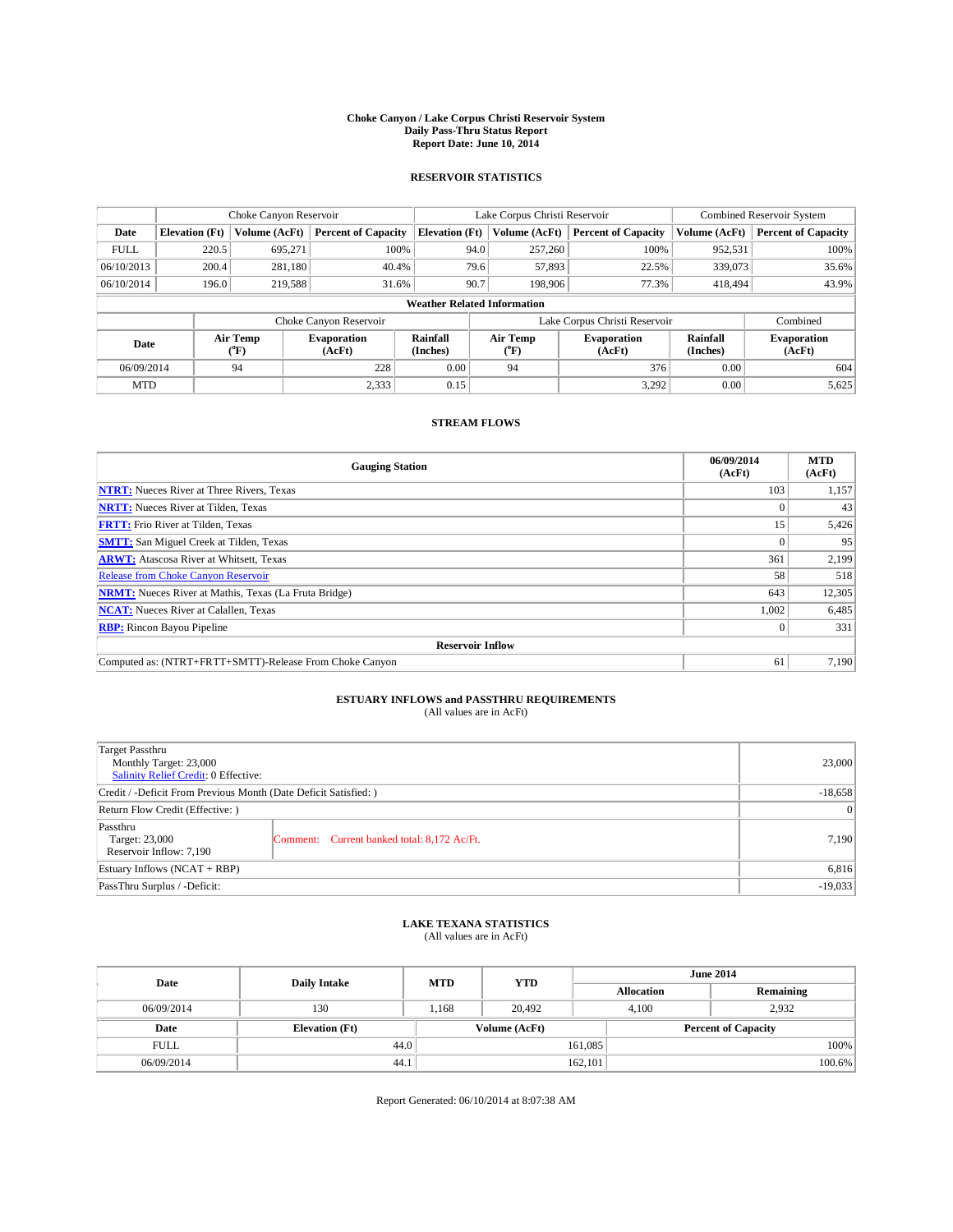#### **Choke Canyon / Lake Corpus Christi Reservoir System Daily Pass-Thru Status Report Report Date: June 10, 2014**

### **RESERVOIR STATISTICS**

|             |                                    | Choke Canyon Reservoir |                              |                       | Lake Corpus Christi Reservoir | <b>Combined Reservoir System</b> |                      |                              |  |
|-------------|------------------------------------|------------------------|------------------------------|-----------------------|-------------------------------|----------------------------------|----------------------|------------------------------|--|
| Date        | <b>Elevation</b> (Ft)              | Volume (AcFt)          | <b>Percent of Capacity</b>   | <b>Elevation (Ft)</b> | Volume (AcFt)                 | <b>Percent of Capacity</b>       | Volume (AcFt)        | <b>Percent of Capacity</b>   |  |
| <b>FULL</b> | 220.5                              | 695,271                | 100%                         | 94.0                  | 257,260                       | 100%                             | 952,531              | 100%                         |  |
| 06/10/2013  | 200.4                              | 281,180                | 40.4%                        | 79.6                  | 57,893                        | 22.5%                            | 339,073              | 35.6%                        |  |
| 06/10/2014  | 196.0                              | 219,588                | 31.6%                        | 90.7                  | 198,906                       | 77.3%                            | 418,494              | 43.9%                        |  |
|             | <b>Weather Related Information</b> |                        |                              |                       |                               |                                  |                      |                              |  |
|             |                                    |                        | Choke Canyon Reservoir       |                       | Lake Corpus Christi Reservoir |                                  | Combined             |                              |  |
| Date        |                                    | Air Temp<br>(°F)       | <b>Evaporation</b><br>(AcFt) | Rainfall<br>(Inches)  | Air Temp<br>(°F)              | <b>Evaporation</b><br>(AcFt)     | Rainfall<br>(Inches) | <b>Evaporation</b><br>(AcFt) |  |
| 06/09/2014  |                                    | 94                     | 228                          | 0.00                  | 94                            | 376                              | 0.00                 | 604                          |  |
| <b>MTD</b>  |                                    |                        | 2,333                        | 0.15                  |                               | 3,292                            | 0.00                 | 5,625                        |  |

### **STREAM FLOWS**

| <b>Gauging Station</b>                                       | 06/09/2014<br>(AcFt) | <b>MTD</b><br>(AcFt) |  |  |  |  |
|--------------------------------------------------------------|----------------------|----------------------|--|--|--|--|
| <b>NTRT:</b> Nueces River at Three Rivers, Texas             | 103                  | 1,157                |  |  |  |  |
| <b>NRTT:</b> Nueces River at Tilden, Texas                   |                      | 43                   |  |  |  |  |
| <b>FRTT:</b> Frio River at Tilden, Texas                     | 15                   | 5,426                |  |  |  |  |
| <b>SMTT:</b> San Miguel Creek at Tilden, Texas               |                      | 95                   |  |  |  |  |
| <b>ARWT:</b> Atascosa River at Whitsett, Texas               | 361                  | 2,199                |  |  |  |  |
| <b>Release from Choke Canyon Reservoir</b>                   | 58                   | 518                  |  |  |  |  |
| <b>NRMT:</b> Nueces River at Mathis, Texas (La Fruta Bridge) | 643                  | 12,305               |  |  |  |  |
| <b>NCAT:</b> Nueces River at Calallen, Texas                 | 1,002                | 6,485                |  |  |  |  |
| <b>RBP:</b> Rincon Bayou Pipeline                            | $\Omega$             | 331                  |  |  |  |  |
| <b>Reservoir Inflow</b>                                      |                      |                      |  |  |  |  |
| Computed as: (NTRT+FRTT+SMTT)-Release From Choke Canyon      | 61                   | 7,190                |  |  |  |  |

# **ESTUARY INFLOWS and PASSTHRU REQUIREMENTS**<br>(All values are in AcFt)

| Target Passthru<br>Monthly Target: 23,000<br>Salinity Relief Credit: 0 Effective: | 23,000                                      |       |  |  |
|-----------------------------------------------------------------------------------|---------------------------------------------|-------|--|--|
| Credit / -Deficit From Previous Month (Date Deficit Satisfied: )                  |                                             |       |  |  |
| Return Flow Credit (Effective: )                                                  | $\vert$ 0                                   |       |  |  |
| Passthru<br>Target: 23,000<br>Reservoir Inflow: 7,190                             | Comment: Current banked total: 8,172 Ac/Ft. | 7,190 |  |  |
| Estuary Inflows (NCAT + RBP)                                                      | 6,816                                       |       |  |  |
| PassThru Surplus / -Deficit:                                                      | $-19,033$                                   |       |  |  |

# **LAKE TEXANA STATISTICS** (All values are in AcFt)

| Date        | <b>Daily Intake</b>   | <b>MTD</b> | <b>YTD</b>    | <b>June 2014</b>  |                            |           |  |
|-------------|-----------------------|------------|---------------|-------------------|----------------------------|-----------|--|
|             |                       |            |               | <b>Allocation</b> |                            | Remaining |  |
| 06/09/2014  | 130                   | 1,168      | 20,492        |                   | 2,932<br>4,100             |           |  |
| Date        | <b>Elevation</b> (Ft) |            | Volume (AcFt) |                   | <b>Percent of Capacity</b> |           |  |
| <b>FULL</b> | 44.0                  |            |               | 161,085           |                            | 100%      |  |
| 06/09/2014  | 44.1                  |            |               | 162,101           |                            | 100.6%    |  |

Report Generated: 06/10/2014 at 8:07:38 AM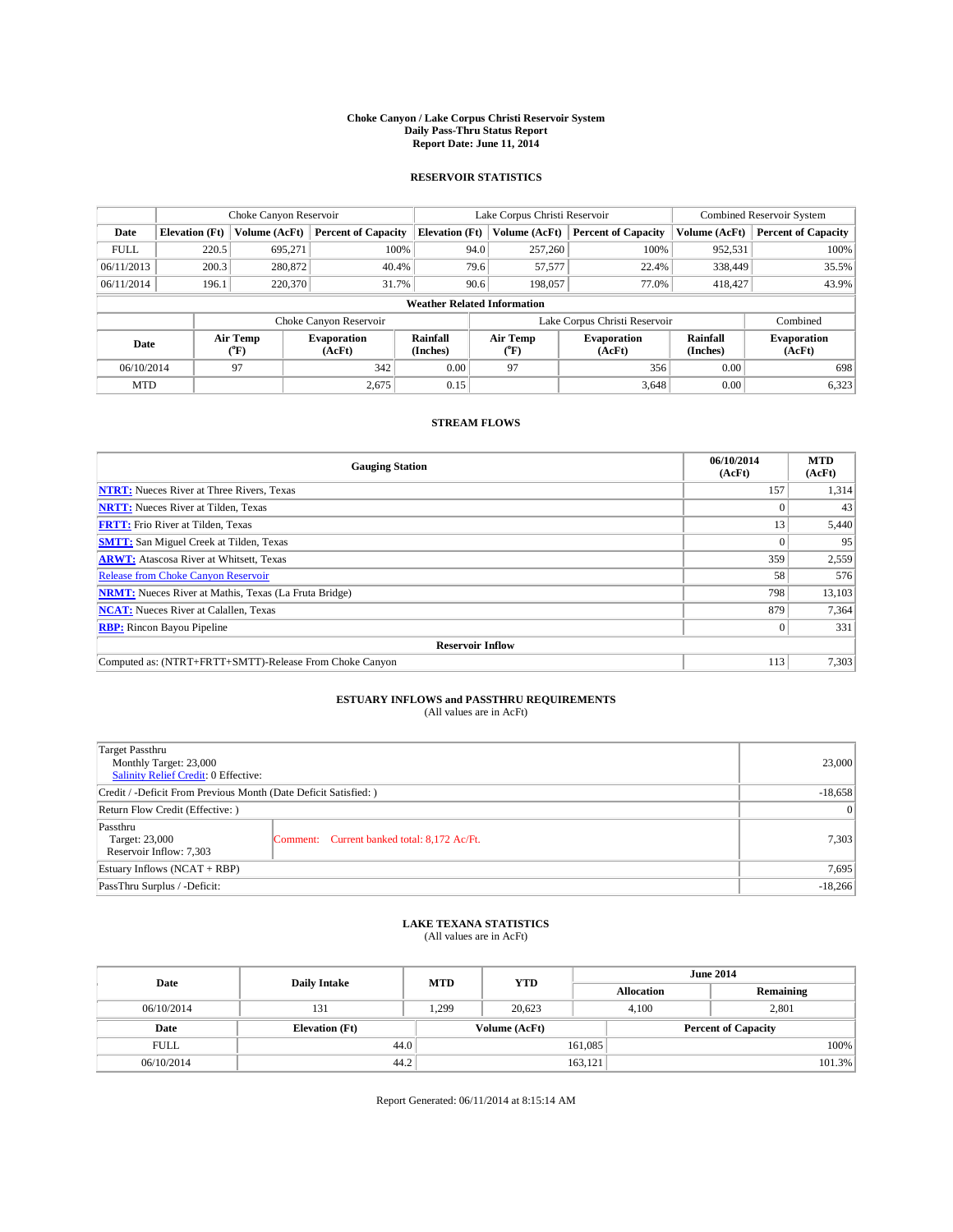#### **Choke Canyon / Lake Corpus Christi Reservoir System Daily Pass-Thru Status Report Report Date: June 11, 2014**

### **RESERVOIR STATISTICS**

|             |                                    | Choke Canyon Reservoir |                              |                       | Lake Corpus Christi Reservoir | <b>Combined Reservoir System</b> |               |                              |  |
|-------------|------------------------------------|------------------------|------------------------------|-----------------------|-------------------------------|----------------------------------|---------------|------------------------------|--|
| Date        | <b>Elevation</b> (Ft)              | Volume (AcFt)          | <b>Percent of Capacity</b>   | <b>Elevation (Ft)</b> | Volume (AcFt)                 | <b>Percent of Capacity</b>       | Volume (AcFt) | <b>Percent of Capacity</b>   |  |
| <b>FULL</b> | 220.5                              | 695,271                | 100%                         | 94.0                  | 257,260                       | 100%                             | 952,531       | 100%                         |  |
| 06/11/2013  | 200.3                              | 280,872                | 40.4%                        | 79.6                  | 57,577                        | 22.4%                            | 338,449       | 35.5%                        |  |
| 06/11/2014  | 196.1                              | 220,370                | 31.7%                        | 90.6                  | 198,057                       | 77.0%                            | 418,427       | 43.9%                        |  |
|             | <b>Weather Related Information</b> |                        |                              |                       |                               |                                  |               |                              |  |
|             |                                    |                        | Choke Canyon Reservoir       |                       | Lake Corpus Christi Reservoir | Combined                         |               |                              |  |
| Date        |                                    | Air Temp<br>(°F)       | <b>Evaporation</b><br>(AcFt) | Rainfall<br>(Inches)  | Air Temp<br>(°F)              | <b>Evaporation</b><br>(AcFt)     |               | <b>Evaporation</b><br>(AcFt) |  |
| 06/10/2014  |                                    | 97                     | 0.00<br>97<br>342            |                       | 356                           | 0.00                             | 698           |                              |  |
| <b>MTD</b>  |                                    |                        | 2,675                        | 0.15                  |                               | 3,648                            | 0.00          | 6,323                        |  |

### **STREAM FLOWS**

| <b>Gauging Station</b>                                       | 06/10/2014<br>(AcFt) | <b>MTD</b><br>(AcFt) |  |  |  |  |
|--------------------------------------------------------------|----------------------|----------------------|--|--|--|--|
| <b>NTRT:</b> Nueces River at Three Rivers, Texas             | 157                  | 1,314                |  |  |  |  |
| <b>NRTT:</b> Nueces River at Tilden, Texas                   |                      | 43                   |  |  |  |  |
| <b>FRTT:</b> Frio River at Tilden, Texas                     | 13                   | 5,440                |  |  |  |  |
| <b>SMTT:</b> San Miguel Creek at Tilden, Texas               |                      | 95                   |  |  |  |  |
| <b>ARWT:</b> Atascosa River at Whitsett, Texas               | 359                  | 2,559                |  |  |  |  |
| <b>Release from Choke Canyon Reservoir</b>                   | 58                   | 576                  |  |  |  |  |
| <b>NRMT:</b> Nueces River at Mathis, Texas (La Fruta Bridge) | 798                  | 13,103               |  |  |  |  |
| <b>NCAT:</b> Nueces River at Calallen, Texas                 | 879                  | 7,364                |  |  |  |  |
| <b>RBP:</b> Rincon Bayou Pipeline                            | $\Omega$             | 331                  |  |  |  |  |
| <b>Reservoir Inflow</b>                                      |                      |                      |  |  |  |  |
| Computed as: (NTRT+FRTT+SMTT)-Release From Choke Canyon      | 113                  | 7,303                |  |  |  |  |

# **ESTUARY INFLOWS and PASSTHRU REQUIREMENTS**<br>(All values are in AcFt)

| Target Passthru<br>Monthly Target: 23,000<br>Salinity Relief Credit: 0 Effective: | 23,000                                      |       |  |  |
|-----------------------------------------------------------------------------------|---------------------------------------------|-------|--|--|
| Credit / -Deficit From Previous Month (Date Deficit Satisfied: )                  |                                             |       |  |  |
| Return Flow Credit (Effective: )                                                  | $\vert$ 0                                   |       |  |  |
| Passthru<br>Target: 23,000<br>Reservoir Inflow: 7,303                             | Comment: Current banked total: 8,172 Ac/Ft. | 7,303 |  |  |
| Estuary Inflows (NCAT + RBP)                                                      | 7,695                                       |       |  |  |
| PassThru Surplus / -Deficit:                                                      | $-18,266$                                   |       |  |  |

# **LAKE TEXANA STATISTICS** (All values are in AcFt)

| Date        | <b>Daily Intake</b>   | <b>MTD</b> | <b>YTD</b>    | <b>June 2014</b>  |                            |           |  |
|-------------|-----------------------|------------|---------------|-------------------|----------------------------|-----------|--|
|             |                       |            |               | <b>Allocation</b> |                            | Remaining |  |
| 06/10/2014  | 131                   | 1,299      | 20.623        |                   | 2,801<br>4,100             |           |  |
| Date        | <b>Elevation</b> (Ft) |            | Volume (AcFt) |                   | <b>Percent of Capacity</b> |           |  |
| <b>FULL</b> | 44.0                  |            |               | 161,085           |                            | 100%      |  |
| 06/10/2014  | 44.2                  |            |               | 163,121           |                            | 101.3%    |  |

Report Generated: 06/11/2014 at 8:15:14 AM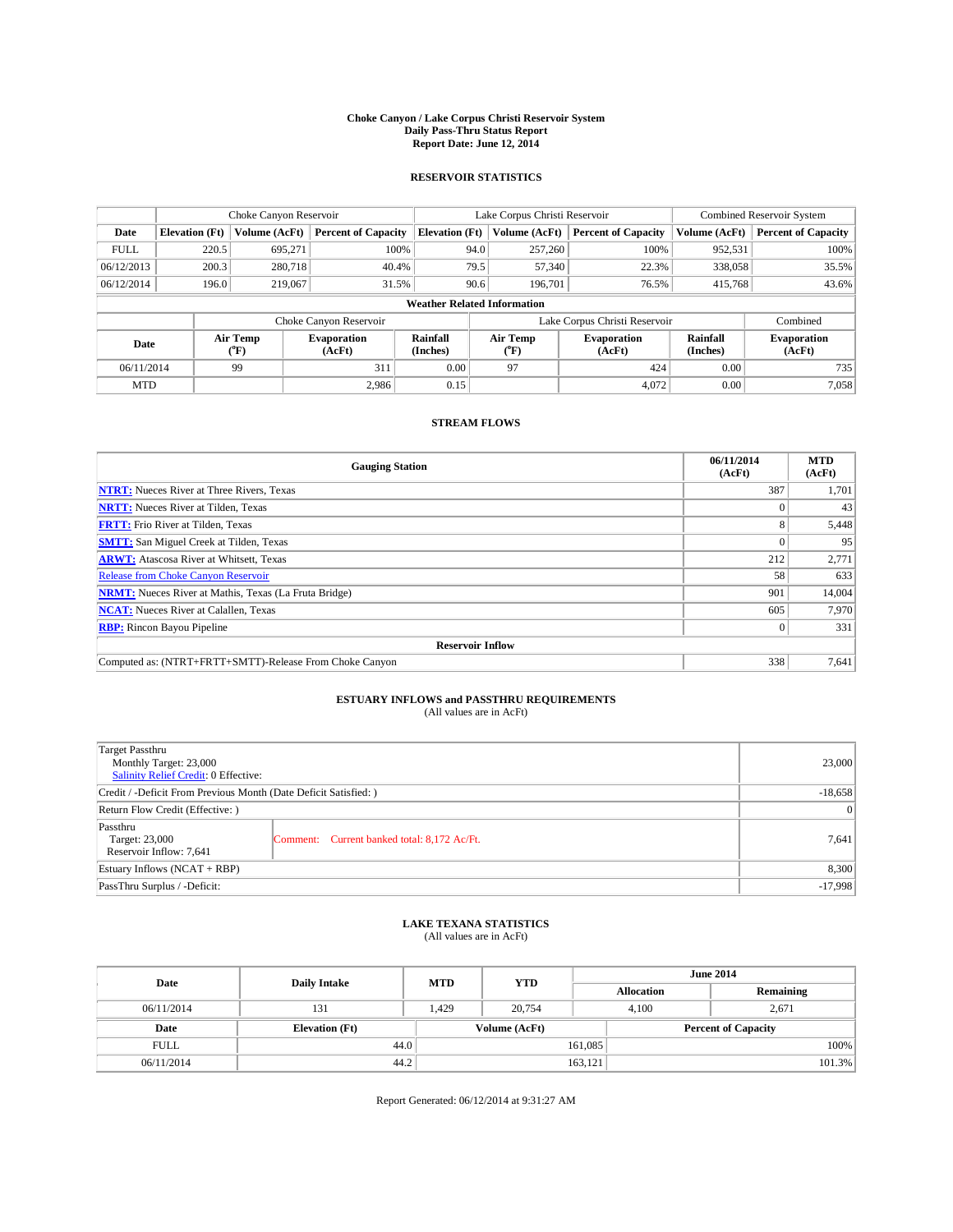#### **Choke Canyon / Lake Corpus Christi Reservoir System Daily Pass-Thru Status Report Report Date: June 12, 2014**

### **RESERVOIR STATISTICS**

|             |                                    | Choke Canyon Reservoir |                              |                       | Lake Corpus Christi Reservoir | <b>Combined Reservoir System</b> |                      |                              |  |
|-------------|------------------------------------|------------------------|------------------------------|-----------------------|-------------------------------|----------------------------------|----------------------|------------------------------|--|
| Date        | <b>Elevation</b> (Ft)              | Volume (AcFt)          | <b>Percent of Capacity</b>   | <b>Elevation (Ft)</b> | Volume (AcFt)                 | <b>Percent of Capacity</b>       | Volume (AcFt)        | <b>Percent of Capacity</b>   |  |
| <b>FULL</b> | 220.5                              | 695,271                | 100%                         | 94.0                  | 257,260                       | 100%                             | 952,531              | 100%                         |  |
| 06/12/2013  | 200.3                              | 280,718                | 40.4%                        | 79.5                  | 57,340                        | 22.3%                            | 338,058              | 35.5%                        |  |
| 06/12/2014  | 196.0                              | 219,067                | 31.5%                        | 90.6                  | 196,701                       | 76.5%                            | 415,768              | 43.6%                        |  |
|             | <b>Weather Related Information</b> |                        |                              |                       |                               |                                  |                      |                              |  |
|             |                                    |                        | Choke Canyon Reservoir       |                       | Lake Corpus Christi Reservoir |                                  | Combined             |                              |  |
| Date        |                                    | Air Temp<br>(°F)       | <b>Evaporation</b><br>(AcFt) | Rainfall<br>(Inches)  | Air Temp<br>(°F)              | <b>Evaporation</b><br>(AcFt)     | Rainfall<br>(Inches) | <b>Evaporation</b><br>(AcFt) |  |
| 06/11/2014  |                                    | 99                     | 311                          | 0.00                  | 97                            | 424                              | 0.00                 | 735                          |  |
| <b>MTD</b>  |                                    |                        | 2.986                        | 0.15                  |                               | 4.072                            | 0.00                 | 7,058                        |  |

### **STREAM FLOWS**

| <b>Gauging Station</b>                                       | 06/11/2014<br>(AcFt) | <b>MTD</b><br>(AcFt) |  |  |  |  |
|--------------------------------------------------------------|----------------------|----------------------|--|--|--|--|
| <b>NTRT:</b> Nueces River at Three Rivers, Texas             | 387                  | 1,701                |  |  |  |  |
| <b>NRTT:</b> Nueces River at Tilden, Texas                   |                      | 43                   |  |  |  |  |
| <b>FRTT:</b> Frio River at Tilden, Texas                     | 8                    | 5,448                |  |  |  |  |
| <b>SMTT:</b> San Miguel Creek at Tilden, Texas               |                      | 95                   |  |  |  |  |
| <b>ARWT:</b> Atascosa River at Whitsett, Texas               | 212                  | 2,771                |  |  |  |  |
| <b>Release from Choke Canyon Reservoir</b>                   | 58                   | 633                  |  |  |  |  |
| <b>NRMT:</b> Nueces River at Mathis, Texas (La Fruta Bridge) | 901                  | 14,004               |  |  |  |  |
| <b>NCAT:</b> Nueces River at Calallen, Texas                 | 605                  | 7.970                |  |  |  |  |
| <b>RBP:</b> Rincon Bayou Pipeline                            | $\Omega$             | 331                  |  |  |  |  |
| <b>Reservoir Inflow</b>                                      |                      |                      |  |  |  |  |
| Computed as: (NTRT+FRTT+SMTT)-Release From Choke Canyon      | 338                  | 7,641                |  |  |  |  |

# **ESTUARY INFLOWS and PASSTHRU REQUIREMENTS**<br>(All values are in AcFt)

| Target Passthru<br>Monthly Target: 23,000<br>Salinity Relief Credit: 0 Effective: | 23,000                                      |       |  |  |
|-----------------------------------------------------------------------------------|---------------------------------------------|-------|--|--|
| Credit / -Deficit From Previous Month (Date Deficit Satisfied: )                  |                                             |       |  |  |
| Return Flow Credit (Effective: )                                                  | $\vert$ 0                                   |       |  |  |
| Passthru<br>Target: 23,000<br>Reservoir Inflow: 7,641                             | Comment: Current banked total: 8,172 Ac/Ft. | 7,641 |  |  |
| Estuary Inflows (NCAT + RBP)                                                      | 8,300                                       |       |  |  |
| PassThru Surplus / -Deficit:                                                      | $-17,998$                                   |       |  |  |

# **LAKE TEXANA STATISTICS** (All values are in AcFt)

| Date        | <b>Daily Intake</b>   | <b>MTD</b> | <b>YTD</b>    | <b>June 2014</b>  |                            |           |  |
|-------------|-----------------------|------------|---------------|-------------------|----------------------------|-----------|--|
|             |                       |            |               | <b>Allocation</b> |                            | Remaining |  |
| 06/11/2014  | 131                   | 1,429      | 20,754        |                   | 4,100<br>2,671             |           |  |
| Date        | <b>Elevation</b> (Ft) |            | Volume (AcFt) |                   | <b>Percent of Capacity</b> |           |  |
| <b>FULL</b> | 44.0                  |            |               | 161,085           |                            | 100%      |  |
| 06/11/2014  | 44.2                  |            |               | 163,121           |                            | 101.3%    |  |

Report Generated: 06/12/2014 at 9:31:27 AM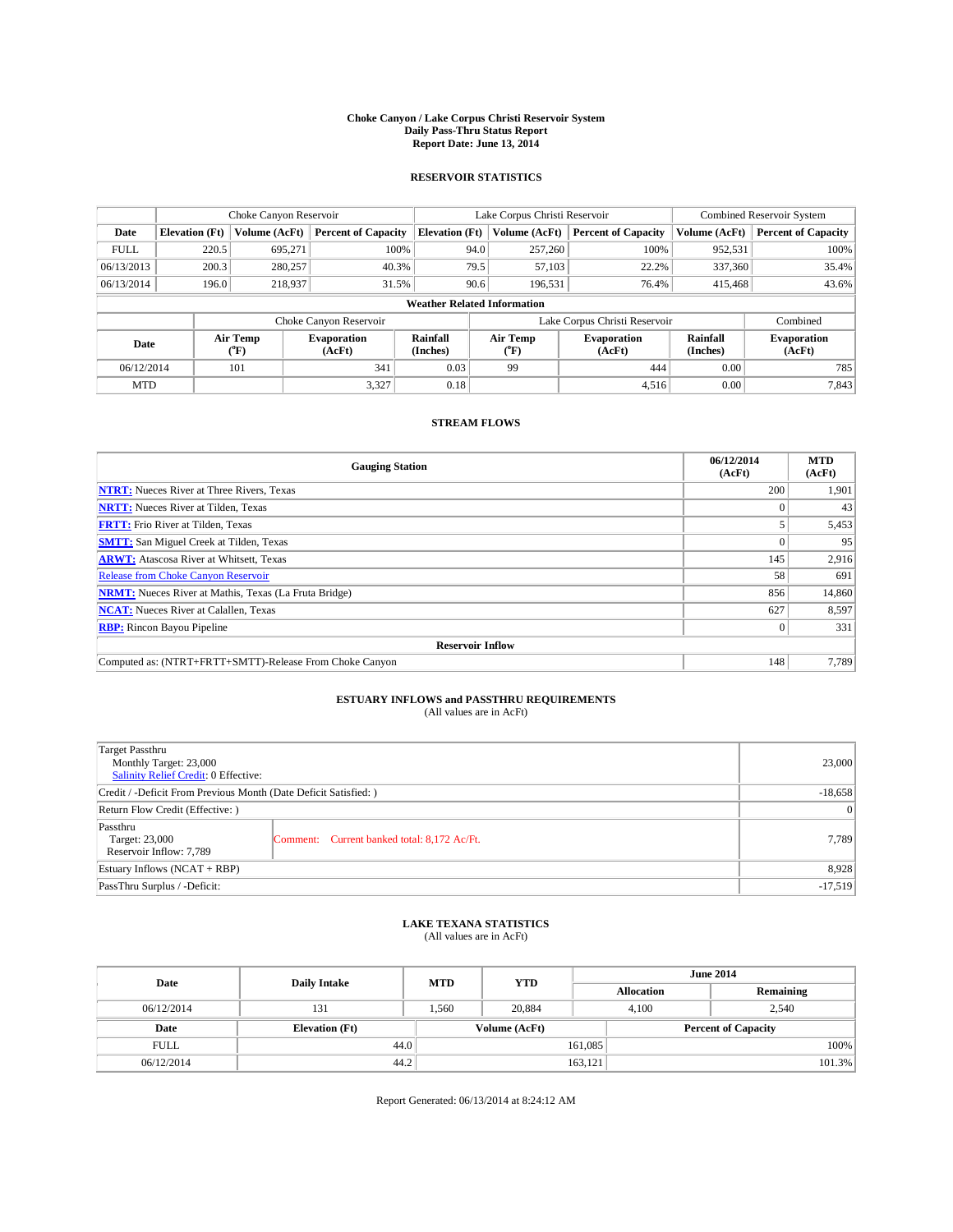#### **Choke Canyon / Lake Corpus Christi Reservoir System Daily Pass-Thru Status Report Report Date: June 13, 2014**

### **RESERVOIR STATISTICS**

|             | Choke Canyon Reservoir             |                  |                              |                       | Lake Corpus Christi Reservoir                    | <b>Combined Reservoir System</b> |                      |                              |  |
|-------------|------------------------------------|------------------|------------------------------|-----------------------|--------------------------------------------------|----------------------------------|----------------------|------------------------------|--|
| Date        | <b>Elevation</b> (Ft)              | Volume (AcFt)    | <b>Percent of Capacity</b>   | <b>Elevation (Ft)</b> | Volume (AcFt)                                    | <b>Percent of Capacity</b>       | Volume (AcFt)        | <b>Percent of Capacity</b>   |  |
| <b>FULL</b> | 220.5                              | 695,271          | 100%                         | 94.0                  | 257,260                                          | 100%                             | 952,531              | 100%                         |  |
| 06/13/2013  | 200.3                              | 280,257          | 40.3%                        | 79.5                  | 57,103                                           | 22.2%                            | 337,360              | 35.4%                        |  |
| 06/13/2014  | 196.0                              | 218,937          | 31.5%                        | 90.6                  | 196.531                                          | 76.4%                            | 415,468              | 43.6%                        |  |
|             | <b>Weather Related Information</b> |                  |                              |                       |                                                  |                                  |                      |                              |  |
|             |                                    |                  | Choke Canyon Reservoir       |                       |                                                  | Lake Corpus Christi Reservoir    |                      | Combined                     |  |
| Date        |                                    | Air Temp<br>(°F) | <b>Evaporation</b><br>(AcFt) | Rainfall<br>(Inches)  | Air Temp<br><b>Evaporation</b><br>(AcFt)<br>(°F) |                                  | Rainfall<br>(Inches) | <b>Evaporation</b><br>(AcFt) |  |
| 06/12/2014  |                                    | 101              | 341                          | 0.03                  | 99                                               | 444                              | 0.00                 | 785                          |  |
| <b>MTD</b>  |                                    |                  | 3,327                        | 0.18                  |                                                  | 4,516                            | 0.00                 | 7,843                        |  |

### **STREAM FLOWS**

| <b>Gauging Station</b>                                       | 06/12/2014<br>(AcFt) | <b>MTD</b><br>(AcFt) |  |  |  |
|--------------------------------------------------------------|----------------------|----------------------|--|--|--|
| <b>NTRT:</b> Nueces River at Three Rivers, Texas             | 200                  | 1,901                |  |  |  |
| <b>NRTT:</b> Nueces River at Tilden, Texas                   |                      | 43                   |  |  |  |
| <b>FRTT:</b> Frio River at Tilden, Texas                     |                      | 5,453                |  |  |  |
| <b>SMTT:</b> San Miguel Creek at Tilden, Texas               |                      | 95                   |  |  |  |
| <b>ARWT:</b> Atascosa River at Whitsett, Texas               | 145                  | 2,916                |  |  |  |
| <b>Release from Choke Canyon Reservoir</b>                   | 58                   | 691                  |  |  |  |
| <b>NRMT:</b> Nueces River at Mathis, Texas (La Fruta Bridge) | 856                  | 14,860               |  |  |  |
| <b>NCAT:</b> Nueces River at Calallen, Texas                 | 627                  | 8,597                |  |  |  |
| <b>RBP:</b> Rincon Bayou Pipeline                            | $\Omega$             | 331                  |  |  |  |
| <b>Reservoir Inflow</b>                                      |                      |                      |  |  |  |
| Computed as: (NTRT+FRTT+SMTT)-Release From Choke Canyon      | 148                  | 7,789                |  |  |  |

# **ESTUARY INFLOWS and PASSTHRU REQUIREMENTS**<br>(All values are in AcFt)

| Target Passthru<br>Monthly Target: 23,000<br>Salinity Relief Credit: 0 Effective: |                                             | 23,000 |  |
|-----------------------------------------------------------------------------------|---------------------------------------------|--------|--|
| Credit / -Deficit From Previous Month (Date Deficit Satisfied: )                  | $-18,658$                                   |        |  |
| Return Flow Credit (Effective: )                                                  | $\vert$ 0                                   |        |  |
| Passthru<br>Target: 23,000<br>Reservoir Inflow: 7,789                             | Comment: Current banked total: 8,172 Ac/Ft. | 7,789  |  |
| Estuary Inflows (NCAT + RBP)                                                      | 8,928                                       |        |  |
| PassThru Surplus / -Deficit:                                                      |                                             |        |  |

# **LAKE TEXANA STATISTICS** (All values are in AcFt)

| Date        | <b>Daily Intake</b>   | <b>MTD</b> | <b>YTD</b>    | <b>June 2014</b> |                            |           |  |
|-------------|-----------------------|------------|---------------|------------------|----------------------------|-----------|--|
|             |                       |            |               |                  | <b>Allocation</b>          | Remaining |  |
| 06/12/2014  | 131                   | .560       | 20,884        |                  | 2,540<br>4,100             |           |  |
| Date        | <b>Elevation</b> (Ft) |            | Volume (AcFt) |                  | <b>Percent of Capacity</b> |           |  |
| <b>FULL</b> | 44.0                  |            |               | 161,085          |                            | 100%      |  |
| 06/12/2014  | 44.2                  |            |               | 163,121          |                            | 101.3%    |  |

Report Generated: 06/13/2014 at 8:24:12 AM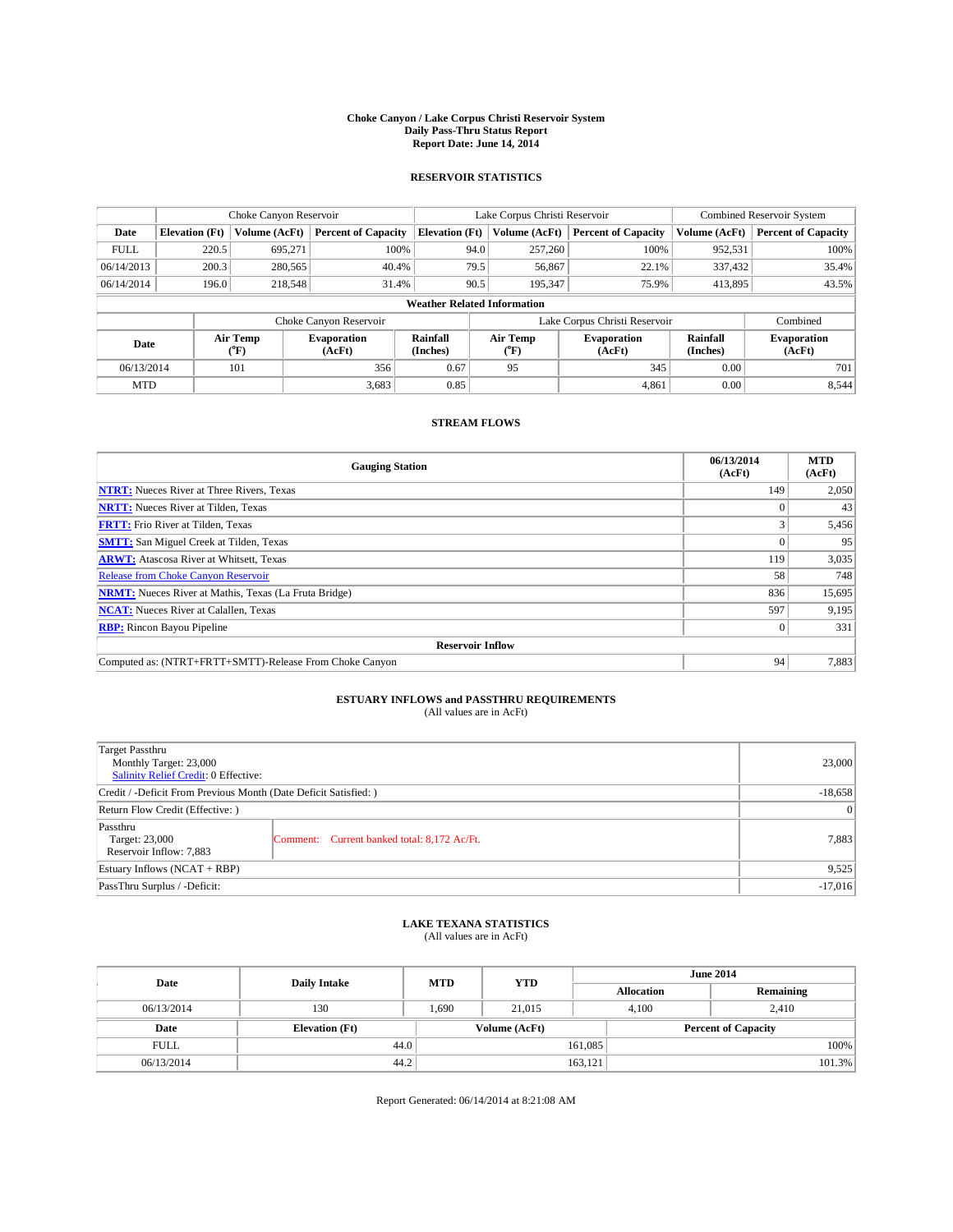#### **Choke Canyon / Lake Corpus Christi Reservoir System Daily Pass-Thru Status Report Report Date: June 14, 2014**

### **RESERVOIR STATISTICS**

|             | Choke Canyon Reservoir                                                                        |               |                              |                       | Lake Corpus Christi Reservoir | <b>Combined Reservoir System</b> |               |                     |  |
|-------------|-----------------------------------------------------------------------------------------------|---------------|------------------------------|-----------------------|-------------------------------|----------------------------------|---------------|---------------------|--|
| Date        | <b>Elevation</b> (Ft)                                                                         | Volume (AcFt) | <b>Percent of Capacity</b>   | <b>Elevation (Ft)</b> | Volume (AcFt)                 | <b>Percent of Capacity</b>       | Volume (AcFt) | Percent of Capacity |  |
| <b>FULL</b> | 220.5                                                                                         | 695,271       | 100%                         | 94.0                  | 257,260                       | 100%                             | 952,531       | 100%                |  |
| 06/14/2013  | 200.3                                                                                         | 280,565       | 40.4%                        | 79.5                  | 56,867                        | 22.1%                            | 337,432       | 35.4%               |  |
| 06/14/2014  | 196.0                                                                                         | 218,548       | 31.4%                        | 90.5                  | 195.347                       | 75.9%                            | 413.895       | 43.5%               |  |
|             | <b>Weather Related Information</b>                                                            |               |                              |                       |                               |                                  |               |                     |  |
|             |                                                                                               |               | Choke Canyon Reservoir       |                       |                               | Lake Corpus Christi Reservoir    |               | Combined            |  |
|             | Air Temp<br>Air Temp<br>Rainfall<br>Evaporation<br>Date<br>(Inches)<br>(AcFt)<br>(°F)<br>("F) |               | <b>Evaporation</b><br>(AcFt) | Rainfall<br>(Inches)  | <b>Evaporation</b><br>(AcFt)  |                                  |               |                     |  |
| 06/13/2014  |                                                                                               | 101           | 356                          | 0.67                  | 95                            | 345                              | 0.00          | 701                 |  |
| <b>MTD</b>  |                                                                                               |               | 3.683                        | 0.85                  |                               | 4,861                            | 0.00          | 8,544               |  |

### **STREAM FLOWS**

| <b>Gauging Station</b>                                       | 06/13/2014<br>(AcFt) | <b>MTD</b><br>(AcFt) |  |  |  |
|--------------------------------------------------------------|----------------------|----------------------|--|--|--|
| <b>NTRT:</b> Nueces River at Three Rivers, Texas             | 149                  | 2,050                |  |  |  |
| <b>NRTT:</b> Nueces River at Tilden, Texas                   |                      | 43                   |  |  |  |
| <b>FRTT:</b> Frio River at Tilden, Texas                     |                      | 5,456                |  |  |  |
| <b>SMTT:</b> San Miguel Creek at Tilden, Texas               |                      | 95                   |  |  |  |
| <b>ARWT:</b> Atascosa River at Whitsett, Texas               | 119                  | 3,035                |  |  |  |
| <b>Release from Choke Canyon Reservoir</b>                   | 58                   | 748                  |  |  |  |
| <b>NRMT:</b> Nueces River at Mathis, Texas (La Fruta Bridge) | 836                  | 15,695               |  |  |  |
| <b>NCAT:</b> Nueces River at Calallen, Texas                 | 597                  | 9,195                |  |  |  |
| <b>RBP:</b> Rincon Bayou Pipeline                            | $\Omega$             | 331                  |  |  |  |
| <b>Reservoir Inflow</b>                                      |                      |                      |  |  |  |
| Computed as: (NTRT+FRTT+SMTT)-Release From Choke Canyon      | 94                   | 7,883                |  |  |  |

# **ESTUARY INFLOWS and PASSTHRU REQUIREMENTS**<br>(All values are in AcFt)

| Target Passthru<br>Monthly Target: 23,000<br>Salinity Relief Credit: 0 Effective: |                                             | 23,000 |
|-----------------------------------------------------------------------------------|---------------------------------------------|--------|
| Credit / -Deficit From Previous Month (Date Deficit Satisfied: )                  | $-18,658$                                   |        |
| Return Flow Credit (Effective: )                                                  | $\vert 0 \vert$                             |        |
| Passthru<br>Target: 23,000<br>Reservoir Inflow: 7,883                             | Comment: Current banked total: 8,172 Ac/Ft. | 7,883  |
| Estuary Inflows (NCAT + RBP)                                                      | 9,525                                       |        |
| PassThru Surplus / -Deficit:                                                      | $-17,016$                                   |        |

# **LAKE TEXANA STATISTICS** (All values are in AcFt)

| Date        | <b>Daily Intake</b>   | <b>MTD</b> | <b>YTD</b>    | <b>June 2014</b>  |                            |           |  |
|-------------|-----------------------|------------|---------------|-------------------|----------------------------|-----------|--|
|             |                       |            |               | <b>Allocation</b> |                            | Remaining |  |
| 06/13/2014  | 130                   | 1,690      | 21,015        |                   | 4,100<br>2,410             |           |  |
| Date        | <b>Elevation</b> (Ft) |            | Volume (AcFt) |                   | <b>Percent of Capacity</b> |           |  |
| <b>FULL</b> | 44.0                  |            |               | 161,085           |                            | 100%      |  |
| 06/13/2014  | 44.2                  |            |               | 163,121           |                            | 101.3%    |  |

Report Generated: 06/14/2014 at 8:21:08 AM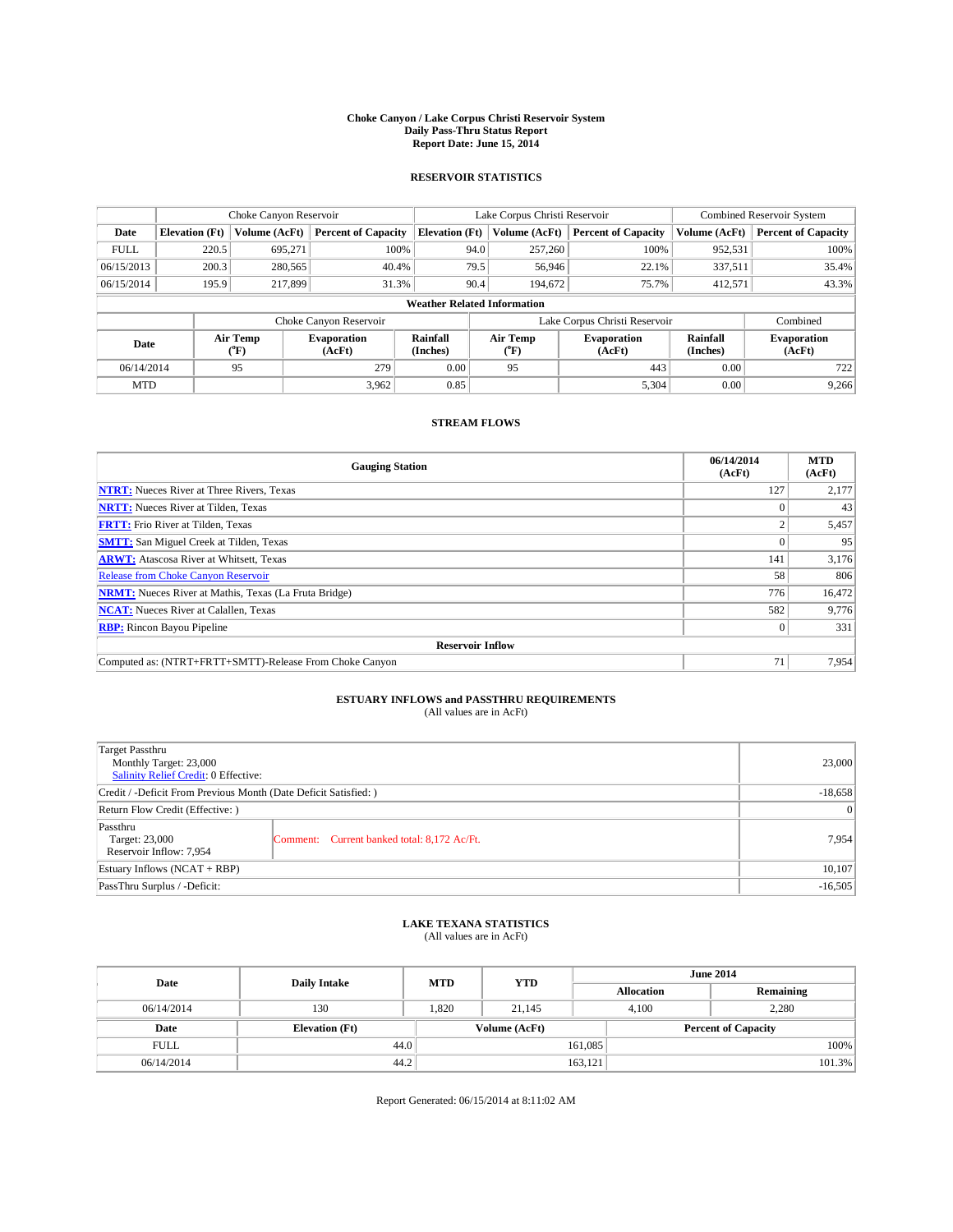#### **Choke Canyon / Lake Corpus Christi Reservoir System Daily Pass-Thru Status Report Report Date: June 15, 2014**

### **RESERVOIR STATISTICS**

|                                                                                                      | Choke Canyon Reservoir             |               |                              |                       | Lake Corpus Christi Reservoir | <b>Combined Reservoir System</b> |               |                     |  |
|------------------------------------------------------------------------------------------------------|------------------------------------|---------------|------------------------------|-----------------------|-------------------------------|----------------------------------|---------------|---------------------|--|
| Date                                                                                                 | <b>Elevation</b> (Ft)              | Volume (AcFt) | <b>Percent of Capacity</b>   | <b>Elevation (Ft)</b> | Volume (AcFt)                 | <b>Percent of Capacity</b>       | Volume (AcFt) | Percent of Capacity |  |
| <b>FULL</b>                                                                                          | 220.5                              | 695,271       | 100%                         | 94.0                  | 257,260                       | 100%                             | 952,531       | 100%                |  |
| 06/15/2013                                                                                           | 200.3                              | 280,565       | 40.4%                        | 79.5                  | 56,946                        | 22.1%                            | 337,511       | $35.4\%$            |  |
| 06/15/2014                                                                                           | 195.9                              | 217,899       | 31.3%                        | 90.4                  | 194.672                       | 75.7%                            | 412.571       | 43.3%               |  |
|                                                                                                      | <b>Weather Related Information</b> |               |                              |                       |                               |                                  |               |                     |  |
|                                                                                                      |                                    |               | Choke Canyon Reservoir       |                       |                               | Lake Corpus Christi Reservoir    |               | Combined            |  |
| Rainfall<br>Air Temp<br>Air Temp<br><b>Evaporation</b><br>Date<br>(Inches)<br>(AcFt)<br>(°F)<br>("F) |                                    |               | <b>Evaporation</b><br>(AcFt) | Rainfall<br>(Inches)  | <b>Evaporation</b><br>(AcFt)  |                                  |               |                     |  |
| 06/14/2014                                                                                           |                                    | 95            | 279                          | 0.00                  | 95                            | 443                              | 0.00          | 722                 |  |
| <b>MTD</b>                                                                                           |                                    |               | 3.962                        | 0.85                  |                               | 5,304                            | 0.00          | 9,266               |  |

### **STREAM FLOWS**

| <b>Gauging Station</b>                                       | 06/14/2014<br>(AcFt) | <b>MTD</b><br>(AcFt) |  |  |  |
|--------------------------------------------------------------|----------------------|----------------------|--|--|--|
| <b>NTRT:</b> Nueces River at Three Rivers, Texas             | 127                  | 2,177                |  |  |  |
| <b>NRTT:</b> Nueces River at Tilden, Texas                   |                      | 43                   |  |  |  |
| <b>FRTT:</b> Frio River at Tilden, Texas                     |                      | 5,457                |  |  |  |
| <b>SMTT:</b> San Miguel Creek at Tilden, Texas               |                      | 95                   |  |  |  |
| <b>ARWT:</b> Atascosa River at Whitsett, Texas               | 141                  | 3,176                |  |  |  |
| <b>Release from Choke Canyon Reservoir</b>                   | 58                   | 806                  |  |  |  |
| <b>NRMT:</b> Nueces River at Mathis, Texas (La Fruta Bridge) | 776                  | 16,472               |  |  |  |
| <b>NCAT:</b> Nueces River at Calallen, Texas                 | 582                  | 9,776                |  |  |  |
| <b>RBP:</b> Rincon Bayou Pipeline                            | $\Omega$             | 331                  |  |  |  |
| <b>Reservoir Inflow</b>                                      |                      |                      |  |  |  |
| Computed as: (NTRT+FRTT+SMTT)-Release From Choke Canyon      | 71                   | 7,954                |  |  |  |

# **ESTUARY INFLOWS and PASSTHRU REQUIREMENTS**<br>(All values are in AcFt)

| Target Passthru<br>Monthly Target: 23,000<br>Salinity Relief Credit: 0 Effective: |                                             | 23,000 |  |
|-----------------------------------------------------------------------------------|---------------------------------------------|--------|--|
| Credit / -Deficit From Previous Month (Date Deficit Satisfied: )                  |                                             |        |  |
| Return Flow Credit (Effective: )                                                  |                                             |        |  |
| Passthru<br>Target: 23,000<br>Reservoir Inflow: 7,954                             | Comment: Current banked total: 8,172 Ac/Ft. | 7,954  |  |
| Estuary Inflows (NCAT + RBP)                                                      |                                             |        |  |
| PassThru Surplus / -Deficit:                                                      |                                             |        |  |

# **LAKE TEXANA STATISTICS** (All values are in AcFt)

| Date        | <b>Daily Intake</b>   | <b>MTD</b> | <b>YTD</b>    | <b>June 2014</b>  |                            |  |  |
|-------------|-----------------------|------------|---------------|-------------------|----------------------------|--|--|
|             |                       |            |               | <b>Allocation</b> | Remaining                  |  |  |
| 06/14/2014  | 130                   | 1,820      | 21,145        | 4,100             | 2,280                      |  |  |
| Date        | <b>Elevation</b> (Ft) |            | Volume (AcFt) |                   | <b>Percent of Capacity</b> |  |  |
| <b>FULL</b> | 44.0                  |            |               | 161,085           | 100%                       |  |  |
| 06/14/2014  | 44.2                  |            |               | 163,121           | 101.3%                     |  |  |

Report Generated: 06/15/2014 at 8:11:02 AM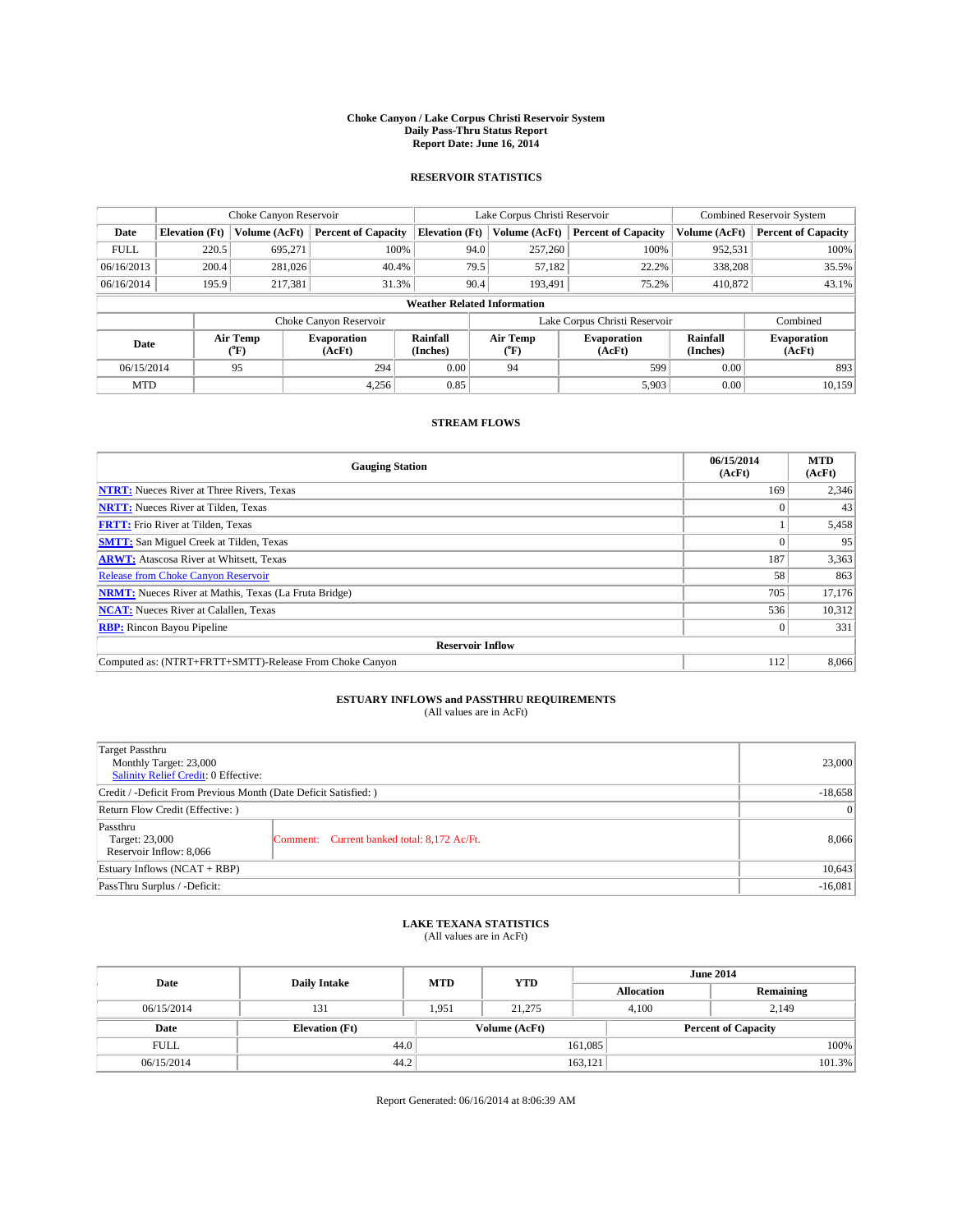#### **Choke Canyon / Lake Corpus Christi Reservoir System Daily Pass-Thru Status Report Report Date: June 16, 2014**

### **RESERVOIR STATISTICS**

|             | Choke Canyon Reservoir             |                  |                              |                       | Lake Corpus Christi Reservoir | <b>Combined Reservoir System</b> |                      |                              |  |
|-------------|------------------------------------|------------------|------------------------------|-----------------------|-------------------------------|----------------------------------|----------------------|------------------------------|--|
| Date        | <b>Elevation</b> (Ft)              | Volume (AcFt)    | <b>Percent of Capacity</b>   | <b>Elevation (Ft)</b> | Volume (AcFt)                 | <b>Percent of Capacity</b>       | Volume (AcFt)        | Percent of Capacity          |  |
| <b>FULL</b> | 220.5                              | 695,271          | 100%                         | 94.0                  | 257,260                       | 100%                             | 952,531              | 100%                         |  |
| 06/16/2013  | 200.4                              | 281,026          | 40.4%                        | 79.5                  | 57,182                        | 22.2%                            | 338,208              | 35.5%                        |  |
| 06/16/2014  | 195.9                              | 217,381          | 31.3%                        | 90.4                  | 193.491                       | 75.2%                            | 410,872              | $43.1\%$                     |  |
|             | <b>Weather Related Information</b> |                  |                              |                       |                               |                                  |                      |                              |  |
|             |                                    |                  | Choke Canyon Reservoir       |                       |                               | Lake Corpus Christi Reservoir    |                      | Combined                     |  |
| Date        |                                    | Air Temp<br>(°F) | <b>Evaporation</b><br>(AcFt) | Rainfall<br>(Inches)  | Air Temp<br>("F)              | <b>Evaporation</b><br>(AcFt)     | Rainfall<br>(Inches) | <b>Evaporation</b><br>(AcFt) |  |
| 06/15/2014  |                                    | 95               | 294                          | 0.00                  | 94                            | 599                              | 0.00                 | 893                          |  |
| <b>MTD</b>  |                                    |                  | 4,256                        | 0.85                  |                               | 5,903                            | 0.00                 | 10,159                       |  |

### **STREAM FLOWS**

| <b>Gauging Station</b>                                       | 06/15/2014<br>(AcFt) | <b>MTD</b><br>(AcFt) |  |  |  |  |
|--------------------------------------------------------------|----------------------|----------------------|--|--|--|--|
| <b>NTRT:</b> Nueces River at Three Rivers, Texas             | 169                  | 2,346                |  |  |  |  |
| <b>NRTT:</b> Nueces River at Tilden, Texas                   |                      | 43                   |  |  |  |  |
| <b>FRTT:</b> Frio River at Tilden, Texas                     |                      | 5,458                |  |  |  |  |
| <b>SMTT:</b> San Miguel Creek at Tilden, Texas               |                      | 95                   |  |  |  |  |
| <b>ARWT:</b> Atascosa River at Whitsett, Texas               | 187                  | 3,363                |  |  |  |  |
| <b>Release from Choke Canyon Reservoir</b>                   | 58                   | 863                  |  |  |  |  |
| <b>NRMT:</b> Nueces River at Mathis, Texas (La Fruta Bridge) | 705                  | 17,176               |  |  |  |  |
| <b>NCAT:</b> Nueces River at Calallen, Texas                 | 536                  | 10,312               |  |  |  |  |
| <b>RBP:</b> Rincon Bayou Pipeline                            |                      | 331                  |  |  |  |  |
| <b>Reservoir Inflow</b>                                      |                      |                      |  |  |  |  |
| Computed as: (NTRT+FRTT+SMTT)-Release From Choke Canyon      | 112                  | 8,066                |  |  |  |  |

# **ESTUARY INFLOWS and PASSTHRU REQUIREMENTS**<br>(All values are in AcFt)

| Target Passthru<br>Monthly Target: 23,000<br>Salinity Relief Credit: 0 Effective: |                                             | 23,000 |  |
|-----------------------------------------------------------------------------------|---------------------------------------------|--------|--|
| Credit / -Deficit From Previous Month (Date Deficit Satisfied: )                  |                                             |        |  |
| Return Flow Credit (Effective: )                                                  |                                             |        |  |
| Passthru<br>Target: 23,000<br>Reservoir Inflow: 8,066                             | Comment: Current banked total: 8,172 Ac/Ft. | 8,066  |  |
| Estuary Inflows (NCAT + RBP)                                                      |                                             |        |  |
| PassThru Surplus / -Deficit:                                                      |                                             |        |  |

## **LAKE TEXANA STATISTICS** (All values are in AcFt)

| Date        | <b>Daily Intake</b>   | <b>MTD</b> | <b>YTD</b>    | <b>June 2014</b>  |                            |  |
|-------------|-----------------------|------------|---------------|-------------------|----------------------------|--|
|             |                       |            |               | <b>Allocation</b> | Remaining                  |  |
| 06/15/2014  | 131                   | 1.951      | 21,275        | 4,100             | 2,149                      |  |
| Date        | <b>Elevation</b> (Ft) |            | Volume (AcFt) |                   | <b>Percent of Capacity</b> |  |
| <b>FULL</b> | 44.0                  |            |               | 161,085           | 100%                       |  |
| 06/15/2014  | 44.2                  |            |               | 163,121           | 101.3%                     |  |

Report Generated: 06/16/2014 at 8:06:39 AM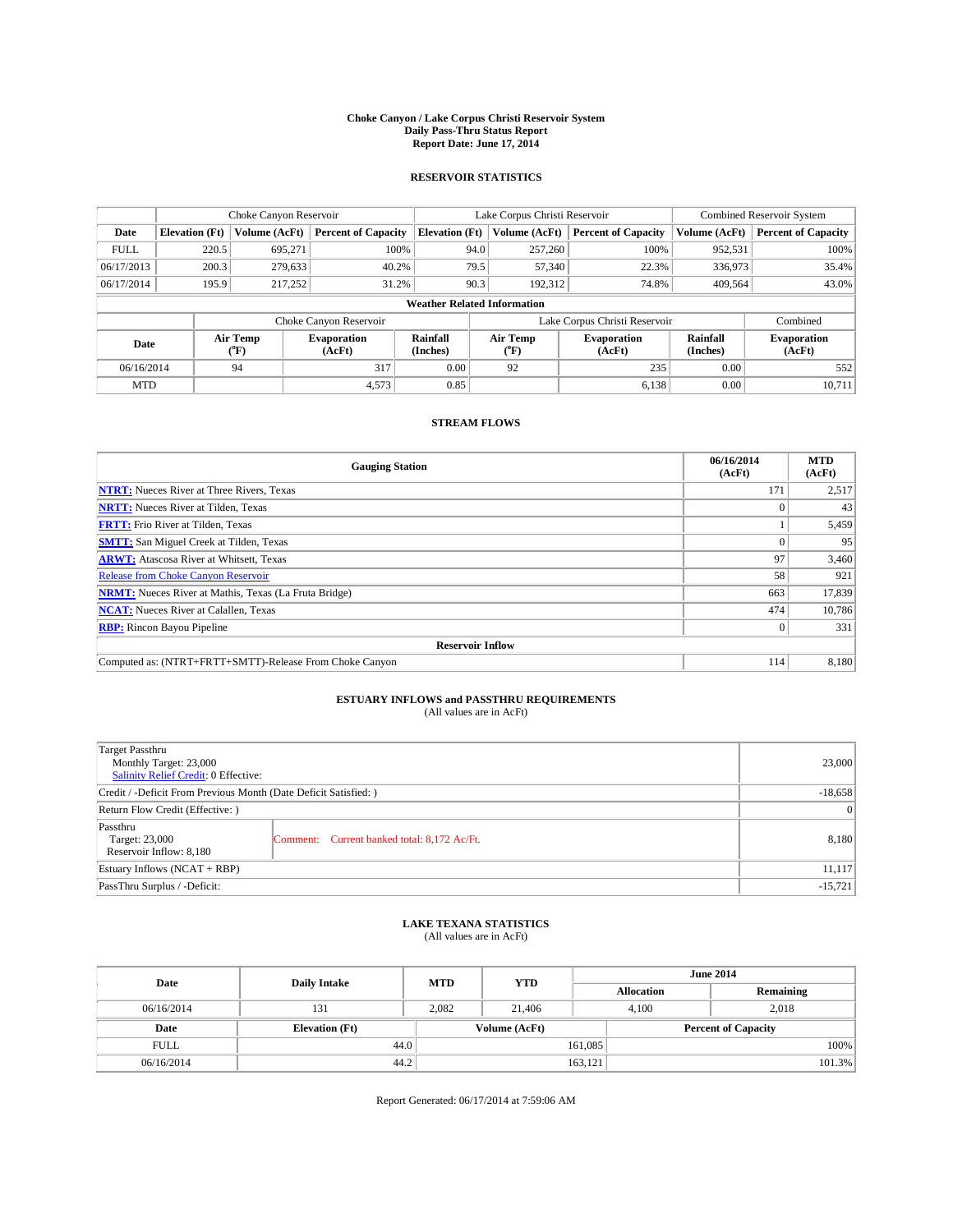#### **Choke Canyon / Lake Corpus Christi Reservoir System Daily Pass-Thru Status Report Report Date: June 17, 2014**

### **RESERVOIR STATISTICS**

|             | Choke Canyon Reservoir             |                  |                              |                       | Lake Corpus Christi Reservoir | <b>Combined Reservoir System</b> |                      |                              |  |
|-------------|------------------------------------|------------------|------------------------------|-----------------------|-------------------------------|----------------------------------|----------------------|------------------------------|--|
| Date        | <b>Elevation</b> (Ft)              | Volume (AcFt)    | <b>Percent of Capacity</b>   | <b>Elevation (Ft)</b> | Volume (AcFt)                 | <b>Percent of Capacity</b>       | Volume (AcFt)        | <b>Percent of Capacity</b>   |  |
| <b>FULL</b> | 220.5                              | 695,271          | 100%                         | 94.0                  | 257,260                       | 100%                             | 952,531              | 100%                         |  |
| 06/17/2013  | 200.3                              | 279,633          | 40.2%                        | 79.5                  | 57,340                        | 22.3%                            | 336,973              | 35.4%                        |  |
| 06/17/2014  | 195.9                              | 217,252          | 31.2%                        | 90.3                  | 192.312                       | 74.8%                            | 409.564              | 43.0%                        |  |
|             | <b>Weather Related Information</b> |                  |                              |                       |                               |                                  |                      |                              |  |
|             |                                    |                  | Choke Canyon Reservoir       |                       |                               | Lake Corpus Christi Reservoir    |                      | Combined                     |  |
| Date        |                                    | Air Temp<br>(°F) | <b>Evaporation</b><br>(AcFt) | Rainfall<br>(Inches)  | Air Temp<br>("F)              | <b>Evaporation</b><br>(AcFt)     | Rainfall<br>(Inches) | <b>Evaporation</b><br>(AcFt) |  |
| 06/16/2014  |                                    | 94               | 317                          | 0.00                  | 92                            | 235                              | 0.00                 | 552                          |  |
| <b>MTD</b>  |                                    |                  | 4,573                        | 0.85                  |                               | 6,138                            | 0.00                 | 10,711                       |  |

### **STREAM FLOWS**

| <b>Gauging Station</b>                                       | 06/16/2014<br>(AcFt) | <b>MTD</b><br>(AcFt) |  |  |  |  |
|--------------------------------------------------------------|----------------------|----------------------|--|--|--|--|
| <b>NTRT:</b> Nueces River at Three Rivers, Texas             | 171                  | 2,517                |  |  |  |  |
| <b>NRTT:</b> Nueces River at Tilden, Texas                   |                      | 43                   |  |  |  |  |
| <b>FRTT:</b> Frio River at Tilden, Texas                     |                      | 5,459                |  |  |  |  |
| <b>SMTT:</b> San Miguel Creek at Tilden, Texas               |                      | 95                   |  |  |  |  |
| <b>ARWT:</b> Atascosa River at Whitsett, Texas               | 97                   | 3,460                |  |  |  |  |
| <b>Release from Choke Canyon Reservoir</b>                   | 58                   | 921                  |  |  |  |  |
| <b>NRMT:</b> Nueces River at Mathis, Texas (La Fruta Bridge) | 663                  | 17,839               |  |  |  |  |
| <b>NCAT:</b> Nueces River at Calallen, Texas                 | 474                  | 10,786               |  |  |  |  |
| <b>RBP:</b> Rincon Bayou Pipeline                            | $\Omega$             | 331                  |  |  |  |  |
| <b>Reservoir Inflow</b>                                      |                      |                      |  |  |  |  |
| Computed as: (NTRT+FRTT+SMTT)-Release From Choke Canyon      | 114                  | 8,180                |  |  |  |  |

# **ESTUARY INFLOWS and PASSTHRU REQUIREMENTS**<br>(All values are in AcFt)

| Target Passthru<br>Monthly Target: 23,000<br>Salinity Relief Credit: 0 Effective: |                                             | 23,000 |  |
|-----------------------------------------------------------------------------------|---------------------------------------------|--------|--|
| Credit / -Deficit From Previous Month (Date Deficit Satisfied: )                  | $-18,658$                                   |        |  |
| Return Flow Credit (Effective: )                                                  | $\vert$ 0                                   |        |  |
| Passthru<br>Target: 23,000<br>Reservoir Inflow: 8,180                             | Comment: Current banked total: 8,172 Ac/Ft. | 8,180  |  |
| Estuary Inflows (NCAT + RBP)                                                      |                                             |        |  |
| PassThru Surplus / -Deficit:                                                      | $-15,721$                                   |        |  |

# **LAKE TEXANA STATISTICS** (All values are in AcFt)

| Date        | <b>Daily Intake</b>   | <b>MTD</b> | <b>YTD</b>    | <b>June 2014</b>  |                            |           |  |
|-------------|-----------------------|------------|---------------|-------------------|----------------------------|-----------|--|
|             |                       |            |               | <b>Allocation</b> |                            | Remaining |  |
| 06/16/2014  | 131                   | 2,082      | 21,406        | 4,100             |                            | 2,018     |  |
| Date        | <b>Elevation</b> (Ft) |            | Volume (AcFt) |                   | <b>Percent of Capacity</b> |           |  |
| <b>FULL</b> | 44.0                  |            |               | 161,085           |                            | 100%      |  |
| 06/16/2014  | 44.2                  |            |               | 163,121           |                            | 101.3%    |  |

Report Generated: 06/17/2014 at 7:59:06 AM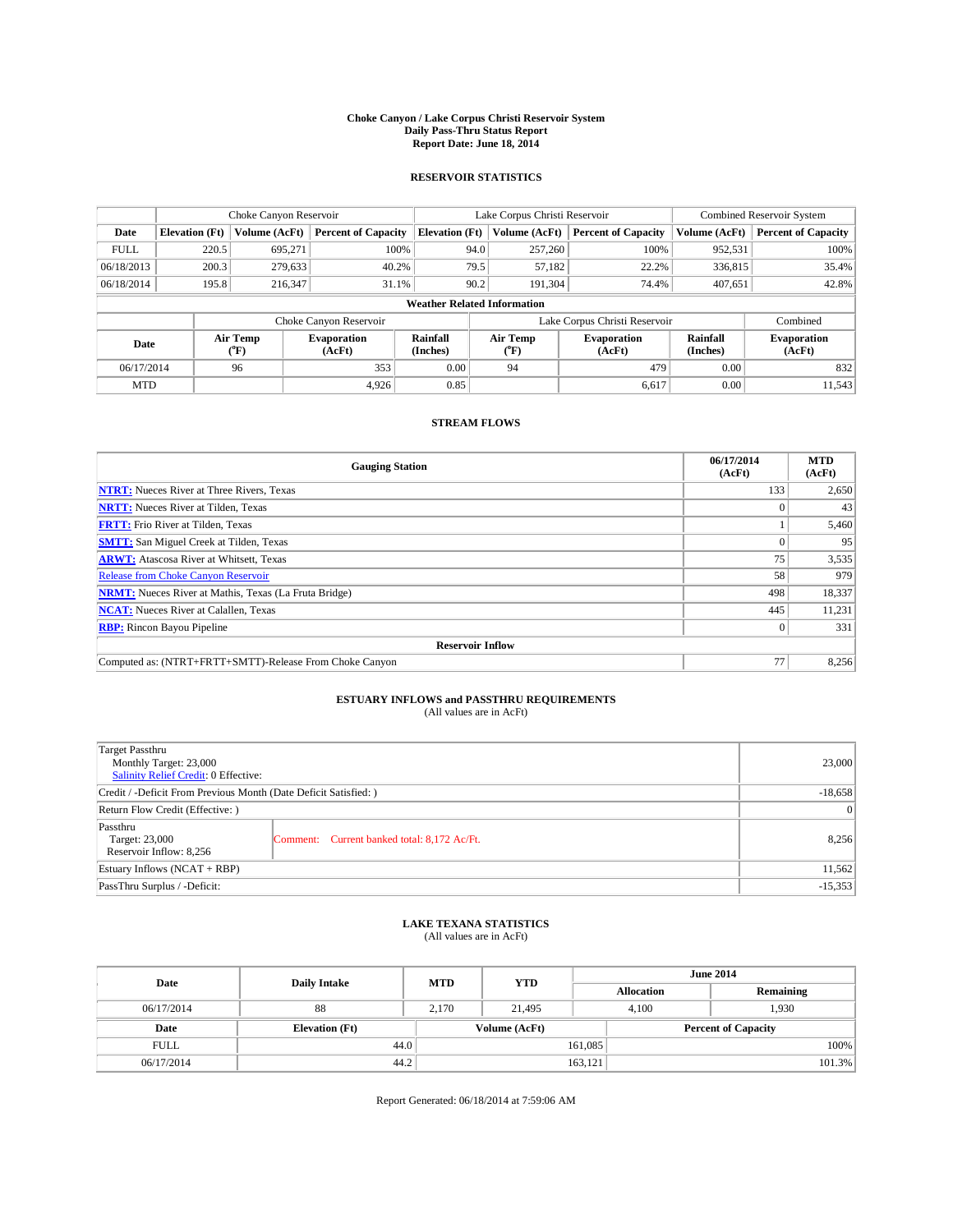#### **Choke Canyon / Lake Corpus Christi Reservoir System Daily Pass-Thru Status Report Report Date: June 18, 2014**

### **RESERVOIR STATISTICS**

|                          | Choke Canyon Reservoir             |                              |                            |                       | Lake Corpus Christi Reservoir | Combined Reservoir System     |                              |                            |  |
|--------------------------|------------------------------------|------------------------------|----------------------------|-----------------------|-------------------------------|-------------------------------|------------------------------|----------------------------|--|
| Date                     | <b>Elevation</b> (Ft)              | Volume (AcFt)                | <b>Percent of Capacity</b> | <b>Elevation (Ft)</b> | Volume (AcFt)                 | <b>Percent of Capacity</b>    | Volume (AcFt)                | <b>Percent of Capacity</b> |  |
| <b>FULL</b>              | 220.5                              | 695.271                      | 100%                       | 94.0                  | 257,260                       | 100%                          | 952,531                      | 100%                       |  |
| 06/18/2013               | 200.3                              | 279,633                      | 40.2%                      | 79.5                  | 57,182                        | 22.2%                         | 336,815                      | 35.4%                      |  |
| 06/18/2014               | 195.8                              | 216,347                      | 31.1%                      | 90.2                  | 191.304                       | 74.4%                         | 407.651                      | 42.8%                      |  |
|                          | <b>Weather Related Information</b> |                              |                            |                       |                               |                               |                              |                            |  |
|                          |                                    |                              | Choke Canyon Reservoir     |                       |                               | Lake Corpus Christi Reservoir |                              | Combined                   |  |
| Air Temp<br>Date<br>(°F) |                                    | <b>Evaporation</b><br>(AcFt) | Rainfall<br>(Inches)       | Air Temp<br>(°F)      | <b>Evaporation</b><br>(AcFt)  | Rainfall<br>(Inches)          | <b>Evaporation</b><br>(AcFt) |                            |  |
| 06/17/2014               |                                    | 96                           | 353                        | 0.00                  | 94                            | 479                           | 0.00                         | 832                        |  |
| <b>MTD</b>               |                                    |                              | 4.926                      | 0.85                  |                               | 6,617                         | 0.00                         | 11,543                     |  |

### **STREAM FLOWS**

| <b>Gauging Station</b>                                       | 06/17/2014<br>(AcFt) | <b>MTD</b><br>(AcFt) |  |  |  |  |
|--------------------------------------------------------------|----------------------|----------------------|--|--|--|--|
| <b>NTRT:</b> Nueces River at Three Rivers, Texas             | 133                  | 2,650                |  |  |  |  |
| <b>NRTT:</b> Nueces River at Tilden, Texas                   |                      | 43                   |  |  |  |  |
| <b>FRTT:</b> Frio River at Tilden, Texas                     |                      | 5,460                |  |  |  |  |
| <b>SMTT:</b> San Miguel Creek at Tilden, Texas               |                      | 95                   |  |  |  |  |
| <b>ARWT:</b> Atascosa River at Whitsett, Texas               | 75                   | 3,535                |  |  |  |  |
| <b>Release from Choke Canyon Reservoir</b>                   | 58                   | 979                  |  |  |  |  |
| <b>NRMT:</b> Nueces River at Mathis, Texas (La Fruta Bridge) | 498                  | 18,337               |  |  |  |  |
| <b>NCAT:</b> Nueces River at Calallen, Texas                 | 445                  | 11,231               |  |  |  |  |
| <b>RBP:</b> Rincon Bayou Pipeline                            |                      | 331                  |  |  |  |  |
| <b>Reservoir Inflow</b>                                      |                      |                      |  |  |  |  |
| Computed as: (NTRT+FRTT+SMTT)-Release From Choke Canyon      | 77                   | 8,256                |  |  |  |  |

# **ESTUARY INFLOWS and PASSTHRU REQUIREMENTS**<br>(All values are in AcFt)

| Target Passthru<br>Monthly Target: 23,000<br>Salinity Relief Credit: 0 Effective: |                                             | 23,000 |  |
|-----------------------------------------------------------------------------------|---------------------------------------------|--------|--|
| Credit / -Deficit From Previous Month (Date Deficit Satisfied: )                  |                                             |        |  |
| Return Flow Credit (Effective: )                                                  |                                             |        |  |
| Passthru<br>Target: 23,000<br>Reservoir Inflow: 8,256                             | Comment: Current banked total: 8,172 Ac/Ft. | 8,256  |  |
| Estuary Inflows (NCAT + RBP)                                                      |                                             | 11,562 |  |
| PassThru Surplus / -Deficit:                                                      |                                             |        |  |

# **LAKE TEXANA STATISTICS** (All values are in AcFt)

| Date        | <b>Daily Intake</b>   | <b>MTD</b> | <b>YTD</b>    | <b>June 2014</b>  |                            |           |  |
|-------------|-----------------------|------------|---------------|-------------------|----------------------------|-----------|--|
|             |                       |            |               | <b>Allocation</b> |                            | Remaining |  |
| 06/17/2014  | 88                    | 2,170      | 21,495        |                   | 1,930<br>4,100             |           |  |
| Date        | <b>Elevation</b> (Ft) |            | Volume (AcFt) |                   | <b>Percent of Capacity</b> |           |  |
| <b>FULL</b> | 44.0                  |            |               | 161,085           |                            | 100%      |  |
| 06/17/2014  | 44.2                  |            |               | 163,121           |                            | 101.3%    |  |

Report Generated: 06/18/2014 at 7:59:06 AM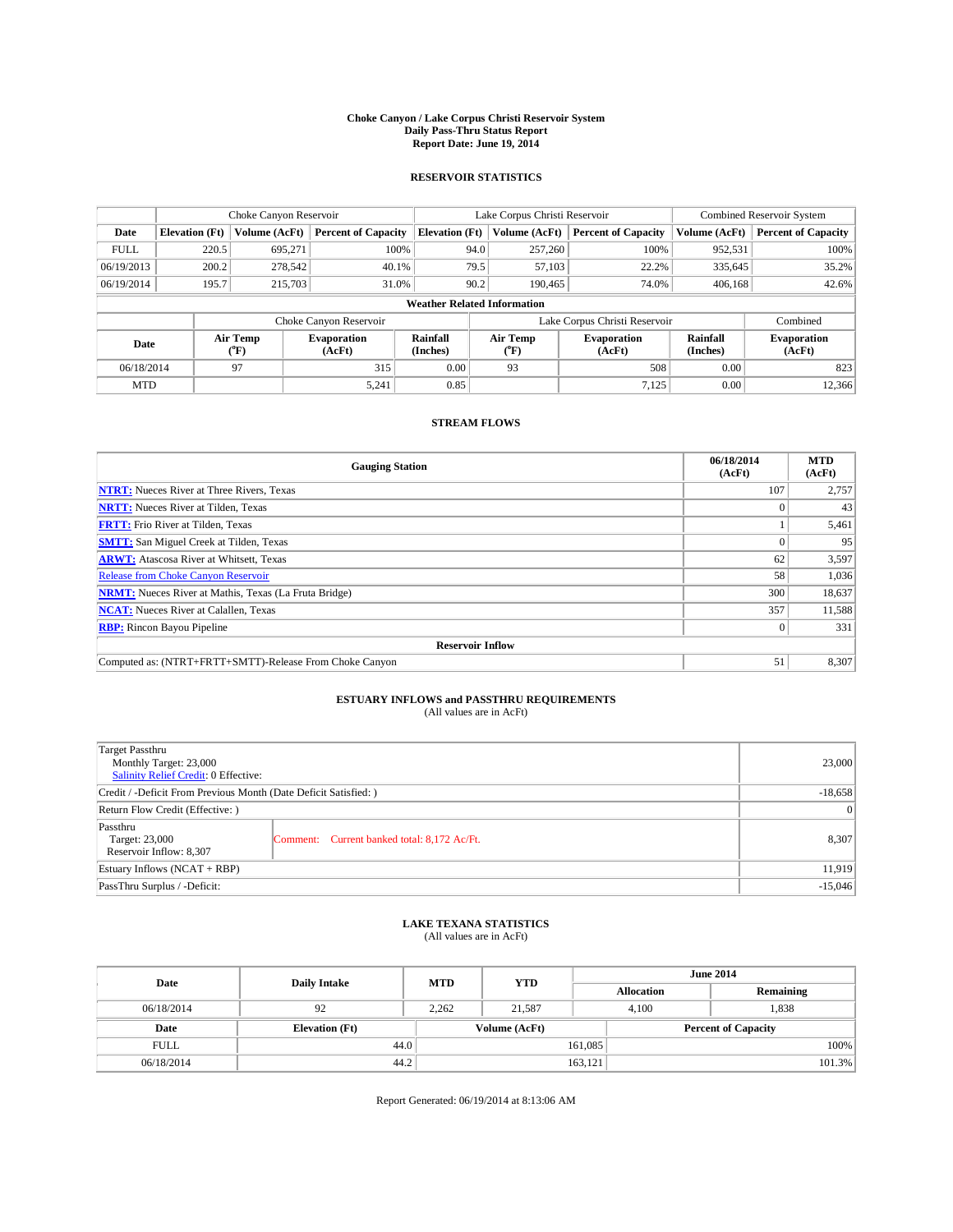#### **Choke Canyon / Lake Corpus Christi Reservoir System Daily Pass-Thru Status Report Report Date: June 19, 2014**

### **RESERVOIR STATISTICS**

|             |                                    | Choke Canyon Reservoir |                              |                       | Lake Corpus Christi Reservoir | <b>Combined Reservoir System</b> |                      |                              |  |
|-------------|------------------------------------|------------------------|------------------------------|-----------------------|-------------------------------|----------------------------------|----------------------|------------------------------|--|
| Date        | <b>Elevation</b> (Ft)              | Volume (AcFt)          | <b>Percent of Capacity</b>   | <b>Elevation (Ft)</b> | Volume (AcFt)                 | <b>Percent of Capacity</b>       | Volume (AcFt)        | <b>Percent of Capacity</b>   |  |
| <b>FULL</b> | 220.5                              | 695,271                | 100%                         | 94.0                  | 257,260                       | 100%                             | 952,531              | 100%                         |  |
| 06/19/2013  | 200.2                              | 278,542                | 40.1%                        | 79.5                  | 57,103                        | 22.2%                            | 335,645              | 35.2%                        |  |
| 06/19/2014  | 195.7                              | 215,703                | 31.0%                        | 90.2                  | 190.465                       | 74.0%                            | 406.168              | 42.6%                        |  |
|             | <b>Weather Related Information</b> |                        |                              |                       |                               |                                  |                      |                              |  |
|             |                                    |                        | Choke Canyon Reservoir       |                       |                               | Lake Corpus Christi Reservoir    |                      | Combined                     |  |
| Date        |                                    | Air Temp<br>(°F)       | <b>Evaporation</b><br>(AcFt) | Rainfall<br>(Inches)  | Air Temp<br>(°F)              | <b>Evaporation</b><br>(AcFt)     | Rainfall<br>(Inches) | <b>Evaporation</b><br>(AcFt) |  |
| 06/18/2014  |                                    | 97                     | 315                          | 0.00                  | 93                            | 508                              | 0.00                 | 823                          |  |
| <b>MTD</b>  |                                    |                        | 5,241                        | 0.85                  |                               | 7,125                            | 0.00                 | 12,366                       |  |

### **STREAM FLOWS**

| <b>Gauging Station</b>                                       | 06/18/2014<br>(AcFt) | <b>MTD</b><br>(AcFt) |  |  |  |  |
|--------------------------------------------------------------|----------------------|----------------------|--|--|--|--|
| <b>NTRT:</b> Nueces River at Three Rivers, Texas             | 107                  | 2,757                |  |  |  |  |
| <b>NRTT:</b> Nueces River at Tilden, Texas                   |                      | 43                   |  |  |  |  |
| <b>FRTT:</b> Frio River at Tilden, Texas                     |                      | 5,461                |  |  |  |  |
| <b>SMTT:</b> San Miguel Creek at Tilden, Texas               |                      | 95                   |  |  |  |  |
| <b>ARWT:</b> Atascosa River at Whitsett, Texas               | 62                   | 3,597                |  |  |  |  |
| <b>Release from Choke Canyon Reservoir</b>                   | 58                   | 1,036                |  |  |  |  |
| <b>NRMT:</b> Nueces River at Mathis, Texas (La Fruta Bridge) | 300                  | 18,637               |  |  |  |  |
| <b>NCAT:</b> Nueces River at Calallen, Texas                 | 357                  | 11,588               |  |  |  |  |
| <b>RBP:</b> Rincon Bayou Pipeline                            | $\Omega$             | 331                  |  |  |  |  |
| <b>Reservoir Inflow</b>                                      |                      |                      |  |  |  |  |
| Computed as: (NTRT+FRTT+SMTT)-Release From Choke Canyon      | 51                   | 8,307                |  |  |  |  |

# **ESTUARY INFLOWS and PASSTHRU REQUIREMENTS**<br>(All values are in AcFt)

| Target Passthru<br>Monthly Target: 23,000<br>Salinity Relief Credit: 0 Effective: | 23,000                                      |       |  |  |
|-----------------------------------------------------------------------------------|---------------------------------------------|-------|--|--|
| Credit / -Deficit From Previous Month (Date Deficit Satisfied: )                  |                                             |       |  |  |
| Return Flow Credit (Effective: )                                                  | $\vert$ 0                                   |       |  |  |
| Passthru<br>Target: 23,000<br>Reservoir Inflow: 8,307                             | Comment: Current banked total: 8,172 Ac/Ft. | 8,307 |  |  |
| Estuary Inflows (NCAT + RBP)                                                      | 11,919                                      |       |  |  |
| PassThru Surplus / -Deficit:                                                      | $-15,046$                                   |       |  |  |

# **LAKE TEXANA STATISTICS** (All values are in AcFt)

| Date        | <b>Daily Intake</b>   | <b>MTD</b> | <b>YTD</b>    | <b>June 2014</b>  |                            |           |  |
|-------------|-----------------------|------------|---------------|-------------------|----------------------------|-----------|--|
|             |                       |            |               | <b>Allocation</b> |                            | Remaining |  |
| 06/18/2014  | 92                    | 2,262      | 21,587        |                   | 1,838<br>4,100             |           |  |
| Date        | <b>Elevation</b> (Ft) |            | Volume (AcFt) |                   | <b>Percent of Capacity</b> |           |  |
| <b>FULL</b> | 44.0                  |            |               | 161,085           |                            | 100%      |  |
| 06/18/2014  | 44.2                  |            |               | 163,121           |                            | 101.3%    |  |

Report Generated: 06/19/2014 at 8:13:06 AM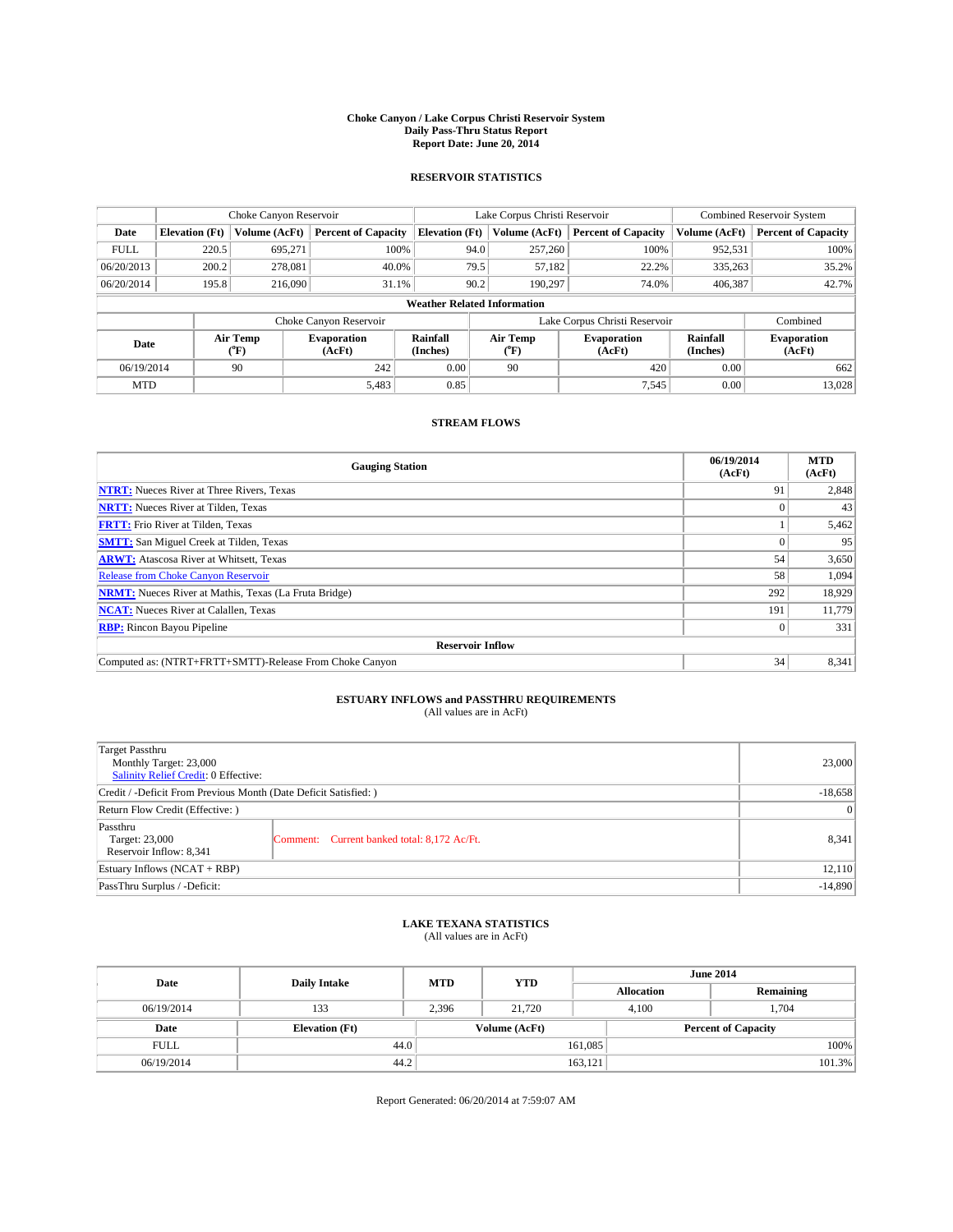#### **Choke Canyon / Lake Corpus Christi Reservoir System Daily Pass-Thru Status Report Report Date: June 20, 2014**

### **RESERVOIR STATISTICS**

|             |                                    | Choke Canyon Reservoir |                              |                       | Lake Corpus Christi Reservoir | <b>Combined Reservoir System</b> |                      |                              |  |
|-------------|------------------------------------|------------------------|------------------------------|-----------------------|-------------------------------|----------------------------------|----------------------|------------------------------|--|
| Date        | <b>Elevation</b> (Ft)              | Volume (AcFt)          | <b>Percent of Capacity</b>   | <b>Elevation (Ft)</b> | Volume (AcFt)                 | <b>Percent of Capacity</b>       | Volume (AcFt)        | <b>Percent of Capacity</b>   |  |
| <b>FULL</b> | 220.5                              | 695,271                | 100%                         | 94.0                  | 257,260                       | 100%                             | 952,531              | 100%                         |  |
| 06/20/2013  | 200.2                              | 278,081                | 40.0%                        | 79.5                  | 57,182                        | 22.2%                            | 335,263              | 35.2%                        |  |
| 06/20/2014  | 195.8                              | 216,090                | 31.1%                        | 90.2                  | 190,297                       | 74.0%                            | 406,387              | 42.7%                        |  |
|             | <b>Weather Related Information</b> |                        |                              |                       |                               |                                  |                      |                              |  |
|             |                                    |                        | Choke Canyon Reservoir       |                       |                               | Lake Corpus Christi Reservoir    |                      | Combined                     |  |
| Date        |                                    | Air Temp<br>(°F)       | <b>Evaporation</b><br>(AcFt) | Rainfall<br>(Inches)  | Air Temp<br>(°F)              | <b>Evaporation</b><br>(AcFt)     | Rainfall<br>(Inches) | <b>Evaporation</b><br>(AcFt) |  |
| 06/19/2014  |                                    | 90                     | 242                          | 0.00                  | 90                            | 420                              | 0.00                 | 662                          |  |
| <b>MTD</b>  |                                    |                        | 5,483                        | 0.85                  |                               | 7,545                            | 0.00                 | 13,028                       |  |

### **STREAM FLOWS**

| <b>Gauging Station</b>                                       | 06/19/2014<br>(AcFt) | <b>MTD</b><br>(AcFt) |  |  |  |  |
|--------------------------------------------------------------|----------------------|----------------------|--|--|--|--|
| <b>NTRT:</b> Nueces River at Three Rivers, Texas             | 91                   | 2,848                |  |  |  |  |
| <b>NRTT:</b> Nueces River at Tilden, Texas                   |                      | 43                   |  |  |  |  |
| <b>FRTT:</b> Frio River at Tilden, Texas                     |                      | 5,462                |  |  |  |  |
| <b>SMTT:</b> San Miguel Creek at Tilden, Texas               |                      | 95                   |  |  |  |  |
| <b>ARWT:</b> Atascosa River at Whitsett, Texas               | 54                   | 3,650                |  |  |  |  |
| <b>Release from Choke Canyon Reservoir</b>                   | 58                   | 1,094                |  |  |  |  |
| <b>NRMT:</b> Nueces River at Mathis, Texas (La Fruta Bridge) | 292                  | 18,929               |  |  |  |  |
| <b>NCAT:</b> Nueces River at Calallen, Texas                 | 191                  | 11,779               |  |  |  |  |
| <b>RBP:</b> Rincon Bayou Pipeline                            | $\Omega$             | 331                  |  |  |  |  |
| <b>Reservoir Inflow</b>                                      |                      |                      |  |  |  |  |
| Computed as: (NTRT+FRTT+SMTT)-Release From Choke Canyon      | 34                   | 8,341                |  |  |  |  |

# **ESTUARY INFLOWS and PASSTHRU REQUIREMENTS**<br>(All values are in AcFt)

| Target Passthru<br>Monthly Target: 23,000<br>Salinity Relief Credit: 0 Effective: | 23,000                                      |       |
|-----------------------------------------------------------------------------------|---------------------------------------------|-------|
| Credit / -Deficit From Previous Month (Date Deficit Satisfied: )                  | $-18,658$                                   |       |
| Return Flow Credit (Effective: )                                                  | $\vert$ 0                                   |       |
| Passthru<br>Target: 23,000<br>Reservoir Inflow: 8,341                             | Comment: Current banked total: 8,172 Ac/Ft. | 8,341 |
| Estuary Inflows (NCAT + RBP)                                                      | 12,110                                      |       |
| PassThru Surplus / -Deficit:                                                      | $-14,890$                                   |       |

# **LAKE TEXANA STATISTICS** (All values are in AcFt)

| Date        | <b>Daily Intake</b>   | <b>MTD</b> | <b>YTD</b>    | <b>June 2014</b>  |                            |           |  |
|-------------|-----------------------|------------|---------------|-------------------|----------------------------|-----------|--|
|             |                       |            |               | <b>Allocation</b> |                            | Remaining |  |
| 06/19/2014  | 133                   | 2,396      | 21,720        |                   | 1,704<br>4,100             |           |  |
| Date        | <b>Elevation</b> (Ft) |            | Volume (AcFt) |                   | <b>Percent of Capacity</b> |           |  |
| <b>FULL</b> | 44.0                  |            |               | 161,085           |                            | 100%      |  |
| 06/19/2014  | 44.2                  |            |               | 163,121           |                            | 101.3%    |  |

Report Generated: 06/20/2014 at 7:59:07 AM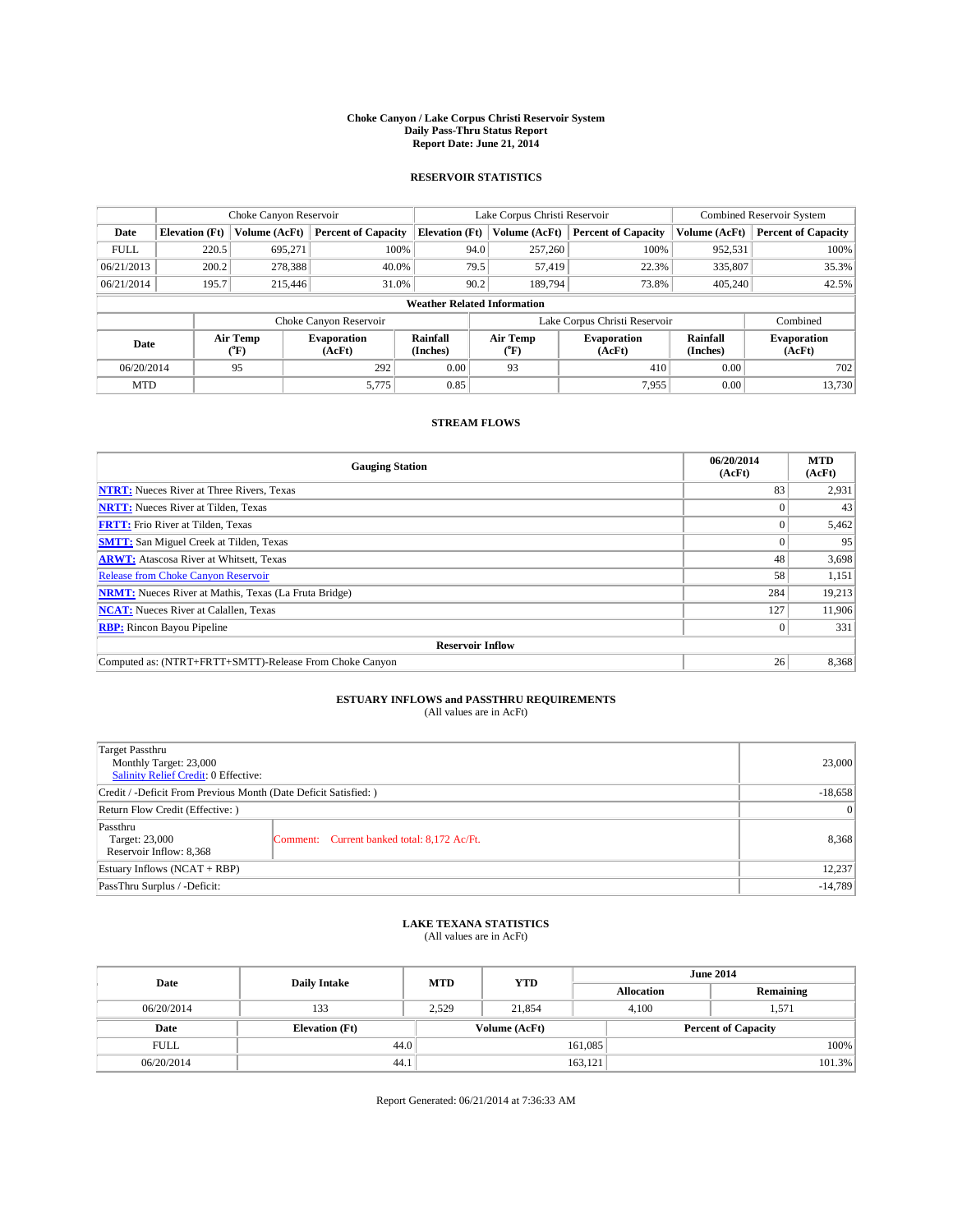#### **Choke Canyon / Lake Corpus Christi Reservoir System Daily Pass-Thru Status Report Report Date: June 21, 2014**

### **RESERVOIR STATISTICS**

|             |                                    | Choke Canyon Reservoir |                            |                       | Lake Corpus Christi Reservoir | <b>Combined Reservoir System</b> |                      |                              |  |
|-------------|------------------------------------|------------------------|----------------------------|-----------------------|-------------------------------|----------------------------------|----------------------|------------------------------|--|
| Date        | <b>Elevation</b> (Ft)              | Volume (AcFt)          | <b>Percent of Capacity</b> | <b>Elevation (Ft)</b> | Volume (AcFt)                 | <b>Percent of Capacity</b>       | Volume (AcFt)        | Percent of Capacity          |  |
| <b>FULL</b> | 220.5                              | 695,271                | 100%                       | 94.0                  | 257,260                       | 100%                             | 952,531              | 100%                         |  |
| 06/21/2013  | 200.2                              | 278,388                | 40.0%                      | 79.5                  | 57,419                        | 22.3%                            | 335,807              | 35.3%                        |  |
| 06/21/2014  | 195.7                              | 215,446                | 31.0%                      | 90.2                  | 189.794                       | 73.8%                            | 405,240              | 42.5%                        |  |
|             | <b>Weather Related Information</b> |                        |                            |                       |                               |                                  |                      |                              |  |
|             |                                    |                        | Choke Canyon Reservoir     |                       |                               | Lake Corpus Christi Reservoir    |                      | Combined                     |  |
| Date        |                                    | Air Temp<br>(°F)       | Evaporation<br>(AcFt)      | Rainfall<br>(Inches)  | Air Temp<br>("F)              | <b>Evaporation</b><br>(AcFt)     | Rainfall<br>(Inches) | <b>Evaporation</b><br>(AcFt) |  |
| 06/20/2014  |                                    | 292<br>0.00<br>95      |                            | 93                    | 410<br>0.00                   |                                  | 702                  |                              |  |
| <b>MTD</b>  |                                    |                        | 5,775                      | 0.85                  |                               | 7,955                            | 0.00                 | 13,730                       |  |

### **STREAM FLOWS**

| <b>Gauging Station</b>                                       | 06/20/2014<br>(AcFt) | <b>MTD</b><br>(AcFt) |  |  |  |  |
|--------------------------------------------------------------|----------------------|----------------------|--|--|--|--|
| <b>NTRT:</b> Nueces River at Three Rivers, Texas             | 83                   | 2,931                |  |  |  |  |
| <b>NRTT:</b> Nueces River at Tilden, Texas                   |                      | 43                   |  |  |  |  |
| <b>FRTT:</b> Frio River at Tilden, Texas                     |                      | 5,462                |  |  |  |  |
| <b>SMTT:</b> San Miguel Creek at Tilden, Texas               |                      | 95                   |  |  |  |  |
| <b>ARWT:</b> Atascosa River at Whitsett, Texas               | 48                   | 3,698                |  |  |  |  |
| <b>Release from Choke Canyon Reservoir</b>                   | 58                   | 1,151                |  |  |  |  |
| <b>NRMT:</b> Nueces River at Mathis, Texas (La Fruta Bridge) | 284                  | 19,213               |  |  |  |  |
| <b>NCAT:</b> Nueces River at Calallen, Texas                 |                      |                      |  |  |  |  |
| <b>RBP:</b> Rincon Bayou Pipeline                            | $\Omega$             | 331                  |  |  |  |  |
| <b>Reservoir Inflow</b>                                      |                      |                      |  |  |  |  |
| Computed as: (NTRT+FRTT+SMTT)-Release From Choke Canyon      | 26                   | 8,368                |  |  |  |  |

# **ESTUARY INFLOWS and PASSTHRU REQUIREMENTS**<br>(All values are in AcFt)

| Target Passthru<br>Monthly Target: 23,000<br>Salinity Relief Credit: 0 Effective: | 23,000                                      |       |  |  |
|-----------------------------------------------------------------------------------|---------------------------------------------|-------|--|--|
| Credit / -Deficit From Previous Month (Date Deficit Satisfied: )                  |                                             |       |  |  |
| Return Flow Credit (Effective: )                                                  |                                             |       |  |  |
| Passthru<br>Target: 23,000<br>Reservoir Inflow: 8,368                             | Comment: Current banked total: 8,172 Ac/Ft. | 8,368 |  |  |
| Estuary Inflows (NCAT + RBP)                                                      |                                             |       |  |  |
| PassThru Surplus / -Deficit:                                                      | $-14,789$                                   |       |  |  |

## **LAKE TEXANA STATISTICS** (All values are in AcFt)

| Date        | <b>Daily Intake</b>   | <b>MTD</b> | <b>YTD</b>    | <b>June 2014</b>  |                            |           |  |
|-------------|-----------------------|------------|---------------|-------------------|----------------------------|-----------|--|
|             |                       |            |               | <b>Allocation</b> |                            | Remaining |  |
| 06/20/2014  | 133                   | 2,529      | 21,854        |                   | 4,100<br>1,571             |           |  |
| Date        | <b>Elevation</b> (Ft) |            | Volume (AcFt) |                   | <b>Percent of Capacity</b> |           |  |
| <b>FULL</b> | 44.0                  |            |               | 161,085           |                            | 100%      |  |
| 06/20/2014  | 44.1                  |            |               | 163,121           |                            | 101.3%    |  |

Report Generated: 06/21/2014 at 7:36:33 AM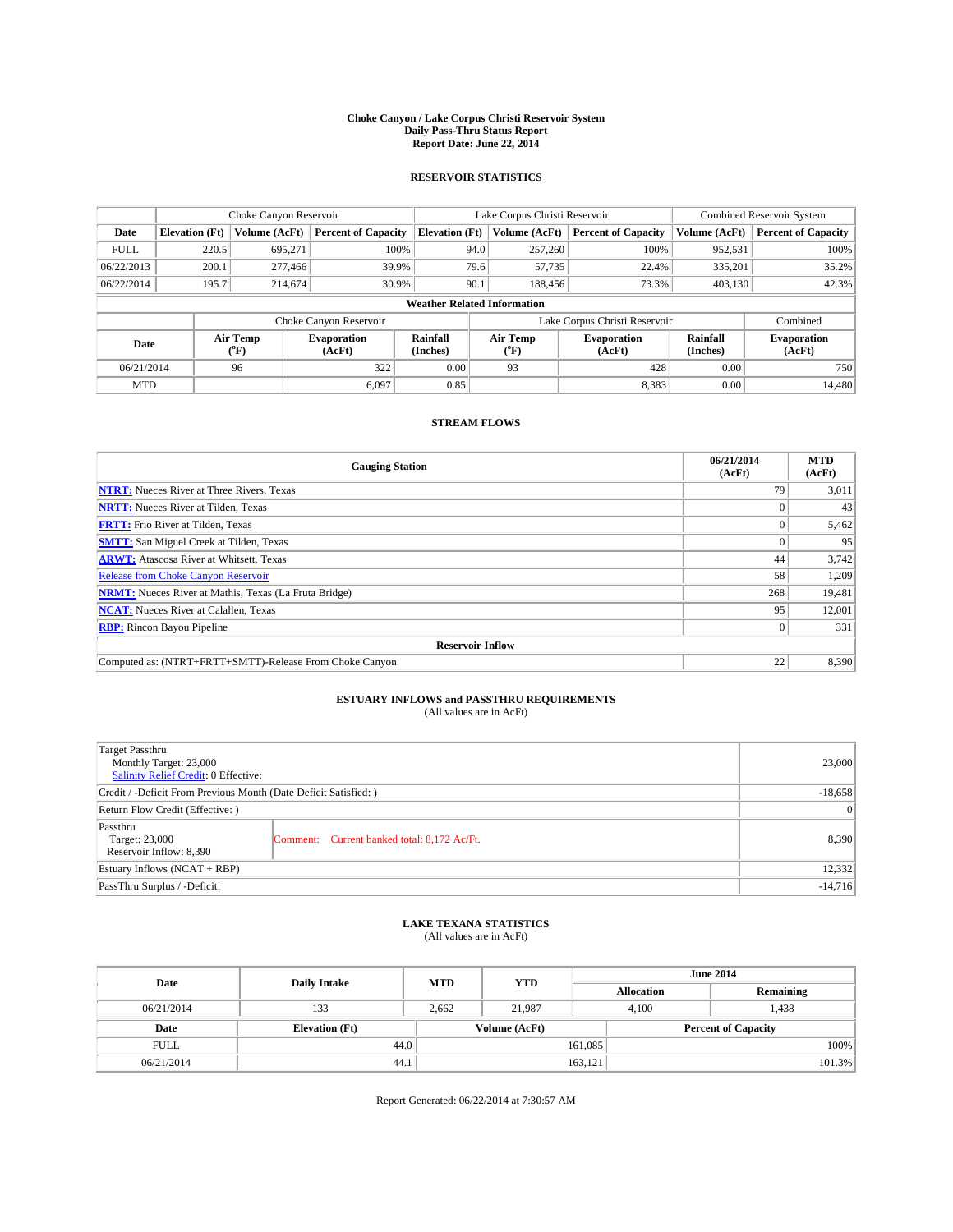#### **Choke Canyon / Lake Corpus Christi Reservoir System Daily Pass-Thru Status Report Report Date: June 22, 2014**

### **RESERVOIR STATISTICS**

|                                    |                       | Choke Canyon Reservoir |                              |                       | Lake Corpus Christi Reservoir | <b>Combined Reservoir System</b> |                      |                              |
|------------------------------------|-----------------------|------------------------|------------------------------|-----------------------|-------------------------------|----------------------------------|----------------------|------------------------------|
| Date                               | <b>Elevation</b> (Ft) | Volume (AcFt)          | <b>Percent of Capacity</b>   | <b>Elevation (Ft)</b> | Volume (AcFt)                 | <b>Percent of Capacity</b>       | Volume (AcFt)        | Percent of Capacity          |
| <b>FULL</b>                        | 220.5                 | 695,271                | 100%                         | 94.0                  | 257,260                       | 100%                             | 952,531              | 100%                         |
| 06/22/2013                         | 200.1                 | 277,466                | 39.9%                        | 79.6                  | 57,735                        | 22.4%                            | 335,201              | $35.2\%$                     |
| 06/22/2014                         | 195.7                 | 214,674                | 30.9%                        | 90.1                  | 188,456                       | 73.3%                            | 403.130              | 42.3%                        |
| <b>Weather Related Information</b> |                       |                        |                              |                       |                               |                                  |                      |                              |
|                                    |                       |                        | Choke Canyon Reservoir       |                       | Lake Corpus Christi Reservoir | Combined                         |                      |                              |
| Date                               |                       | Air Temp<br>(°F)       | <b>Evaporation</b><br>(AcFt) | Rainfall<br>(Inches)  | Air Temp<br>("F)              | <b>Evaporation</b><br>(AcFt)     | Rainfall<br>(Inches) | <b>Evaporation</b><br>(AcFt) |
| 06/21/2014                         |                       | 96                     | 322                          | 0.00                  | 93                            | 428                              | 0.00                 | 750                          |
| <b>MTD</b>                         |                       |                        | 6.097                        | 0.85                  |                               | 8,383                            | 0.00                 | 14.480                       |

### **STREAM FLOWS**

| <b>Gauging Station</b>                                       | 06/21/2014<br>(AcFt) | <b>MTD</b><br>(AcFt) |  |  |  |  |
|--------------------------------------------------------------|----------------------|----------------------|--|--|--|--|
| <b>NTRT:</b> Nueces River at Three Rivers, Texas             | 79                   | 3,011                |  |  |  |  |
| <b>NRTT:</b> Nueces River at Tilden, Texas                   |                      | 43                   |  |  |  |  |
| <b>FRTT:</b> Frio River at Tilden, Texas                     |                      | 5,462                |  |  |  |  |
| <b>SMTT:</b> San Miguel Creek at Tilden, Texas               |                      | 95                   |  |  |  |  |
| <b>ARWT:</b> Atascosa River at Whitsett, Texas               | 44                   | 3,742                |  |  |  |  |
| <b>Release from Choke Canyon Reservoir</b>                   | 58                   | 1,209                |  |  |  |  |
| <b>NRMT:</b> Nueces River at Mathis, Texas (La Fruta Bridge) | 268                  | 19,481               |  |  |  |  |
| <b>NCAT:</b> Nueces River at Calallen, Texas                 | 95                   | 12,001               |  |  |  |  |
| <b>RBP:</b> Rincon Bayou Pipeline                            | $\Omega$             | 331                  |  |  |  |  |
| <b>Reservoir Inflow</b>                                      |                      |                      |  |  |  |  |
| Computed as: (NTRT+FRTT+SMTT)-Release From Choke Canyon      | 22                   | 8,390                |  |  |  |  |

# **ESTUARY INFLOWS and PASSTHRU REQUIREMENTS**<br>(All values are in AcFt)

| Target Passthru<br>Monthly Target: 23,000<br>Salinity Relief Credit: 0 Effective: |                                             | 23,000 |  |  |
|-----------------------------------------------------------------------------------|---------------------------------------------|--------|--|--|
| Credit / -Deficit From Previous Month (Date Deficit Satisfied: )                  |                                             |        |  |  |
| Return Flow Credit (Effective: )                                                  | $\vert$ 0                                   |        |  |  |
| Passthru<br>Target: 23,000<br>Reservoir Inflow: 8,390                             | Comment: Current banked total: 8,172 Ac/Ft. | 8,390  |  |  |
| Estuary Inflows (NCAT + RBP)                                                      |                                             |        |  |  |
| PassThru Surplus / -Deficit:                                                      | $-14,716$                                   |        |  |  |

# **LAKE TEXANA STATISTICS** (All values are in AcFt)

| Date        | <b>Daily Intake</b>   | <b>MTD</b> | <b>YTD</b>    | <b>June 2014</b> |                            |           |  |
|-------------|-----------------------|------------|---------------|------------------|----------------------------|-----------|--|
|             |                       |            |               |                  | <b>Allocation</b>          | Remaining |  |
| 06/21/2014  | 133                   | 2.662      | 21.987        |                  | 1,438<br>4.100             |           |  |
| Date        | <b>Elevation</b> (Ft) |            | Volume (AcFt) |                  | <b>Percent of Capacity</b> |           |  |
| <b>FULL</b> | 44.0                  |            |               | 161,085          |                            | 100%      |  |
| 06/21/2014  | 44.1                  |            |               | 163,121          |                            | 101.3%    |  |

Report Generated: 06/22/2014 at 7:30:57 AM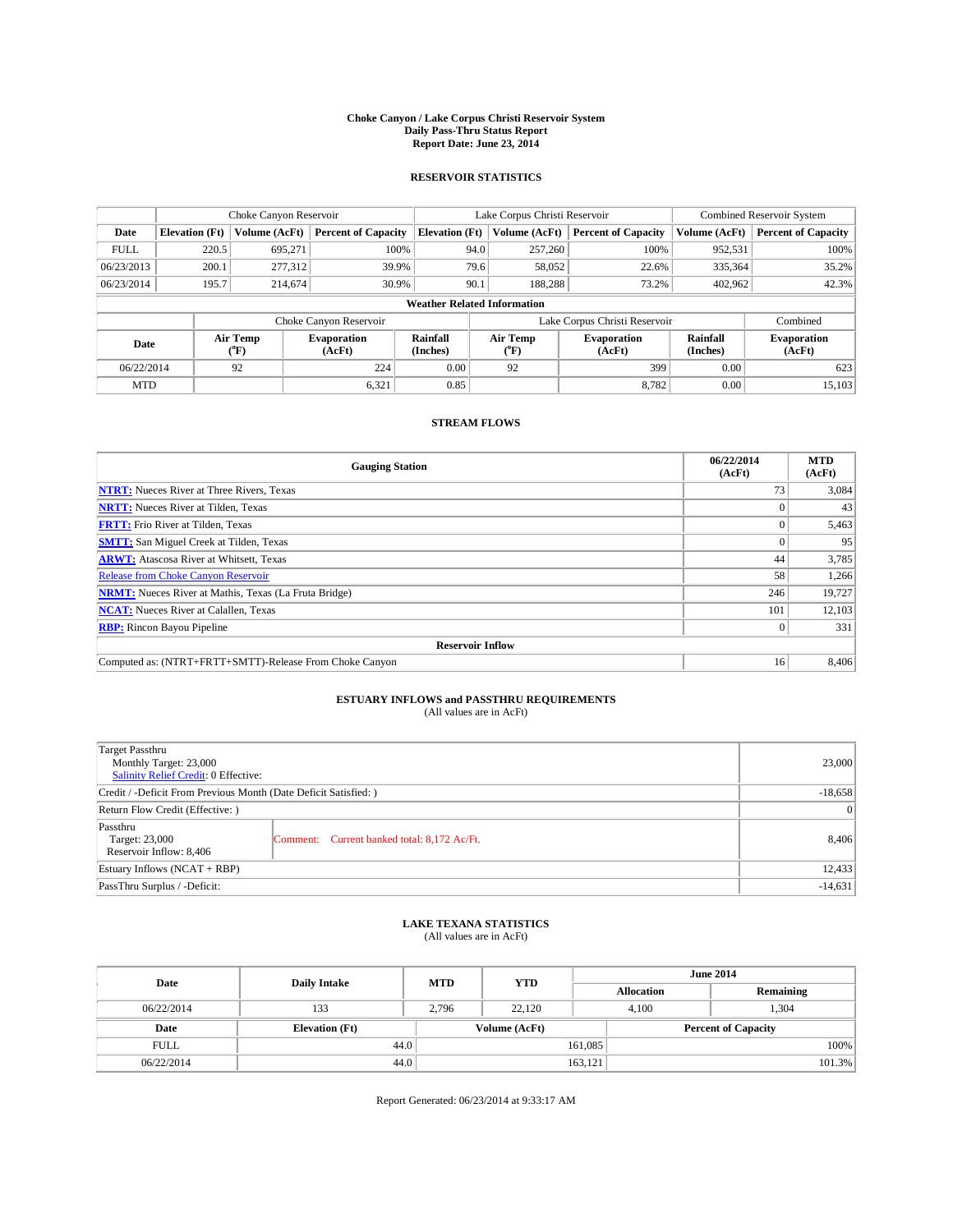#### **Choke Canyon / Lake Corpus Christi Reservoir System Daily Pass-Thru Status Report Report Date: June 23, 2014**

### **RESERVOIR STATISTICS**

|                                    |                       | Choke Canyon Reservoir |                              |                       | Lake Corpus Christi Reservoir | <b>Combined Reservoir System</b> |                      |                              |
|------------------------------------|-----------------------|------------------------|------------------------------|-----------------------|-------------------------------|----------------------------------|----------------------|------------------------------|
| Date                               | <b>Elevation</b> (Ft) | Volume (AcFt)          | <b>Percent of Capacity</b>   | <b>Elevation (Ft)</b> | Volume (AcFt)                 | <b>Percent of Capacity</b>       | Volume (AcFt)        | Percent of Capacity          |
| <b>FULL</b>                        | 220.5                 | 695,271                | 100%                         | 94.0                  | 257,260                       | 100%                             | 952,531              | 100%                         |
| 06/23/2013                         | 200.1                 | 277,312                | 39.9%                        | 79.6                  | 58,052                        | 22.6%                            | 335,364              | $35.2\%$                     |
| 06/23/2014                         | 195.7                 | 214,674                | 30.9%                        | 90.1                  | 188,288                       | 73.2%                            | 402.962              | 42.3%                        |
| <b>Weather Related Information</b> |                       |                        |                              |                       |                               |                                  |                      |                              |
|                                    |                       |                        | Choke Canyon Reservoir       |                       |                               | Lake Corpus Christi Reservoir    |                      | Combined                     |
| Date                               |                       | Air Temp<br>(°F)       | <b>Evaporation</b><br>(AcFt) | Rainfall<br>(Inches)  | Air Temp<br>("F)              | <b>Evaporation</b><br>(AcFt)     | Rainfall<br>(Inches) | <b>Evaporation</b><br>(AcFt) |
|                                    | 06/22/2014<br>92      |                        | 224                          | 0.00                  | 92                            | 399                              | 0.00                 | 623                          |
| <b>MTD</b>                         |                       |                        | 6,321                        | 0.85                  |                               | 8,782                            | 0.00                 | 15,103                       |

### **STREAM FLOWS**

| <b>Gauging Station</b>                                       | 06/22/2014<br>(AcFt) | <b>MTD</b><br>(AcFt) |  |  |  |  |
|--------------------------------------------------------------|----------------------|----------------------|--|--|--|--|
| <b>NTRT:</b> Nueces River at Three Rivers, Texas             | 73                   | 3,084                |  |  |  |  |
| <b>NRTT:</b> Nueces River at Tilden, Texas                   |                      | 43                   |  |  |  |  |
| <b>FRTT:</b> Frio River at Tilden, Texas                     |                      | 5,463                |  |  |  |  |
| <b>SMTT:</b> San Miguel Creek at Tilden, Texas               |                      | 95                   |  |  |  |  |
| <b>ARWT:</b> Atascosa River at Whitsett, Texas               | 44                   | 3,785                |  |  |  |  |
| <b>Release from Choke Canyon Reservoir</b>                   | 58                   | 1,266                |  |  |  |  |
| <b>NRMT:</b> Nueces River at Mathis, Texas (La Fruta Bridge) | 246                  | 19,727               |  |  |  |  |
| <b>NCAT:</b> Nueces River at Calallen, Texas                 | 101                  | 12,103               |  |  |  |  |
| <b>RBP:</b> Rincon Bayou Pipeline                            | $\Omega$             | 331                  |  |  |  |  |
| <b>Reservoir Inflow</b>                                      |                      |                      |  |  |  |  |
| Computed as: (NTRT+FRTT+SMTT)-Release From Choke Canyon      | 16                   | 8,406                |  |  |  |  |

# **ESTUARY INFLOWS and PASSTHRU REQUIREMENTS**<br>(All values are in AcFt)

| Target Passthru<br>Monthly Target: 23,000<br>Salinity Relief Credit: 0 Effective: |                                             | 23,000 |  |  |
|-----------------------------------------------------------------------------------|---------------------------------------------|--------|--|--|
| Credit / -Deficit From Previous Month (Date Deficit Satisfied: )                  |                                             |        |  |  |
| Return Flow Credit (Effective: )                                                  |                                             |        |  |  |
| Passthru<br>Target: 23,000<br>Reservoir Inflow: 8,406                             | Comment: Current banked total: 8,172 Ac/Ft. | 8,406  |  |  |
| Estuary Inflows (NCAT + RBP)                                                      |                                             |        |  |  |
| PassThru Surplus / -Deficit:                                                      | $-14,631$                                   |        |  |  |

# **LAKE TEXANA STATISTICS** (All values are in AcFt)

| Date        | <b>Daily Intake</b>   | <b>MTD</b> | <b>YTD</b>    | <b>June 2014</b>  |                            |           |  |
|-------------|-----------------------|------------|---------------|-------------------|----------------------------|-----------|--|
|             |                       |            |               | <b>Allocation</b> |                            | Remaining |  |
| 06/22/2014  | 133                   | 2.796      | 22.120        |                   | 1,304<br>4.100             |           |  |
| Date        | <b>Elevation</b> (Ft) |            | Volume (AcFt) |                   | <b>Percent of Capacity</b> |           |  |
| <b>FULL</b> | 44.0                  |            |               | 161,085           |                            | 100%      |  |
| 06/22/2014  | 44.0                  |            |               | 163,121           |                            | 101.3%    |  |

Report Generated: 06/23/2014 at 9:33:17 AM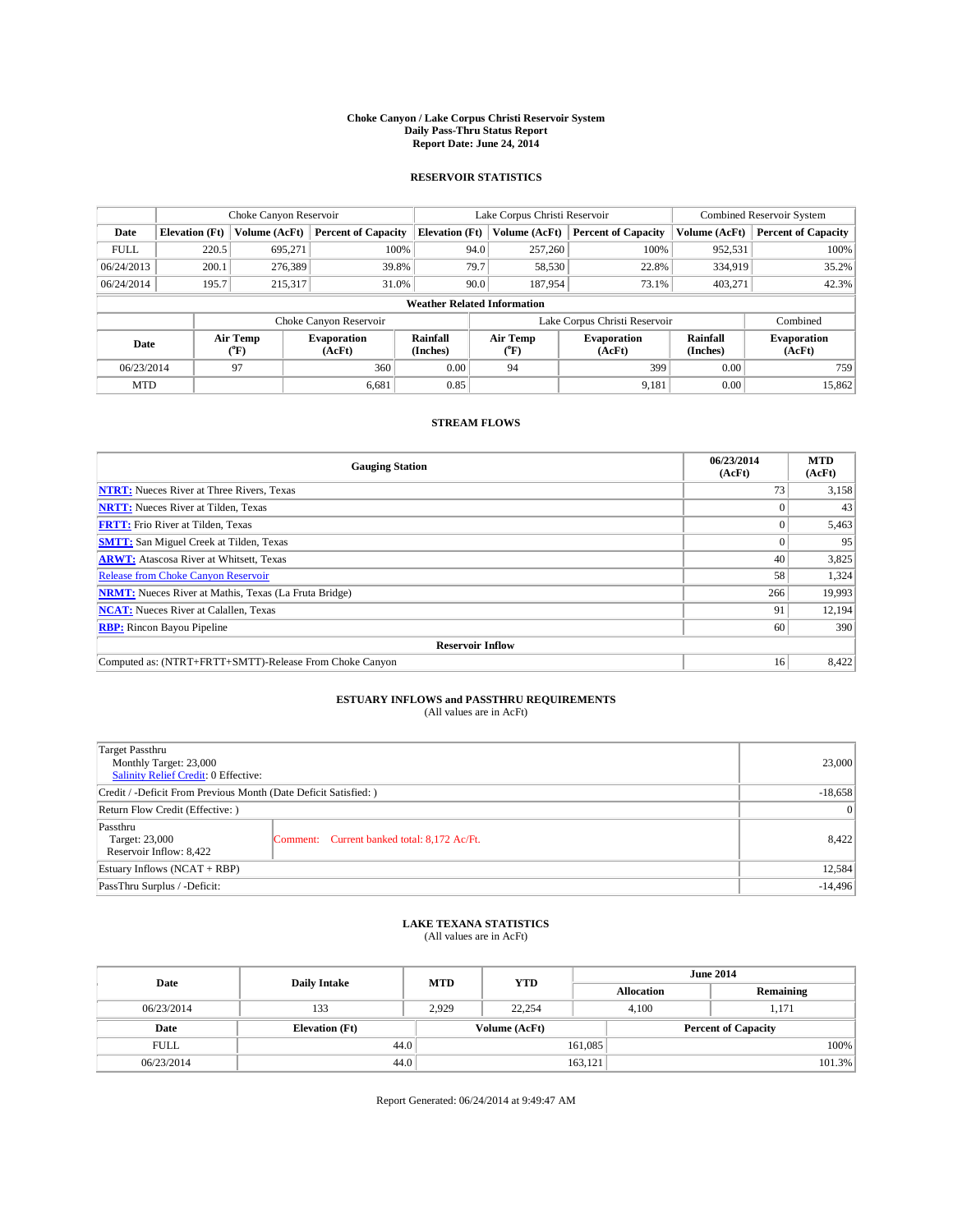#### **Choke Canyon / Lake Corpus Christi Reservoir System Daily Pass-Thru Status Report Report Date: June 24, 2014**

### **RESERVOIR STATISTICS**

|                                    |                       | Choke Canyon Reservoir |                              |                       | Lake Corpus Christi Reservoir | <b>Combined Reservoir System</b> |               |                              |  |
|------------------------------------|-----------------------|------------------------|------------------------------|-----------------------|-------------------------------|----------------------------------|---------------|------------------------------|--|
| Date                               | <b>Elevation</b> (Ft) | Volume (AcFt)          | <b>Percent of Capacity</b>   | <b>Elevation (Ft)</b> | Volume (AcFt)                 | <b>Percent of Capacity</b>       | Volume (AcFt) | Percent of Capacity          |  |
| <b>FULL</b>                        | 220.5                 | 695,271                | 100%                         | 94.0                  | 257,260                       | 100%                             | 952,531       | 100%                         |  |
| 06/24/2013                         | 200.1                 | 276,389                | 39.8%                        | 79.7                  | 58,530                        | 22.8%                            | 334,919       | $35.2\%$                     |  |
| 06/24/2014                         | 195.7                 | 215,317                | 31.0%                        | 90.0                  | 187,954                       | 73.1%                            | 403.271       | 42.3%                        |  |
| <b>Weather Related Information</b> |                       |                        |                              |                       |                               |                                  |               |                              |  |
|                                    |                       |                        | Choke Canyon Reservoir       |                       | Lake Corpus Christi Reservoir |                                  | Combined      |                              |  |
| Date                               | Air Temp<br>(°F)      |                        | <b>Evaporation</b><br>(AcFt) | Rainfall<br>(Inches)  | Air Temp<br>("F)              | <b>Evaporation</b><br>(AcFt)     |               | <b>Evaporation</b><br>(AcFt) |  |
| 06/23/2014                         |                       | 97                     | 360                          | 0.00                  | 94                            | 399                              | 0.00          | 759                          |  |
| <b>MTD</b>                         |                       |                        | 6,681                        | 0.85                  |                               | 9,181                            | 0.00          | 15,862                       |  |

### **STREAM FLOWS**

| <b>Gauging Station</b>                                       | 06/23/2014<br>(AcFt) | <b>MTD</b><br>(AcFt) |  |  |  |  |
|--------------------------------------------------------------|----------------------|----------------------|--|--|--|--|
| <b>NTRT:</b> Nueces River at Three Rivers, Texas             | 73                   | 3,158                |  |  |  |  |
| <b>NRTT:</b> Nueces River at Tilden, Texas                   |                      | 43                   |  |  |  |  |
| <b>FRTT:</b> Frio River at Tilden, Texas                     |                      | 5,463                |  |  |  |  |
| <b>SMTT:</b> San Miguel Creek at Tilden, Texas               |                      | 95                   |  |  |  |  |
| <b>ARWT:</b> Atascosa River at Whitsett, Texas               | 40                   | 3,825                |  |  |  |  |
| <b>Release from Choke Canyon Reservoir</b>                   | 58                   | 1,324                |  |  |  |  |
| <b>NRMT:</b> Nueces River at Mathis, Texas (La Fruta Bridge) | 266                  | 19,993               |  |  |  |  |
| <b>NCAT:</b> Nueces River at Calallen, Texas<br>91           |                      |                      |  |  |  |  |
| <b>RBP:</b> Rincon Bayou Pipeline<br>60                      |                      |                      |  |  |  |  |
| <b>Reservoir Inflow</b>                                      |                      |                      |  |  |  |  |
| Computed as: (NTRT+FRTT+SMTT)-Release From Choke Canyon      | 16                   | 8,422                |  |  |  |  |

# **ESTUARY INFLOWS and PASSTHRU REQUIREMENTS**<br>(All values are in AcFt)

| Target Passthru<br>Monthly Target: 23,000<br>Salinity Relief Credit: 0 Effective: |                                             | 23,000 |  |
|-----------------------------------------------------------------------------------|---------------------------------------------|--------|--|
| Credit / -Deficit From Previous Month (Date Deficit Satisfied: )                  | $-18,658$                                   |        |  |
| Return Flow Credit (Effective: )                                                  | $\vert$ 0                                   |        |  |
| Passthru<br>Target: 23,000<br>Reservoir Inflow: 8,422                             | Comment: Current banked total: 8,172 Ac/Ft. | 8,422  |  |
| Estuary Inflows (NCAT + RBP)                                                      |                                             |        |  |
| PassThru Surplus / -Deficit:                                                      | $-14,496$                                   |        |  |

# **LAKE TEXANA STATISTICS** (All values are in AcFt)

| Date        | <b>Daily Intake</b>   | <b>MTD</b> | <b>YTD</b>    | <b>June 2014</b>  |                            |           |  |
|-------------|-----------------------|------------|---------------|-------------------|----------------------------|-----------|--|
|             |                       |            |               | <b>Allocation</b> |                            | Remaining |  |
| 06/23/2014  | 133                   | 2.929      | 22.254        | 4.100             |                            | 1.171     |  |
| Date        | <b>Elevation</b> (Ft) |            | Volume (AcFt) |                   | <b>Percent of Capacity</b> |           |  |
| <b>FULL</b> | 44.0                  |            |               | 161,085           |                            | 100%      |  |
| 06/23/2014  | 44.0                  |            |               | 163,121           |                            | 101.3%    |  |

Report Generated: 06/24/2014 at 9:49:47 AM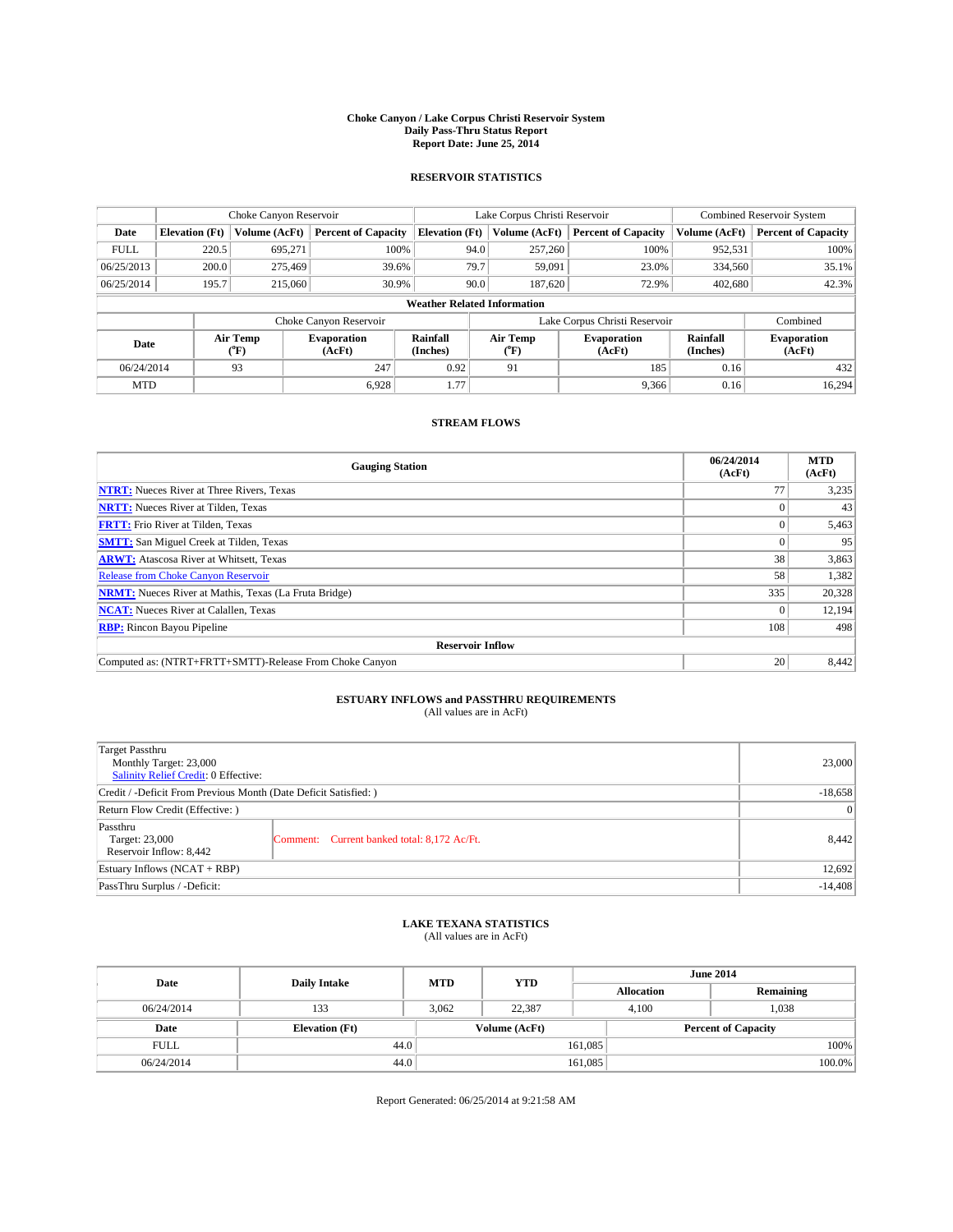#### **Choke Canyon / Lake Corpus Christi Reservoir System Daily Pass-Thru Status Report Report Date: June 25, 2014**

### **RESERVOIR STATISTICS**

|             | Choke Canyon Reservoir             |               |                              |                       | Lake Corpus Christi Reservoir | <b>Combined Reservoir System</b> |               |                              |  |
|-------------|------------------------------------|---------------|------------------------------|-----------------------|-------------------------------|----------------------------------|---------------|------------------------------|--|
| Date        | <b>Elevation</b> (Ft)              | Volume (AcFt) | <b>Percent of Capacity</b>   | <b>Elevation (Ft)</b> | Volume (AcFt)                 | <b>Percent of Capacity</b>       | Volume (AcFt) | <b>Percent of Capacity</b>   |  |
| <b>FULL</b> | 220.5                              | 695,271       | 100%                         | 94.0                  | 257,260                       | 100%                             | 952,531       | 100%                         |  |
| 06/25/2013  | 200.0                              | 275,469       | 39.6%                        | 79.7                  | 59,091                        | 23.0%                            | 334,560       | 35.1%                        |  |
| 06/25/2014  | 195.7                              | 215,060       | 30.9%                        |                       | 90.0<br>187,620               | 72.9%                            | 402.680       | 42.3%                        |  |
|             | <b>Weather Related Information</b> |               |                              |                       |                               |                                  |               |                              |  |
|             |                                    |               | Choke Canyon Reservoir       |                       |                               | Lake Corpus Christi Reservoir    |               | Combined                     |  |
| Date        | Air Temp<br>(°F)                   |               | <b>Evaporation</b><br>(AcFt) | Rainfall<br>(Inches)  | Air Temp<br>(°F)              | <b>Evaporation</b><br>(AcFt)     |               | <b>Evaporation</b><br>(AcFt) |  |
| 06/24/2014  |                                    | 93            | 247                          | 0.92                  | 91                            | 185                              | 0.16          | 432                          |  |
| <b>MTD</b>  |                                    |               | 6.928                        | 1.77                  |                               | 9,366                            | 0.16          | 16,294                       |  |

### **STREAM FLOWS**

| <b>Gauging Station</b>                                       | 06/24/2014<br>(AcFt) | <b>MTD</b><br>(AcFt) |  |  |  |  |
|--------------------------------------------------------------|----------------------|----------------------|--|--|--|--|
| <b>NTRT:</b> Nueces River at Three Rivers, Texas             | 77                   | 3,235                |  |  |  |  |
| <b>NRTT:</b> Nueces River at Tilden, Texas                   |                      | 43                   |  |  |  |  |
| <b>FRTT:</b> Frio River at Tilden, Texas                     |                      | 5,463                |  |  |  |  |
| <b>SMTT:</b> San Miguel Creek at Tilden, Texas               |                      | 95                   |  |  |  |  |
| <b>ARWT:</b> Atascosa River at Whitsett, Texas               | 38                   | 3,863                |  |  |  |  |
| Release from Choke Canyon Reservoir                          | 58                   | 1,382                |  |  |  |  |
| <b>NRMT:</b> Nueces River at Mathis, Texas (La Fruta Bridge) | 335                  | 20,328               |  |  |  |  |
| <b>NCAT:</b> Nueces River at Calallen, Texas                 |                      | 12,194               |  |  |  |  |
| <b>RBP:</b> Rincon Bayou Pipeline                            | 108                  | 498                  |  |  |  |  |
| <b>Reservoir Inflow</b>                                      |                      |                      |  |  |  |  |
| Computed as: (NTRT+FRTT+SMTT)-Release From Choke Canyon      | 20                   | 8,442                |  |  |  |  |

# **ESTUARY INFLOWS and PASSTHRU REQUIREMENTS**<br>(All values are in AcFt)

| Target Passthru<br>Monthly Target: 23,000<br>Salinity Relief Credit: 0 Effective: |                                             | 23,000 |
|-----------------------------------------------------------------------------------|---------------------------------------------|--------|
| Credit / -Deficit From Previous Month (Date Deficit Satisfied: )                  | $-18,658$                                   |        |
| Return Flow Credit (Effective: )                                                  |                                             |        |
| Passthru<br>Target: 23,000<br>Reservoir Inflow: 8,442                             | Comment: Current banked total: 8,172 Ac/Ft. | 8,442  |
| Estuary Inflows (NCAT + RBP)                                                      |                                             | 12,692 |
| PassThru Surplus / -Deficit:                                                      | $-14,408$                                   |        |

## **LAKE TEXANA STATISTICS** (All values are in AcFt)

| Date        | <b>Daily Intake</b>   | <b>MTD</b> | <b>YTD</b>    | <b>June 2014</b> |                            |           |  |
|-------------|-----------------------|------------|---------------|------------------|----------------------------|-----------|--|
|             |                       |            |               |                  | <b>Allocation</b>          | Remaining |  |
| 06/24/2014  | 133                   | 3,062      | 22,387        |                  | 1,038<br>4,100             |           |  |
| Date        | <b>Elevation</b> (Ft) |            | Volume (AcFt) |                  | <b>Percent of Capacity</b> |           |  |
| <b>FULL</b> | 44.0                  |            |               | 161,085          |                            | 100%      |  |
| 06/24/2014  | 44.0                  |            |               | 161,085          |                            | 100.0%    |  |

Report Generated: 06/25/2014 at 9:21:58 AM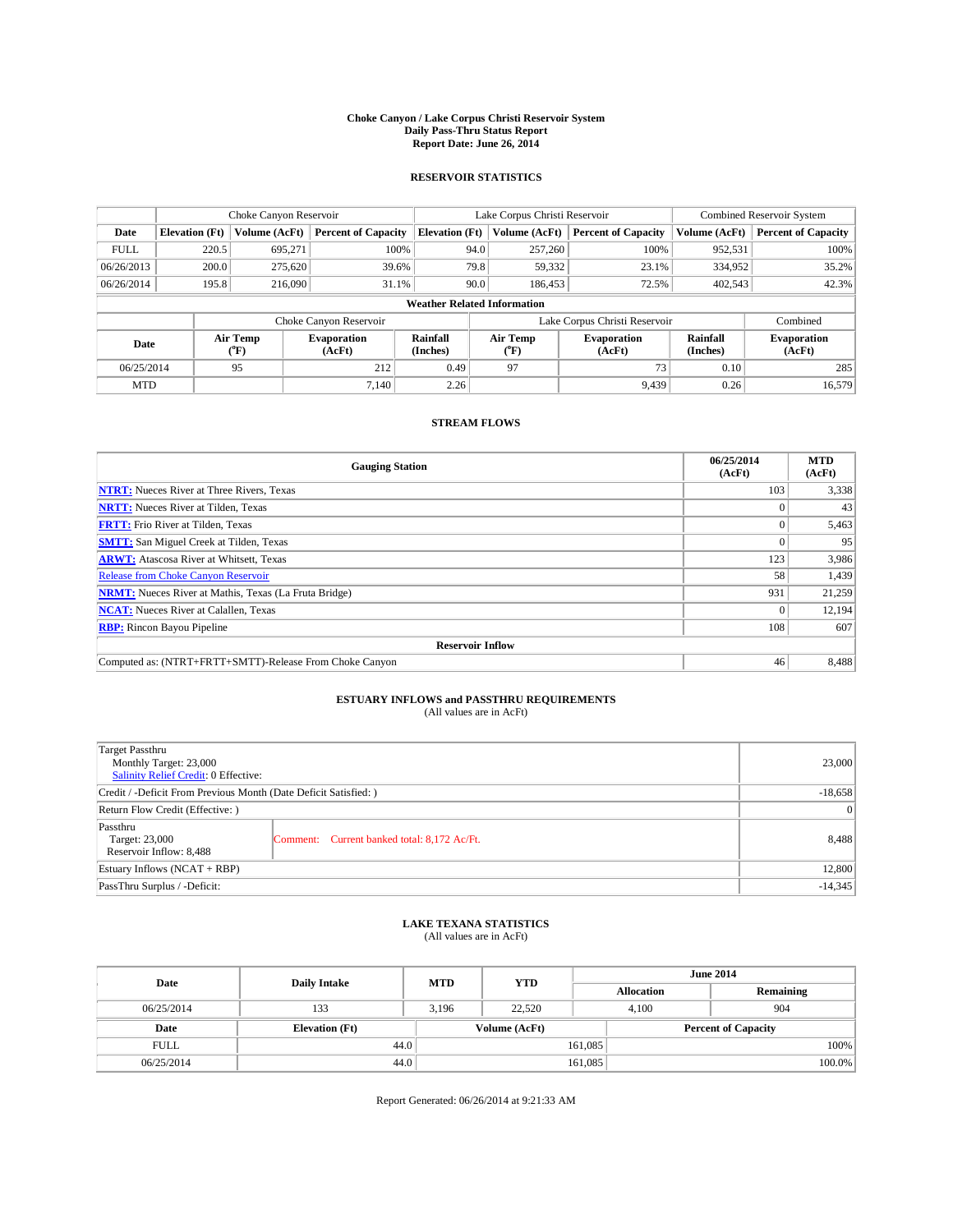#### **Choke Canyon / Lake Corpus Christi Reservoir System Daily Pass-Thru Status Report Report Date: June 26, 2014**

### **RESERVOIR STATISTICS**

|                                    | Choke Canyon Reservoir |                  |                            |                       | Lake Corpus Christi Reservoir | <b>Combined Reservoir System</b> |                      |                              |
|------------------------------------|------------------------|------------------|----------------------------|-----------------------|-------------------------------|----------------------------------|----------------------|------------------------------|
| Date                               | <b>Elevation</b> (Ft)  | Volume (AcFt)    | <b>Percent of Capacity</b> | <b>Elevation (Ft)</b> | Volume (AcFt)                 | <b>Percent of Capacity</b>       | Volume (AcFt)        | Percent of Capacity          |
| <b>FULL</b>                        | 220.5                  | 695,271          | 100%                       | 94.0                  | 257,260                       | 100%                             | 952,531              | 100%                         |
| 06/26/2013                         | 200.0                  | 275,620          | 39.6%                      | 79.8                  | 59,332                        | 23.1%                            | 334,952              | $35.2\%$                     |
| 06/26/2014                         | 195.8                  | 216,090          | 31.1%                      | 90.0                  | 186,453                       | 72.5%                            | 402,543              | 42.3%                        |
| <b>Weather Related Information</b> |                        |                  |                            |                       |                               |                                  |                      |                              |
|                                    |                        |                  | Choke Canyon Reservoir     |                       | Lake Corpus Christi Reservoir | Combined                         |                      |                              |
| Date                               |                        | Air Temp<br>(°F) | Evaporation<br>(AcFt)      | Rainfall<br>(Inches)  | Air Temp<br>("F)              | <b>Evaporation</b><br>(AcFt)     | Rainfall<br>(Inches) | <b>Evaporation</b><br>(AcFt) |
| 06/25/2014                         |                        | 95               | 212                        | 0.49                  | 97                            | 73                               | 0.10                 | 285                          |
| <b>MTD</b>                         |                        |                  | 7.140                      | 2.26                  |                               | 9.439                            | 0.26                 | 16,579                       |

### **STREAM FLOWS**

| <b>Gauging Station</b>                                       | 06/25/2014<br>(AcFt) | <b>MTD</b><br>(AcFt) |  |  |  |  |
|--------------------------------------------------------------|----------------------|----------------------|--|--|--|--|
| <b>NTRT:</b> Nueces River at Three Rivers, Texas             | 103                  | 3,338                |  |  |  |  |
| <b>NRTT:</b> Nueces River at Tilden, Texas                   |                      | 43                   |  |  |  |  |
| <b>FRTT:</b> Frio River at Tilden, Texas                     | $\Omega$             | 5,463                |  |  |  |  |
| <b>SMTT:</b> San Miguel Creek at Tilden, Texas               |                      | 95                   |  |  |  |  |
| <b>ARWT:</b> Atascosa River at Whitsett, Texas               | 123                  | 3,986                |  |  |  |  |
| <b>Release from Choke Canyon Reservoir</b>                   | 58                   | 1,439                |  |  |  |  |
| <b>NRMT:</b> Nueces River at Mathis, Texas (La Fruta Bridge) | 931                  | 21,259               |  |  |  |  |
| <b>NCAT:</b> Nueces River at Calallen, Texas                 |                      | 12,194               |  |  |  |  |
| <b>RBP:</b> Rincon Bayou Pipeline                            | 108                  | 607                  |  |  |  |  |
| <b>Reservoir Inflow</b>                                      |                      |                      |  |  |  |  |
| Computed as: (NTRT+FRTT+SMTT)-Release From Choke Canyon      | 46                   | 8,488                |  |  |  |  |

# **ESTUARY INFLOWS and PASSTHRU REQUIREMENTS**<br>(All values are in AcFt)

| Target Passthru<br>Monthly Target: 23,000<br>Salinity Relief Credit: 0 Effective: |                                             | 23,000 |  |
|-----------------------------------------------------------------------------------|---------------------------------------------|--------|--|
| Credit / -Deficit From Previous Month (Date Deficit Satisfied: )                  |                                             |        |  |
| Return Flow Credit (Effective: )                                                  |                                             |        |  |
| Passthru<br>Target: 23,000<br>Reservoir Inflow: 8,488                             | Comment: Current banked total: 8,172 Ac/Ft. | 8,488  |  |
| Estuary Inflows (NCAT + RBP)                                                      |                                             |        |  |
| PassThru Surplus / -Deficit:                                                      | $-14,345$                                   |        |  |

## **LAKE TEXANA STATISTICS** (All values are in AcFt)

| Date        | <b>Daily Intake</b>   | <b>MTD</b> | <b>YTD</b>    | <b>June 2014</b>  |                            |           |  |
|-------------|-----------------------|------------|---------------|-------------------|----------------------------|-----------|--|
|             |                       |            |               | <b>Allocation</b> |                            | Remaining |  |
| 06/25/2014  | 133                   | 3,196      | 22,520        | 4,100             |                            | 904       |  |
| Date        | <b>Elevation</b> (Ft) |            | Volume (AcFt) |                   | <b>Percent of Capacity</b> |           |  |
| <b>FULL</b> | 44.0                  |            |               | 161,085           |                            | 100%      |  |
| 06/25/2014  | 44.0                  |            |               | 161,085           |                            | 100.0%    |  |

Report Generated: 06/26/2014 at 9:21:33 AM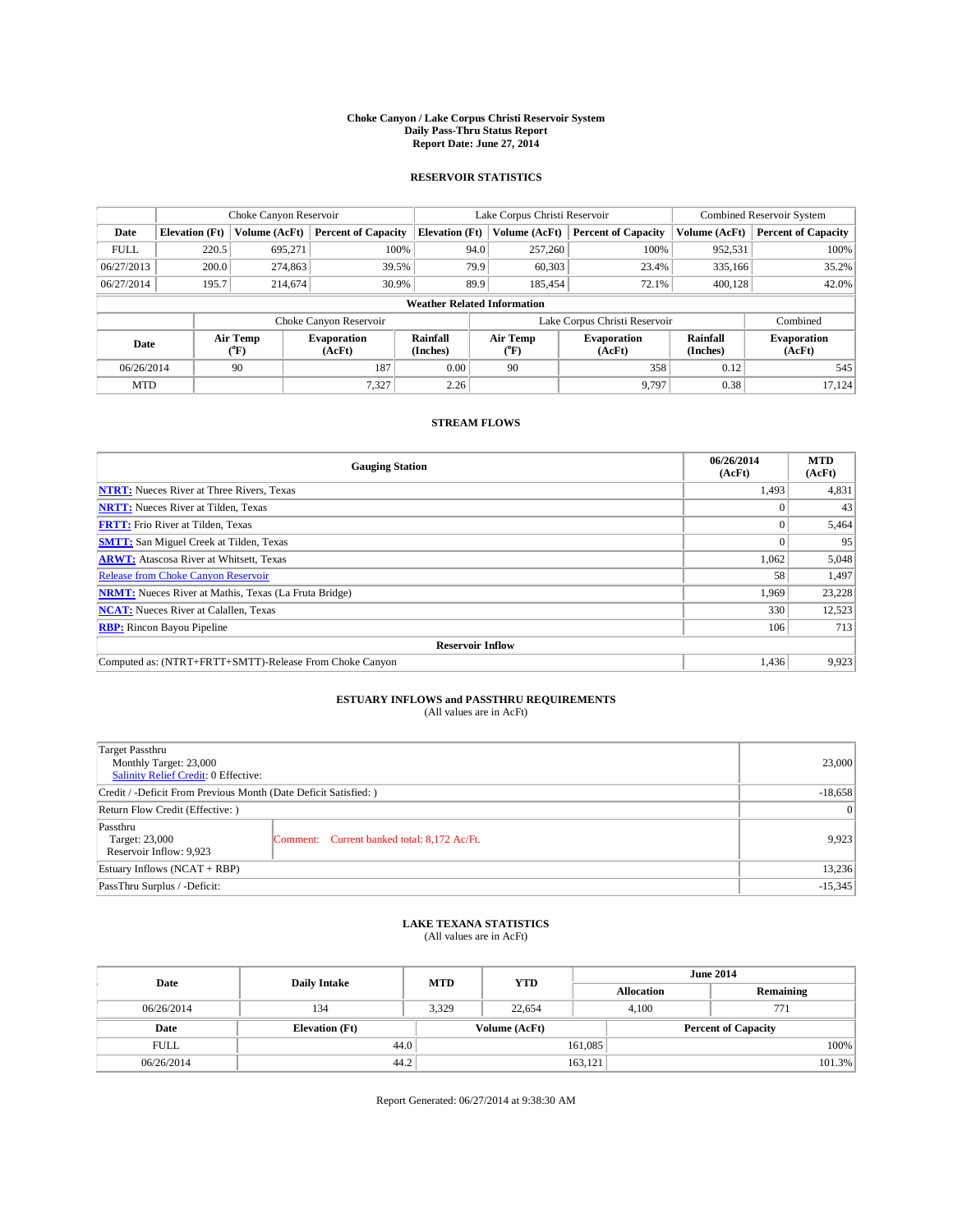#### **Choke Canyon / Lake Corpus Christi Reservoir System Daily Pass-Thru Status Report Report Date: June 27, 2014**

### **RESERVOIR STATISTICS**

|                                    | Choke Canyon Reservoir |                  |                              |                       | Lake Corpus Christi Reservoir | <b>Combined Reservoir System</b> |               |                              |
|------------------------------------|------------------------|------------------|------------------------------|-----------------------|-------------------------------|----------------------------------|---------------|------------------------------|
| Date                               | <b>Elevation</b> (Ft)  | Volume (AcFt)    | <b>Percent of Capacity</b>   | <b>Elevation (Ft)</b> | Volume (AcFt)                 | <b>Percent of Capacity</b>       | Volume (AcFt) | <b>Percent of Capacity</b>   |
| <b>FULL</b>                        | 220.5                  | 695,271          | 100%                         | 94.0                  | 257,260                       | 100%                             | 952,531       | 100%                         |
| 06/27/2013                         | 200.0                  | 274,863          | 39.5%                        |                       | 79.9<br>60,303                | 23.4%                            | 335,166       | 35.2%                        |
| 06/27/2014                         | 195.7                  | 214,674          | 30.9%                        | 89.9                  | 185.454                       | 72.1%                            | 400.128       | 42.0%                        |
| <b>Weather Related Information</b> |                        |                  |                              |                       |                               |                                  |               |                              |
|                                    |                        |                  | Choke Canyon Reservoir       |                       |                               | Lake Corpus Christi Reservoir    |               | Combined                     |
| Date                               |                        | Air Temp<br>(°F) | <b>Evaporation</b><br>(AcFt) | Rainfall<br>(Inches)  | Air Temp<br>("F)              | <b>Evaporation</b><br>(AcFt)     |               | <b>Evaporation</b><br>(AcFt) |
| 06/26/2014                         |                        | 90               | 187                          | 0.00                  | 90                            | 358                              | 0.12          | 545                          |
| <b>MTD</b>                         |                        |                  | 7.327                        | 2.26                  |                               | 9.797                            | 0.38          | 17,124                       |

### **STREAM FLOWS**

| <b>Gauging Station</b>                                       | 06/26/2014<br>(AcFt) | <b>MTD</b><br>(AcFt) |  |  |  |  |
|--------------------------------------------------------------|----------------------|----------------------|--|--|--|--|
| <b>NTRT:</b> Nueces River at Three Rivers, Texas             | 1,493                | 4,831                |  |  |  |  |
| <b>NRTT:</b> Nueces River at Tilden, Texas                   |                      | 43                   |  |  |  |  |
| <b>FRTT:</b> Frio River at Tilden, Texas                     |                      | 5,464                |  |  |  |  |
| <b>SMTT:</b> San Miguel Creek at Tilden, Texas               |                      | 95                   |  |  |  |  |
| <b>ARWT:</b> Atascosa River at Whitsett, Texas               | 1,062                | 5,048                |  |  |  |  |
| <b>Release from Choke Canyon Reservoir</b>                   | 58                   | 1,497                |  |  |  |  |
| <b>NRMT:</b> Nueces River at Mathis, Texas (La Fruta Bridge) | 1,969                | 23,228               |  |  |  |  |
| <b>NCAT:</b> Nueces River at Calallen, Texas                 | 330                  | 12,523               |  |  |  |  |
| <b>RBP:</b> Rincon Bayou Pipeline                            | 106                  | 713                  |  |  |  |  |
| <b>Reservoir Inflow</b>                                      |                      |                      |  |  |  |  |
| Computed as: (NTRT+FRTT+SMTT)-Release From Choke Canyon      | 1,436                | 9,923                |  |  |  |  |

# **ESTUARY INFLOWS and PASSTHRU REQUIREMENTS**<br>(All values are in AcFt)

| Target Passthru<br>Monthly Target: 23,000<br>Salinity Relief Credit: 0 Effective: |                                             | 23,000    |
|-----------------------------------------------------------------------------------|---------------------------------------------|-----------|
| Credit / -Deficit From Previous Month (Date Deficit Satisfied: )                  | $-18,658$                                   |           |
| Return Flow Credit (Effective: )                                                  |                                             | $\vert$ 0 |
| Passthru<br>Target: 23,000<br>Reservoir Inflow: 9,923                             | Comment: Current banked total: 8,172 Ac/Ft. | 9,923     |
| Estuary Inflows (NCAT + RBP)                                                      |                                             | 13,236    |
| PassThru Surplus / -Deficit:                                                      | $-15,345$                                   |           |

## **LAKE TEXANA STATISTICS** (All values are in AcFt)

| Date        | <b>Daily Intake</b>   | <b>MTD</b> | <b>YTD</b>    | <b>June 2014</b>  |                            |  |  |
|-------------|-----------------------|------------|---------------|-------------------|----------------------------|--|--|
|             |                       |            |               | <b>Allocation</b> | Remaining                  |  |  |
| 06/26/2014  | 134                   | 3,329      | 22,654        | 4,100             | 771                        |  |  |
| Date        | <b>Elevation</b> (Ft) |            | Volume (AcFt) |                   | <b>Percent of Capacity</b> |  |  |
| <b>FULL</b> | 44.0                  |            |               | 161,085           | 100%                       |  |  |
| 06/26/2014  | 44.2                  |            |               | 163,121           | 101.3%                     |  |  |

Report Generated: 06/27/2014 at 9:38:30 AM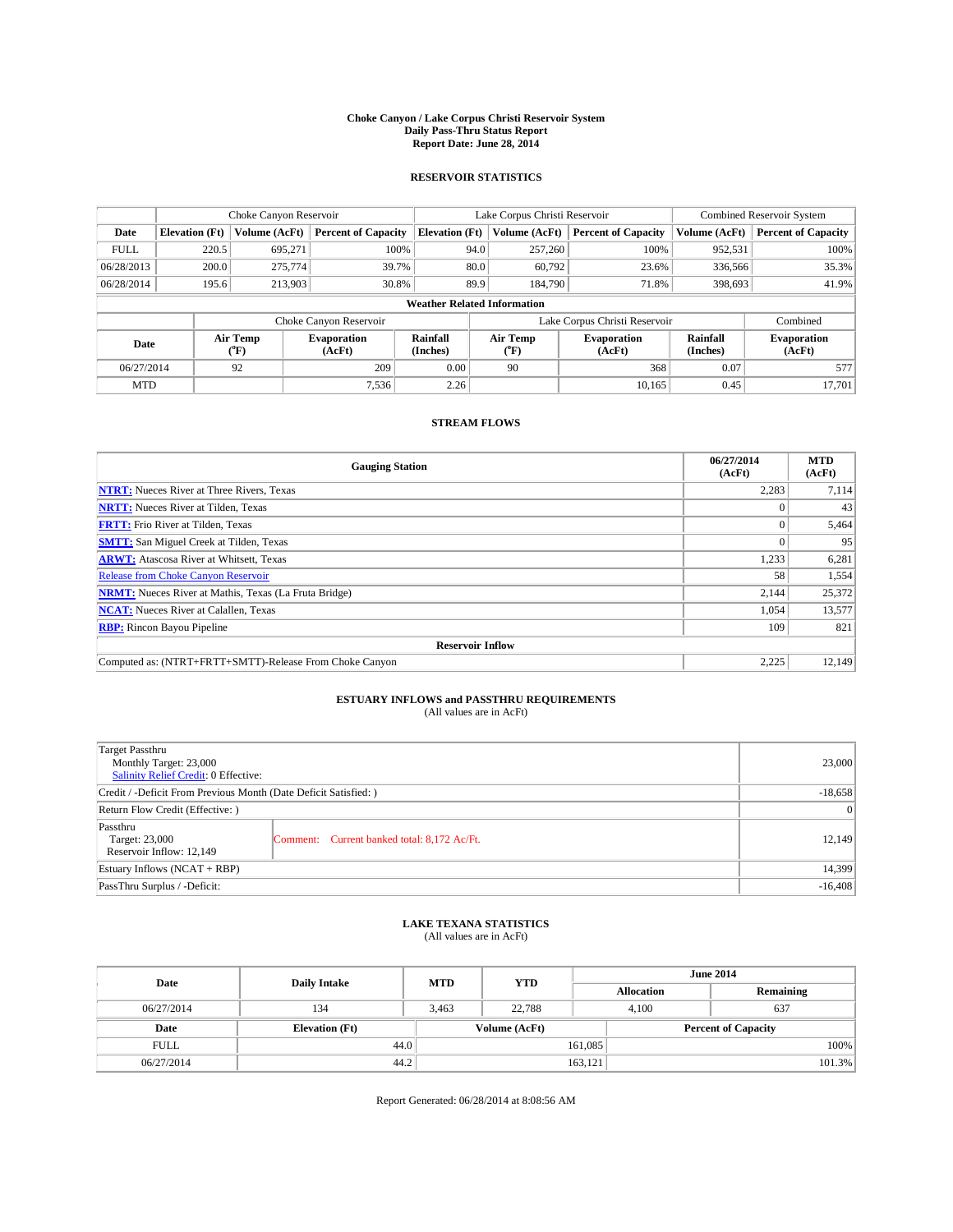#### **Choke Canyon / Lake Corpus Christi Reservoir System Daily Pass-Thru Status Report Report Date: June 28, 2014**

### **RESERVOIR STATISTICS**

|             |                                    | Choke Canyon Reservoir |                            |                       | Lake Corpus Christi Reservoir | <b>Combined Reservoir System</b> |               |                              |  |
|-------------|------------------------------------|------------------------|----------------------------|-----------------------|-------------------------------|----------------------------------|---------------|------------------------------|--|
| Date        | <b>Elevation</b> (Ft)              | Volume (AcFt)          | <b>Percent of Capacity</b> | <b>Elevation (Ft)</b> | Volume (AcFt)                 | <b>Percent of Capacity</b>       | Volume (AcFt) | Percent of Capacity          |  |
| <b>FULL</b> | 220.5                              | 695,271                | 100%                       | 94.0                  | 257,260                       | 100%                             | 952,531       | 100%                         |  |
| 06/28/2013  | 200.0                              | 275,774                | 39.7%                      | 80.0                  | 60,792                        | 23.6%                            | 336,566       | 35.3%                        |  |
| 06/28/2014  | 195.6                              | 213,903                | 30.8%                      | 89.9                  | 184,790                       | 71.8%                            | 398,693       | 41.9%                        |  |
|             | <b>Weather Related Information</b> |                        |                            |                       |                               |                                  |               |                              |  |
|             |                                    |                        | Choke Canyon Reservoir     |                       |                               | Lake Corpus Christi Reservoir    |               | Combined                     |  |
| Date        |                                    | Air Temp<br>(°F)       | Evaporation<br>(AcFt)      | Rainfall<br>(Inches)  | Air Temp<br>("F)              | <b>Evaporation</b><br>(AcFt)     |               | <b>Evaporation</b><br>(AcFt) |  |
|             | 06/27/2014<br>92                   |                        | 209                        | 0.00                  | 90                            | 368                              |               | 577                          |  |
| <b>MTD</b>  |                                    |                        | 7.536                      | 2.26                  |                               | 10.165                           | 0.45          | 17.701                       |  |

### **STREAM FLOWS**

| <b>Gauging Station</b>                                       | 06/27/2014<br>(AcFt) | <b>MTD</b><br>(AcFt) |  |  |  |  |
|--------------------------------------------------------------|----------------------|----------------------|--|--|--|--|
| <b>NTRT:</b> Nueces River at Three Rivers, Texas             | 2,283                | 7,114                |  |  |  |  |
| <b>NRTT:</b> Nueces River at Tilden, Texas                   |                      | 43                   |  |  |  |  |
| <b>FRTT:</b> Frio River at Tilden, Texas                     |                      | 5,464                |  |  |  |  |
| <b>SMTT:</b> San Miguel Creek at Tilden, Texas               |                      | 95                   |  |  |  |  |
| <b>ARWT:</b> Atascosa River at Whitsett, Texas               | 1,233                | 6,281                |  |  |  |  |
| <b>Release from Choke Canyon Reservoir</b>                   | 58                   | 1,554                |  |  |  |  |
| <b>NRMT:</b> Nueces River at Mathis, Texas (La Fruta Bridge) | 2,144                | 25,372               |  |  |  |  |
| <b>NCAT:</b> Nueces River at Calallen, Texas                 | 1,054                | 13,577               |  |  |  |  |
| <b>RBP:</b> Rincon Bayou Pipeline                            | 109                  | 821                  |  |  |  |  |
| <b>Reservoir Inflow</b>                                      |                      |                      |  |  |  |  |
| Computed as: (NTRT+FRTT+SMTT)-Release From Choke Canyon      | 2,225                | 12,149               |  |  |  |  |

# **ESTUARY INFLOWS and PASSTHRU REQUIREMENTS**<br>(All values are in AcFt)

| Target Passthru<br>Monthly Target: 23,000<br>Salinity Relief Credit: 0 Effective: |                                             |        |
|-----------------------------------------------------------------------------------|---------------------------------------------|--------|
| Credit / -Deficit From Previous Month (Date Deficit Satisfied: )                  | $-18,658$                                   |        |
| Return Flow Credit (Effective: )                                                  |                                             |        |
| Passthru<br>Target: 23,000<br>Reservoir Inflow: 12,149                            | Comment: Current banked total: 8,172 Ac/Ft. | 12,149 |
| Estuary Inflows (NCAT + RBP)                                                      |                                             |        |
| PassThru Surplus / -Deficit:                                                      | $-16,408$                                   |        |

# **LAKE TEXANA STATISTICS** (All values are in AcFt)

| Date        | <b>Daily Intake</b>   | <b>MTD</b> | <b>YTD</b>    | <b>June 2014</b>  |                            |           |  |
|-------------|-----------------------|------------|---------------|-------------------|----------------------------|-----------|--|
|             |                       |            |               | <b>Allocation</b> |                            | Remaining |  |
| 06/27/2014  | 134                   | 3,463      | 22,788        | 4,100             | 637                        |           |  |
| Date        | <b>Elevation</b> (Ft) |            | Volume (AcFt) |                   | <b>Percent of Capacity</b> |           |  |
| <b>FULL</b> | 44.0                  |            |               | 161,085           |                            | 100%      |  |
| 06/27/2014  | 44.2                  |            |               | 163,121           |                            | 101.3%    |  |

Report Generated: 06/28/2014 at 8:08:56 AM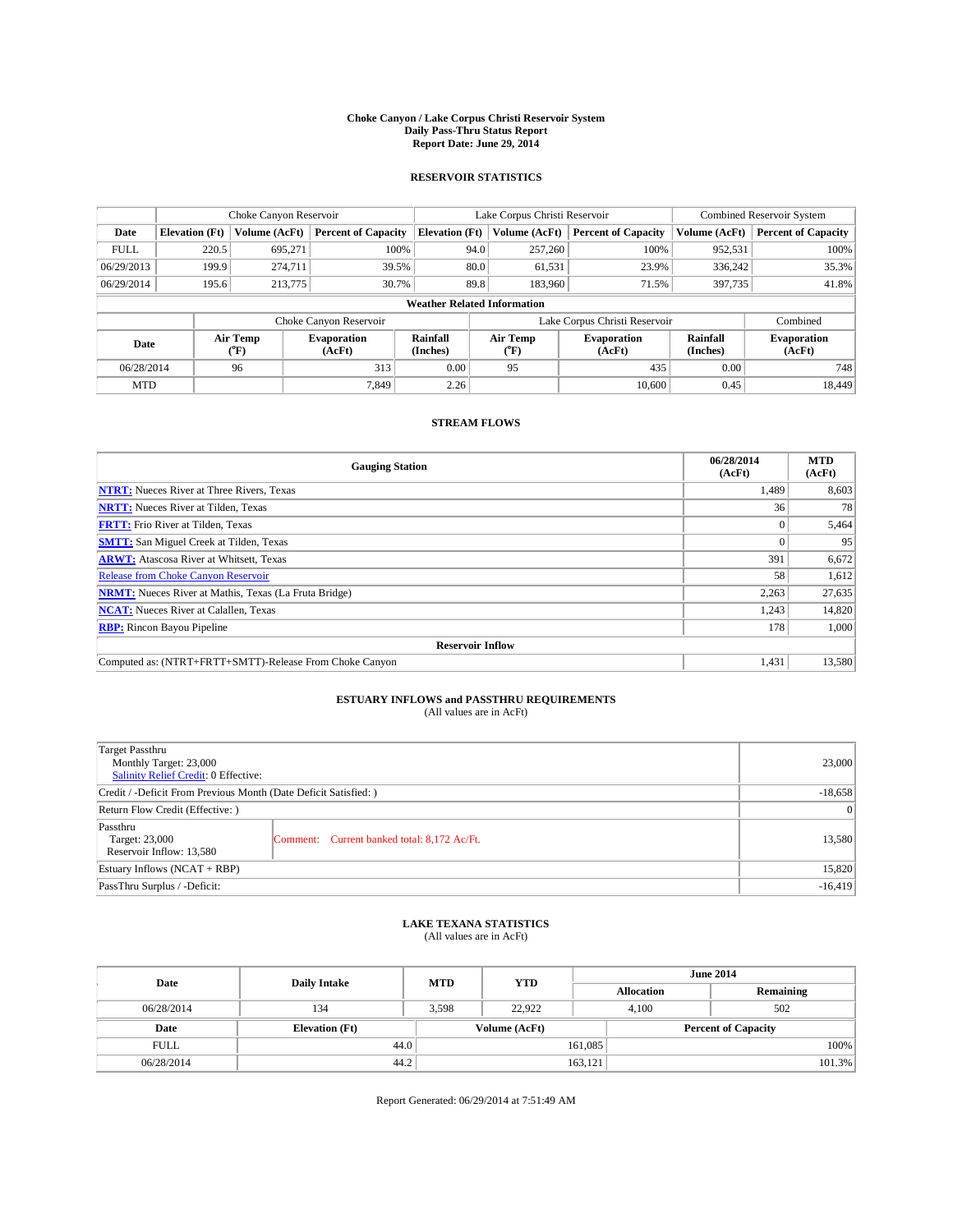#### **Choke Canyon / Lake Corpus Christi Reservoir System Daily Pass-Thru Status Report Report Date: June 29, 2014**

### **RESERVOIR STATISTICS**

|             |                                    | Choke Canyon Reservoir |                              |                       | Lake Corpus Christi Reservoir | <b>Combined Reservoir System</b> |               |                              |  |
|-------------|------------------------------------|------------------------|------------------------------|-----------------------|-------------------------------|----------------------------------|---------------|------------------------------|--|
| Date        | <b>Elevation</b> (Ft)              | Volume (AcFt)          | <b>Percent of Capacity</b>   | <b>Elevation (Ft)</b> | Volume (AcFt)                 | <b>Percent of Capacity</b>       | Volume (AcFt) | Percent of Capacity          |  |
| <b>FULL</b> | 220.5                              | 695,271                | 100%                         | 94.0                  | 257,260                       | 100%                             | 952,531       | 100%                         |  |
| 06/29/2013  | 199.9                              | 274,711                | 39.5%                        | 80.0                  | 61,531                        | 23.9%                            | 336,242       | 35.3%                        |  |
| 06/29/2014  | 195.6                              | 213,775                | 30.7%                        | 89.8                  | 183,960                       | 71.5%                            | 397,735       | 41.8%                        |  |
|             | <b>Weather Related Information</b> |                        |                              |                       |                               |                                  |               |                              |  |
|             |                                    |                        | Choke Canyon Reservoir       |                       |                               | Lake Corpus Christi Reservoir    |               | Combined                     |  |
| Date        |                                    | Air Temp<br>(°F)       | <b>Evaporation</b><br>(AcFt) | Rainfall<br>(Inches)  | Air Temp<br>("F)              | <b>Evaporation</b><br>(AcFt)     |               | <b>Evaporation</b><br>(AcFt) |  |
| 06/28/2014  |                                    | 96                     | 313                          | 0.00                  | 95                            | 435                              | 0.00          | 748                          |  |
| <b>MTD</b>  |                                    |                        | 7.849                        | 2.26                  |                               | 10.600                           | 0.45          | 18,449                       |  |

### **STREAM FLOWS**

| <b>Gauging Station</b>                                       | 06/28/2014<br>(AcFt) | <b>MTD</b><br>(AcFt) |  |  |  |  |
|--------------------------------------------------------------|----------------------|----------------------|--|--|--|--|
| <b>NTRT:</b> Nueces River at Three Rivers, Texas             | 1,489                | 8,603                |  |  |  |  |
| <b>NRTT:</b> Nueces River at Tilden, Texas                   | 36                   | 78                   |  |  |  |  |
| <b>FRTT:</b> Frio River at Tilden, Texas                     |                      | 5,464                |  |  |  |  |
| <b>SMTT:</b> San Miguel Creek at Tilden, Texas               |                      | 95                   |  |  |  |  |
| <b>ARWT:</b> Atascosa River at Whitsett, Texas               | 391                  | 6,672                |  |  |  |  |
| <b>Release from Choke Canyon Reservoir</b>                   | 58                   | 1,612                |  |  |  |  |
| <b>NRMT:</b> Nueces River at Mathis, Texas (La Fruta Bridge) | 2,263                | 27,635               |  |  |  |  |
| <b>NCAT:</b> Nueces River at Calallen, Texas                 | 1,243                | 14,820               |  |  |  |  |
| <b>RBP:</b> Rincon Bayou Pipeline                            | 178                  | 1,000                |  |  |  |  |
| <b>Reservoir Inflow</b>                                      |                      |                      |  |  |  |  |
| Computed as: (NTRT+FRTT+SMTT)-Release From Choke Canyon      | 1,431                | 13,580               |  |  |  |  |

# **ESTUARY INFLOWS and PASSTHRU REQUIREMENTS**<br>(All values are in AcFt)

| Target Passthru<br>Monthly Target: 23,000<br>Salinity Relief Credit: 0 Effective: | 23,000                                      |        |
|-----------------------------------------------------------------------------------|---------------------------------------------|--------|
| Credit / -Deficit From Previous Month (Date Deficit Satisfied: )                  | $-18,658$                                   |        |
| Return Flow Credit (Effective: )                                                  | $\vert$ 0                                   |        |
| Passthru<br>Target: 23,000<br>Reservoir Inflow: 13,580                            | Comment: Current banked total: 8,172 Ac/Ft. | 13,580 |
| Estuary Inflows (NCAT + RBP)                                                      |                                             |        |
| PassThru Surplus / -Deficit:                                                      | $-16,419$                                   |        |

# **LAKE TEXANA STATISTICS** (All values are in AcFt)

| Date        | <b>Daily Intake</b>   | <b>MTD</b> | <b>YTD</b>    | <b>June 2014</b>  |                            |  |  |
|-------------|-----------------------|------------|---------------|-------------------|----------------------------|--|--|
|             |                       |            |               | <b>Allocation</b> | Remaining                  |  |  |
| 06/28/2014  | 134                   | 3,598      | 22,922        | 4,100             | 502                        |  |  |
| Date        | <b>Elevation</b> (Ft) |            | Volume (AcFt) |                   | <b>Percent of Capacity</b> |  |  |
| <b>FULL</b> | 44.0                  |            |               | 161,085           | 100%                       |  |  |
| 06/28/2014  | 44.2                  |            |               | 163,121           | 101.3%                     |  |  |

Report Generated: 06/29/2014 at 7:51:49 AM